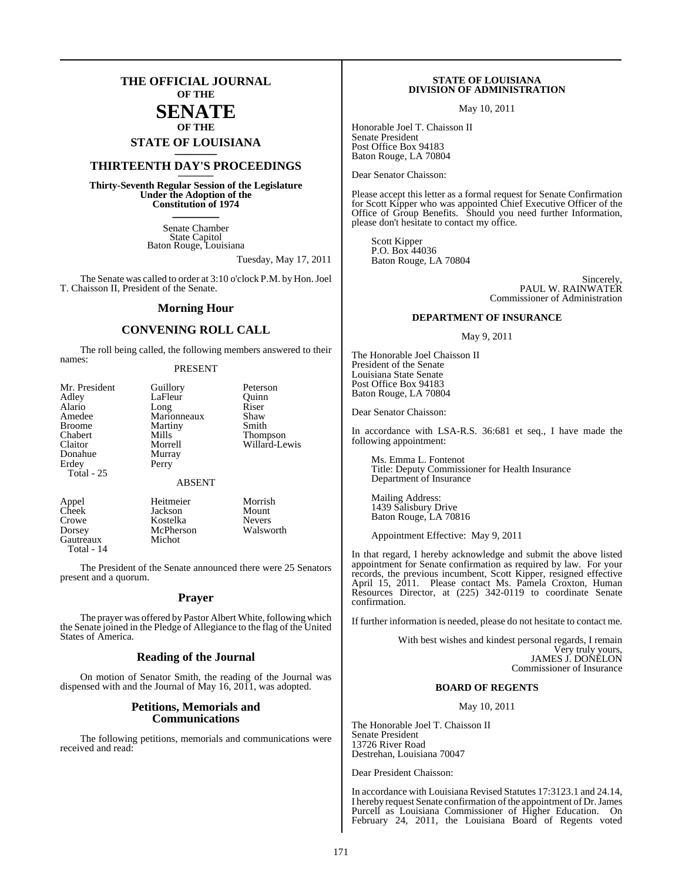## **THE OFFICIAL JOURNAL OF THE**

#### **SENATE OF THE**

**STATE OF LOUISIANA \_\_\_\_\_\_\_**

## **THIRTEENTH DAY'S PROCEEDINGS \_\_\_\_\_\_\_**

**Thirty-Seventh Regular Session of the Legislature Under the Adoption of the Constitution of 1974 \_\_\_\_\_\_\_**

> Senate Chamber State Capitol Baton Rouge, Louisiana

> > Tuesday, May 17, 2011

The Senate was called to order at 3:10 o'clock P.M. by Hon. Joel T. Chaisson II, President of the Senate.

#### **Morning Hour**

### **CONVENING ROLL CALL**

The roll being called, the following members answered to their names:

#### PRESENT

LaFleur Quinn<br>Long Riser Long Riser<br>Marionneaux Shaw Marionneaux Shaw<br>Martiny Smith Martiny<br>Mills Mills Thompson<br>Morrell Willard-Le Willard-Lewis Murray

Guillory Peterson

#### ABSENT

Perry

Dorsey McPherson<br>Gautreaux Michot Gautreaux Total - 14

Appel Heitmeier Morrish<br>Cheek Jackson Mount Cheek Jackson Mount<br>Crowe Kostelka Nevers Kostelka Nevers<br>
McPherson Walsworth

The President of the Senate announced there were 25 Senators present and a quorum.

#### **Prayer**

The prayer was offered by Pastor Albert White, following which the Senate joined in the Pledge of Allegiance to the flag of the United States of America.

#### **Reading of the Journal**

On motion of Senator Smith, the reading of the Journal was dispensed with and the Journal of May 16, 2011, was adopted.

#### **Petitions, Memorials and Communications**

The following petitions, memorials and communications were received and read:

#### **STATE OF LOUISIANA DIVISION OF ADMINISTRATION**

May 10, 2011

Honorable Joel T. Chaisson II Senate President Post Office Box 94183 Baton Rouge, LA 70804

Dear Senator Chaisson:

Please accept this letter as a formal request for Senate Confirmation for Scott Kipper who was appointed Chief Executive Officer of the Office of Group Benefits. Should you need further Information, please don't hesitate to contact my office.

Scott Kipper P.O. Box 44036 Baton Rouge, LA 70804

> Sincerely, PAUL W. RAINWATER Commissioner of Administration

#### **DEPARTMENT OF INSURANCE**

May 9, 2011

The Honorable Joel Chaisson II President of the Senate Louisiana State Senate Post Office Box 94183 Baton Rouge, LA 70804

Dear Senator Chaisson:

In accordance with LSA-R.S. 36:681 et seq., I have made the following appointment:

Ms. Emma L. Fontenot Title: Deputy Commissioner for Health Insurance Department of Insurance

Mailing Address: 1439 Salisbury Drive Baton Rouge, LA 70816

Appointment Effective: May 9, 2011

In that regard, I hereby acknowledge and submit the above listed appointment for Senate confirmation as required by law. For your records, the previous incumbent, Scott Kipper, resigned effective April 15, 2011. Please contact Ms. Pamela Croxton, Human Resources Director, at (225) 342-0119 to coordinate Senate confirmation.

If further information is needed, please do not hesitate to contact me.

With best wishes and kindest personal regards, I remain Very truly yours, JAMES J. DONELON Commissioner of Insurance

#### **BOARD OF REGENTS**

May 10, 2011

The Honorable Joel T. Chaisson II Senate President 13726 River Road Destrehan, Louisiana 70047

Dear President Chaisson:

In accordance with Louisiana Revised Statutes 17:3123.1 and 24.14, I hereby request Senate confirmation of the appointment of Dr. James Purcell as Louisiana Commissioner of Higher Education. On February 24, 2011, the Louisiana Board of Regents voted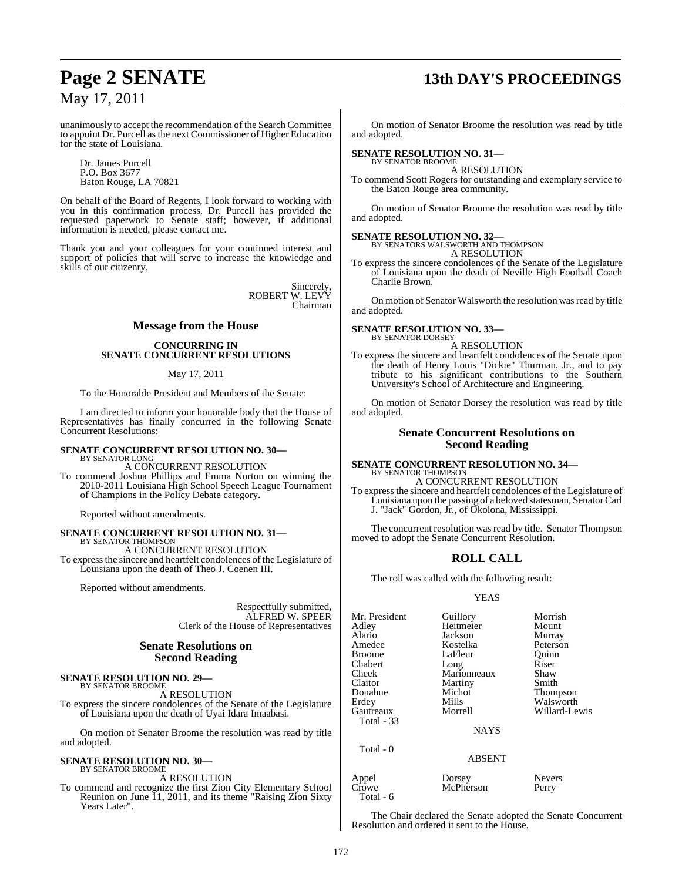## **Page 2 SENATE 13th DAY'S PROCEEDINGS**

unanimously to accept the recommendation of the Search Committee to appoint Dr. Purcell asthe next Commissioner of Higher Education for the state of Louisiana.

Dr. James Purcell P.O. Box 3677 Baton Rouge, LA 70821

On behalf of the Board of Regents, I look forward to working with you in this confirmation process. Dr. Purcell has provided the requested paperwork to Senate staff; however, if additional information is needed, please contact me.

Thank you and your colleagues for your continued interest and support of policies that will serve to increase the knowledge and skills of our citizenry.

> Sincerely, ROBERT W. LEVY Chairman

#### **Message from the House**

#### **CONCURRING IN SENATE CONCURRENT RESOLUTIONS**

#### May 17, 2011

To the Honorable President and Members of the Senate:

I am directed to inform your honorable body that the House of Representatives has finally concurred in the following Senate Concurrent Resolutions:

## **SENATE CONCURRENT RESOLUTION NO. 30—** BY SENATOR LONG

A CONCURRENT RESOLUTION

To commend Joshua Phillips and Emma Norton on winning the 2010-2011 Louisiana High School Speech League Tournament of Champions in the Policy Debate category.

Reported without amendments.

## **SENATE CONCURRENT RESOLUTION NO. 31—** BY SENATOR THOMPSON

A CONCURRENT RESOLUTION

To expressthe sincere and heartfelt condolences of the Legislature of Louisiana upon the death of Theo J. Coenen III.

Reported without amendments.

Respectfully submitted, ALFRED W. SPEER Clerk of the House of Representatives

#### **Senate Resolutions on Second Reading**

#### **SENATE RESOLUTION NO. 29—** BY SENATOR BROOME

A RESOLUTION

To express the sincere condolences of the Senate of the Legislature of Louisiana upon the death of Uyai Idara Imaabasi.

On motion of Senator Broome the resolution was read by title and adopted.

#### **SENATE RESOLUTION NO. 30—** BY SENATOR BROOME

A RESOLUTION

To commend and recognize the first Zion City Elementary School Reunion on June 11, 2011, and its theme "Raising Zion Sixty Years Later".

On motion of Senator Broome the resolution was read by title and adopted.

## **SENATE RESOLUTION NO. 31—** BY SENATOR BROOME

A RESOLUTION

To commend Scott Rogers for outstanding and exemplary service to the Baton Rouge area community.

On motion of Senator Broome the resolution was read by title and adopted.

#### **SENATE RESOLUTION NO. 32—**

BY SENATORS WALSWORTH AND THOMPSON A RESOLUTION

To express the sincere condolences of the Senate of the Legislature of Louisiana upon the death of Neville High Football Coach Charlie Brown.

On motion of Senator Walsworth the resolution was read by title and adopted.

#### **SENATE RESOLUTION NO. 33—** BY SENATOR DORSEY

A RESOLUTION

To express the sincere and heartfelt condolences of the Senate upon the death of Henry Louis "Dickie" Thurman, Jr., and to pay tribute to his significant contributions to the Southern University's School of Architecture and Engineering.

On motion of Senator Dorsey the resolution was read by title and adopted.

#### **Senate Concurrent Resolutions on Second Reading**

**SENATE CONCURRENT RESOLUTION NO. 34—** BY SENATOR THOMPSON A CONCURRENT RESOLUTION

To expressthe sincere and heartfelt condolences of the Legislature of Louisiana upon the passing of a beloved statesman, SenatorCarl J. "Jack" Gordon, Jr., of Okolona, Mississippi.

The concurrent resolution was read by title. Senator Thompson moved to adopt the Senate Concurrent Resolution.

#### **ROLL CALL**

The roll was called with the following result:

#### YEAS

| Mr. President<br>Adley<br>Alario<br>Amedee<br>Broome<br>Chabert<br>Cheek<br>Claitor<br>Donahue<br>Erdey<br>Gautreaux<br>Total - 33 | Guillory<br>Heitmeier<br>Jackson<br>Kostelka<br>LaFleur<br>Long<br>Marionneaux<br>Martiny<br>Michot<br>Mills<br>Morrell<br><b>NAYS</b> | Morrish<br>Mount<br>Murray<br>Peterson<br>Quinn<br>Riser<br>Shaw<br>Smith<br>Thompson<br>Walsworth<br>Willard-Lewis |
|------------------------------------------------------------------------------------------------------------------------------------|----------------------------------------------------------------------------------------------------------------------------------------|---------------------------------------------------------------------------------------------------------------------|
|                                                                                                                                    |                                                                                                                                        |                                                                                                                     |
| Total - 0                                                                                                                          | ABSENT                                                                                                                                 |                                                                                                                     |

Appel Dorsey Nevers<br>Crowe McPherson Perry McPherson Total - 6

The Chair declared the Senate adopted the Senate Concurrent Resolution and ordered it sent to the House.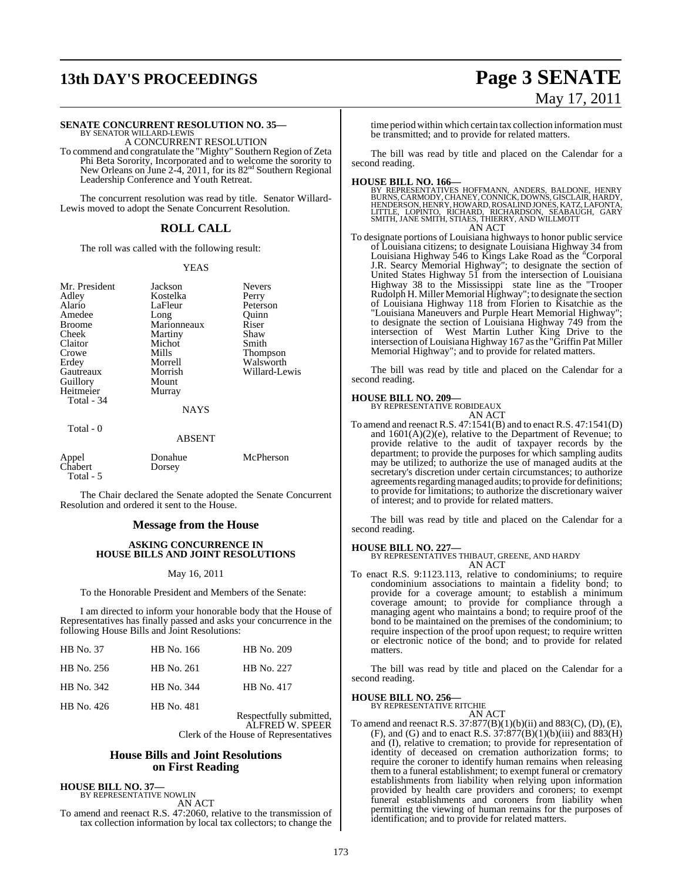# **13th DAY'S PROCEEDINGS Page 3 SENATE**

# May 17, 2011

## **SENATE CONCURRENT RESOLUTION NO. 35—** BY SENATOR WILLARD-LEWIS

A CONCURRENT RESOLUTION

To commend and congratulate the "Mighty" Southern Region of Zeta Phi Beta Sorority, Incorporated and to welcome the sorority to New Orleans on June 2-4, 2011, for its 82<sup>nd</sup> Southern Regional Leadership Conference and Youth Retreat.

The concurrent resolution was read by title. Senator Willard-Lewis moved to adopt the Senate Concurrent Resolution.

#### **ROLL CALL**

The roll was called with the following result:

#### YEAS

Mr. President Jackson Nevers<br>
Adley Kostelka Perry Adley Kostelka<br>Alario LaFleur Amedee Broome Marionneaux Riser<br>Cheek Martiny Shaw Cheek Martiny Shaw<br>Claitor Michot Smith Claitor Michot<br>Crowe Mills Crowe Mills Thompson<br>
Erdey Morrell Walsworth Erdey Morrell<br>Gautreaux Morrish Guillory Mount Heitmeier Total -  $34$ 

LaFleur Peterson<br>Long Quinn Morrish Willard-Lewis<br>Mount

#### Total - 0

NAYS ABSENT

|                               | ADJLI 1           |           |
|-------------------------------|-------------------|-----------|
| Appel<br>Chabert<br>Total - 5 | Donahue<br>Dorsey | McPherson |

The Chair declared the Senate adopted the Senate Concurrent Resolution and ordered it sent to the House.

#### **Message from the House**

#### **ASKING CONCURRENCE IN HOUSE BILLS AND JOINT RESOLUTIONS**

#### May 16, 2011

To the Honorable President and Members of the Senate:

I am directed to inform your honorable body that the House of Representatives has finally passed and asks your concurrence in the following House Bills and Joint Resolutions:

| <b>HB</b> No. 37 | HB No. 166 | HB No. 209                                 |
|------------------|------------|--------------------------------------------|
| HB No. 256       | HB No. 261 | HB No. 227                                 |
| HB No. 342       | HB No. 344 | HB No. 417                                 |
| HB No. 426       | HB No. 481 | Respectfully submitted,<br>ALFRED W. SPEER |

PEER Clerk of the House of Representatives

#### **House Bills and Joint Resolutions on First Reading**

**HOUSE BILL NO. 37—** BY REPRESENTATIVE NOWLIN

AN ACT

To amend and reenact R.S. 47:2060, relative to the transmission of tax collection information by local tax collectors; to change the

time period within which certain tax collection information must be transmitted; and to provide for related matters.

The bill was read by title and placed on the Calendar for a second reading.

**HOUSE BILL NO. 166—**<br>BY REPRESENTATIVES HOFFMANN, ANDERS, BALDONE, HENRY<br>BURNS, CARMODY, CHANEY, CONNICK, DOWNS, GISCLAIR, HARDY,<br>HENDERSON, HENRY, HOWARD, ROSALIND JONES, KATZ, LAFONTA,<br>LITTLE, LOPINTO, RICHARD, RICHARDO AN ACT

To designate portions of Louisiana highways to honor public service of Louisiana citizens; to designate Louisiana Highway 34 from Louisiana Highway 546 to Kings Lake Road as the "Corporal J.R. Searcy Memorial Highway"; to designate the section of United States Highway 51 from the intersection of Louisiana Highway 38 to the Mississippi state line as the ''Trooper Rudolph H. Miller Memorial Highway"; to designate the section of Louisiana Highway 118 from Florien to Kisatchie as the "Louisiana Maneuvers and Purple Heart Memorial Highway"; to designate the section of Louisiana Highway 749 from the intersection of West Martin Luther King Drive to the intersection of Louisiana Highway 167 asthe "Griffin Pat Miller Memorial Highway"; and to provide for related matters.

The bill was read by title and placed on the Calendar for a second reading.

## **HOUSE BILL NO. 209—** BY REPRESENTATIVE ROBIDEAUX

AN ACT

To amend and reenact R.S. 47:1541(B) and to enact R.S. 47:1541(D) and 1601(A)(2)(e), relative to the Department of Revenue; to provide relative to the audit of taxpayer records by the department; to provide the purposes for which sampling audits may be utilized; to authorize the use of managed audits at the secretary's discretion under certain circumstances; to authorize agreements regarding managed audits; to provide for definitions; to provide for limitations; to authorize the discretionary waiver of interest; and to provide for related matters.

The bill was read by title and placed on the Calendar for a second reading.

## **HOUSE BILL NO. 227—** BY REPRESENTATIVES THIBAUT, GREENE, AND HARDY

AN ACT

To enact R.S. 9:1123.113, relative to condominiums; to require condominium associations to maintain a fidelity bond; to provide for a coverage amount; to establish a minimum coverage amount; to provide for compliance through a managing agent who maintains a bond; to require proof of the bond to be maintained on the premises of the condominium; to require inspection of the proof upon request; to require written or electronic notice of the bond; and to provide for related matters.

The bill was read by title and placed on the Calendar for a second reading.

## **HOUSE BILL NO. 256—** BY REPRESENTATIVE RITCHIE

AN ACT

To amend and reenact R.S. 37:877(B)(1)(b)(ii) and 883(C), (D), (E), (F), and (G) and to enact R.S.  $37:877(B)(1)(b)(iii)$  and  $883(H)$ and (I), relative to cremation; to provide for representation of identity of deceased on cremation authorization forms; to require the coroner to identify human remains when releasing them to a funeral establishment; to exempt funeral or crematory establishments from liability when relying upon information provided by health care providers and coroners; to exempt funeral establishments and coroners from liability when permitting the viewing of human remains for the purposes of identification; and to provide for related matters.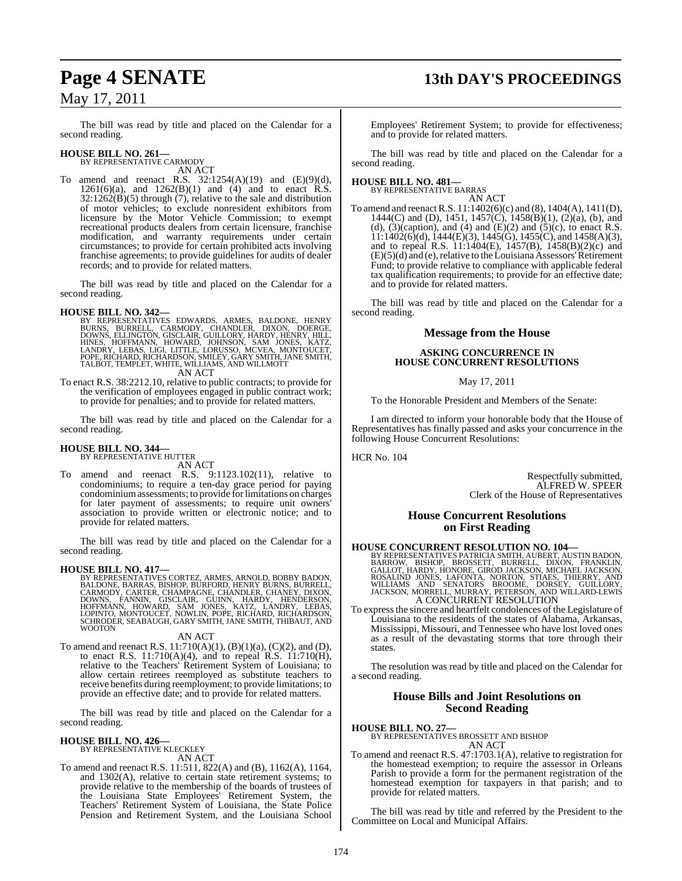## **Page 4 SENATE 13th DAY'S PROCEEDINGS**

The bill was read by title and placed on the Calendar for a

# **HOUSE BILL NO. 261—** BY REPRESENTATIVE CARMODY

second reading.

AN ACT To amend and reenact R.S.  $32:1254(A)(19)$  and  $(E)(9)(d)$ ,  $1261(6)(a)$ , and  $1262(B)(1)$  and  $(4)$  and to enact R.S.  $32:1262(B)(5)$  through (7), relative to the sale and distribution of motor vehicles; to exclude nonresident exhibitors from licensure by the Motor Vehicle Commission; to exempt recreational products dealers from certain licensure, franchise modification, and warranty requirements under certain circumstances; to provide for certain prohibited acts involving franchise agreements; to provide guidelines for audits of dealer records; and to provide for related matters.

The bill was read by title and placed on the Calendar for a second reading.

**HOUSE BILL NO. 342—**<br>BY REPRESENTATIVES EDWARDS, ARMES, BALDONE, HENRY BURNS, BURRELL, CARMODY, CHANDLER, DIXON, DOERGE,<br>DOWNS, ELLINGTON, GISCLAIR, GUILLORY, HARDY, HENRY, HILL,<br>HINES, HOFFMANN, HOWARD, JOHNSON, SAM JONE

To enact R.S. 38:2212.10, relative to public contracts; to provide for the verification of employees engaged in public contract work; to provide for penalties; and to provide for related matters.

The bill was read by title and placed on the Calendar for a second reading.

#### **HOUSE BILL NO. 344—** BY REPRESENTATIVE HUTTER

AN ACT

To amend and reenact R.S. 9:1123.102(11), relative to condominiums; to require a ten-day grace period for paying condominiumassessments; to provide forlimitations on charges for later payment of assessments; to require unit owners' association to provide written or electronic notice; and to provide for related matters.

The bill was read by title and placed on the Calendar for a second reading.

**HOUSE BILL NO. 417—**<br>BY REPRESENTATIVES CORTEZ, ARMES, ARNOLD, BOBBY BADON,<br>BALDONE, BARRAS, BISHOP, BURFORD, HENRY BURNS, BURRELL,<br>CARMODY, CARTER, CHAMPAGNE, CHANDLER, CHANEY, DIXON,<br>DOWNS, FANNIN, GISCLAIR, GUINN, HARD SCHRODER, SEABAUGH, GARY SMITH, JANE SMITH, THIBAUT, AND **WOOTON** 

#### AN ACT

To amend and reenact R.S.  $11:710(A)(1)$ ,  $(B)(1)(a)$ ,  $(C)(2)$ , and  $(D)$ , to enact R.S. 11:710(A)(4), and to repeal R.S. 11:710(H), relative to the Teachers' Retirement System of Louisiana; to allow certain retirees reemployed as substitute teachers to receive benefits during reemployment; to provide limitations; to provide an effective date; and to provide for related matters.

The bill was read by title and placed on the Calendar for a second reading.

## **HOUSE BILL NO. 426—** BY REPRESENTATIVE KLECKLEY

AN ACT

To amend and reenact R.S. 11:511, 822(A) and (B), 1162(A), 1164, and 1302(A), relative to certain state retirement systems; to provide relative to the membership of the boards of trustees of the Louisiana State Employees' Retirement System, the Teachers' Retirement System of Louisiana, the State Police Pension and Retirement System, and the Louisiana School

Employees' Retirement System; to provide for effectiveness; and to provide for related matters.

The bill was read by title and placed on the Calendar for a second reading.

#### **HOUSE BILL NO. 481—** BY REPRESENTATIVE BARRAS

AN ACT

To amend and reenactR.S. 11:1402(6)(c) and (8), 1404(A), 1411(D), 1444(C) and (D), 1451, 1457(C), 1458(B)(1), (2)(a), (b), and (d),  $(3)$ (caption), and  $(4)$  and  $(E)(2)$  and  $(5)$ (c), to enact R.S.  $11:1402(6)(d)$ ,  $1444(E)(3)$ ,  $1445(6)$ ,  $1455(C)$ , and  $1458(A)(3)$ , and to repeal R.S. 11:1404(E), 1457(B), 1458(B)(2)(c) and  $(E)(5)(d)$  and (e), relative to the Louisiana Assessors' Retirement Fund; to provide relative to compliance with applicable federal tax qualification requirements; to provide for an effective date; and to provide for related matters.

The bill was read by title and placed on the Calendar for a second reading.

#### **Message from the House**

#### **ASKING CONCURRENCE IN HOUSE CONCURRENT RESOLUTIONS**

#### May 17, 2011

To the Honorable President and Members of the Senate:

I am directed to inform your honorable body that the House of Representatives has finally passed and asks your concurrence in the following House Concurrent Resolutions:

HCR No. 104

Respectfully submitted, ALFRED W. SPEER Clerk of the House of Representatives

#### **House Concurrent Resolutions on First Reading**

**HOUSE CONCURRENT RESOLUTION NO. 104—**<br>BY REPRESENTATIVES PATRICIA SMITH, AUBERT, AUSTIN BADON, BARROW, BISHOP, BROSSETT, BURRELL, DIXON, FRANKLIN, GALLOT, HARDY, HONORE, GIROD JACKSON, MICHAEL JACKSON, ROSALIND JONES, LAF

To expressthe sincere and heartfelt condolences of the Legislature of Louisiana to the residents of the states of Alabama, Arkansas, Mississippi, Missouri, and Tennessee who have lost loved ones as a result of the devastating storms that tore through their states.

The resolution was read by title and placed on the Calendar for a second reading.

#### **House Bills and Joint Resolutions on Second Reading**

- **HOUSE BILL NO. 27—** BY REPRESENTATIVES BROSSETT AND BISHOP AN ACT
- To amend and reenact R.S. 47:1703.1(A), relative to registration for the homestead exemption; to require the assessor in Orleans Parish to provide a form for the permanent registration of the homestead exemption for taxpayers in that parish; and to provide for related matters.

The bill was read by title and referred by the President to the Committee on Local and Municipal Affairs.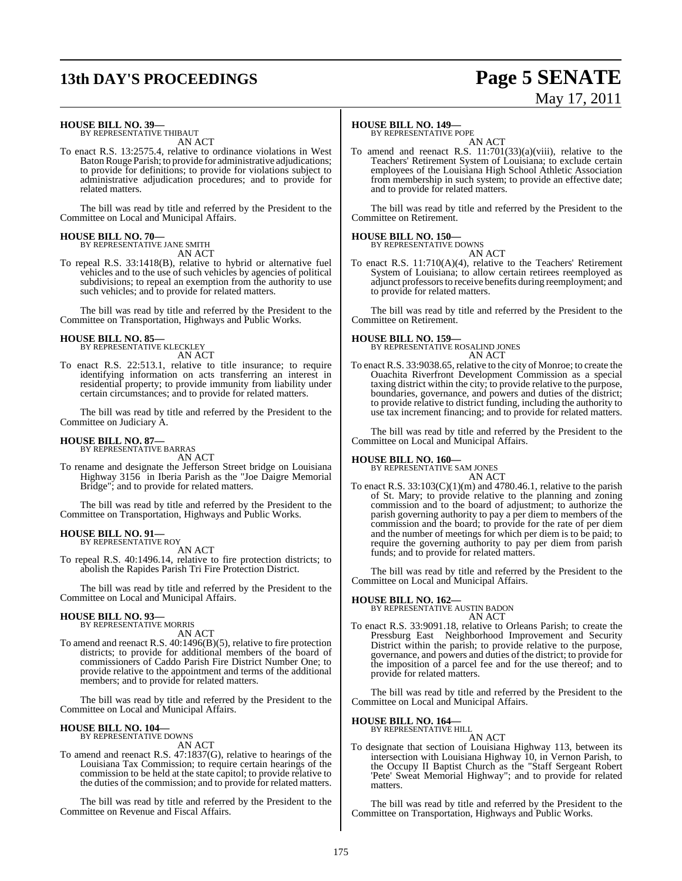# **13th DAY'S PROCEEDINGS Page 5 SENATE**

# May 17, 2011

#### **HOUSE BILL NO. 39—**

BY REPRESENTATIVE THIBAUT AN ACT

To enact R.S. 13:2575.4, relative to ordinance violations in West BatonRouge Parish; to provide for administrative adjudications; to provide for definitions; to provide for violations subject to administrative adjudication procedures; and to provide for related matters.

The bill was read by title and referred by the President to the Committee on Local and Municipal Affairs.

#### **HOUSE BILL NO. 70—**

BY REPRESENTATIVE JANE SMITH AN ACT

To repeal R.S. 33:1418(B), relative to hybrid or alternative fuel vehicles and to the use of such vehicles by agencies of political subdivisions; to repeal an exemption from the authority to use such vehicles; and to provide for related matters.

The bill was read by title and referred by the President to the Committee on Transportation, Highways and Public Works.

## **HOUSE BILL NO. 85—** BY REPRESENTATIVE KLECKLEY

AN ACT

To enact R.S. 22:513.1, relative to title insurance; to require identifying information on acts transferring an interest in residential property; to provide immunity from liability under certain circumstances; and to provide for related matters.

The bill was read by title and referred by the President to the Committee on Judiciary A.

## **HOUSE BILL NO. 87—** BY REPRESENTATIVE BARRAS

AN ACT

To rename and designate the Jefferson Street bridge on Louisiana Highway 3156 in Iberia Parish as the "Joe Daigre Memorial Bridge"; and to provide for related matters.

The bill was read by title and referred by the President to the Committee on Transportation, Highways and Public Works.

#### **HOUSE BILL NO. 91—** BY REPRESENTATIVE ROY

AN ACT

To repeal R.S. 40:1496.14, relative to fire protection districts; to abolish the Rapides Parish Tri Fire Protection District.

The bill was read by title and referred by the President to the Committee on Local and Municipal Affairs.

#### **HOUSE BILL NO. 93—**

BY REPRESENTATIVE MORRIS AN ACT

To amend and reenact R.S. 40:1496(B)(5), relative to fire protection districts; to provide for additional members of the board of commissioners of Caddo Parish Fire District Number One; to provide relative to the appointment and terms of the additional members; and to provide for related matters.

The bill was read by title and referred by the President to the Committee on Local and Municipal Affairs.

#### **HOUSE BILL NO. 104—** BY REPRESENTATIVE DOWNS

AN ACT

To amend and reenact R.S. 47:1837(G), relative to hearings of the Louisiana Tax Commission; to require certain hearings of the commission to be held at the state capitol; to provide relative to the duties of the commission; and to provide for related matters.

The bill was read by title and referred by the President to the Committee on Revenue and Fiscal Affairs.

#### **HOUSE BILL NO. 149—**

BY REPRESENTATIVE POPE

AN ACT To amend and reenact R.S. 11:701(33)(a)(viii), relative to the Teachers' Retirement System of Louisiana; to exclude certain employees of the Louisiana High School Athletic Association from membership in such system; to provide an effective date; and to provide for related matters.

The bill was read by title and referred by the President to the Committee on Retirement.

#### **HOUSE BILL NO. 150—**

BY REPRESENTATIVE DOWNS AN ACT

To enact R.S. 11:710(A)(4), relative to the Teachers' Retirement System of Louisiana; to allow certain retirees reemployed as adjunct professorsto receive benefits during reemployment; and to provide for related matters.

The bill was read by title and referred by the President to the Committee on Retirement.

**HOUSE BILL NO. 159—** BY REPRESENTATIVE ROSALIND JONES AN ACT

To enact R.S. 33:9038.65, relative to the city of Monroe; to create the Ouachita Riverfront Development Commission as a special taxing district within the city; to provide relative to the purpose, boundaries, governance, and powers and duties of the district; to provide relative to district funding, including the authority to use tax increment financing; and to provide for related matters.

The bill was read by title and referred by the President to the Committee on Local and Municipal Affairs.

## **HOUSE BILL NO. 160—** BY REPRESENTATIVE SAM JONES

AN ACT

To enact R.S. 33:103(C)(1)(m) and 4780.46.1, relative to the parish of St. Mary; to provide relative to the planning and zoning commission and to the board of adjustment; to authorize the parish governing authority to pay a per diem to members of the commission and the board; to provide for the rate of per diem and the number of meetings for which per diem is to be paid; to require the governing authority to pay per diem from parish funds; and to provide for related matters.

The bill was read by title and referred by the President to the Committee on Local and Municipal Affairs.

#### **HOUSE BILL NO. 162—**

BY REPRESENTATIVE AUSTIN BADON AN ACT

To enact R.S. 33:9091.18, relative to Orleans Parish; to create the Pressburg East Neighborhood Improvement and Security District within the parish; to provide relative to the purpose, governance, and powers and duties of the district; to provide for the imposition of a parcel fee and for the use thereof; and to provide for related matters.

The bill was read by title and referred by the President to the Committee on Local and Municipal Affairs.

# **HOUSE BILL NO. 164—** BY REPRESENTATIVE HILL AN ACT

To designate that section of Louisiana Highway 113, between its intersection with Louisiana Highway 10, in Vernon Parish, to the Occupy II Baptist Church as the "Staff Sergeant Robert 'Pete' Sweat Memorial Highway"; and to provide for related matters.

The bill was read by title and referred by the President to the Committee on Transportation, Highways and Public Works.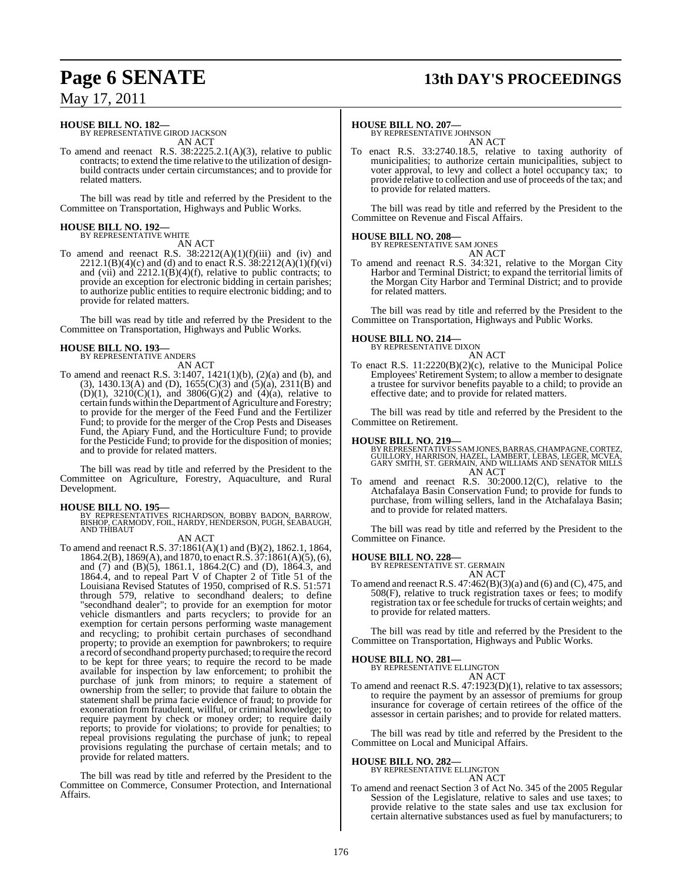## **Page 6 SENATE 13th DAY'S PROCEEDINGS**

## May 17, 2011

## **HOUSE BILL NO. 182—** BY REPRESENTATIVE GIROD JACKSON

AN ACT

To amend and reenact R.S. 38:2225.2.1(A)(3), relative to public contracts; to extend the time relative to the utilization of designbuild contracts under certain circumstances; and to provide for related matters.

The bill was read by title and referred by the President to the Committee on Transportation, Highways and Public Works.

## **HOUSE BILL NO. 192—** BY REPRESENTATIVE WHITE

AN ACT

To amend and reenact R.S.  $38:2212(A)(1)(f)(iii)$  and (iv) and 2212.1(B)(4)(c) and (d) and to enact R.S.  $38:2212(A)(1)(f)(vi)$ and (vii) and  $2212.1(B)(4)(f)$ , relative to public contracts; to provide an exception for electronic bidding in certain parishes; to authorize public entities to require electronic bidding; and to provide for related matters.

The bill was read by title and referred by the President to the Committee on Transportation, Highways and Public Works.

## **HOUSE BILL NO. 193—** BY REPRESENTATIVE ANDERS

AN ACT

- To amend and reenact R.S. 3:1407, 1421(1)(b), (2)(a) and (b), and
- (3), 1430.13(A) and (D),  $1655(C)(3)$  and  $(5)(a)$ , 2311(B) and  $(D)(1)$ ,  $3210(C)(1)$ , and  $3806(G)(2)$  and  $(4)(a)$ , relative to certain funds within the Department of Agriculture and Forestry; to provide for the merger of the Feed Fund and the Fertilizer Fund; to provide for the merger of the Crop Pests and Diseases Fund, the Apiary Fund, and the Horticulture Fund; to provide for the Pesticide Fund; to provide for the disposition of monies; and to provide for related matters.

The bill was read by title and referred by the President to the Committee on Agriculture, Forestry, Aquaculture, and Rural Development.

#### **HOUSE BILL NO. 195—**

- BY REPRESENTATIVES RICHARDSON, BOBBY BADON, BARROW,<br>BISHOP, CARMODY, FOIL, HARDY, HENDERSON, PUGH, SEABAUGH,<br>AND THIBAUT
- AN ACT To amend and reenact R.S. 37:1861(A)(1) and (B)(2), 1862.1, 1864, 1864.2(B), 1869(A), and 1870, to enact R.S. 37:1861(A)(5), (6), and (7) and (B)(5), 1861.1, 1864.2(C) and (D), 1864.3, and 1864.4, and to repeal Part V of Chapter 2 of Title 51 of the Louisiana Revised Statutes of 1950, comprised of R.S. 51:571 through 579, relative to secondhand dealers; to define "secondhand dealer"; to provide for an exemption for motor vehicle dismantlers and parts recyclers; to provide for an exemption for certain persons performing waste management and recycling; to prohibit certain purchases of secondhand property; to provide an exemption for pawnbrokers; to require a record ofsecondhand property purchased; to require the record to be kept for three years; to require the record to be made available for inspection by law enforcement; to prohibit the purchase of junk from minors; to require a statement of ownership from the seller; to provide that failure to obtain the statement shall be prima facie evidence of fraud; to provide for exoneration from fraudulent, willful, or criminal knowledge; to require payment by check or money order; to require daily reports; to provide for violations; to provide for penalties; to repeal provisions regulating the purchase of junk; to repeal provisions regulating the purchase of certain metals; and to provide for related matters.

The bill was read by title and referred by the President to the Committee on Commerce, Consumer Protection, and International Affairs.

## **HOUSE BILL NO. 207—** BY REPRESENTATIVE JOHNSON

AN ACT

To enact R.S. 33:2740.18.5, relative to taxing authority of municipalities; to authorize certain municipalities, subject to voter approval, to levy and collect a hotel occupancy tax; to provide relative to collection and use of proceeds of the tax; and to provide for related matters.

The bill was read by title and referred by the President to the Committee on Revenue and Fiscal Affairs.

#### **HOUSE BILL NO. 208—**

BY REPRESENTATIVE SAM JONES AN ACT

To amend and reenact R.S. 34:321, relative to the Morgan City Harbor and Terminal District; to expand the territorial limits of the Morgan City Harbor and Terminal District; and to provide for related matters.

The bill was read by title and referred by the President to the Committee on Transportation, Highways and Public Works.

## **HOUSE BILL NO. 214—** BY REPRESENTATIVE DIXON

AN ACT

To enact R.S. 11:2220(B)(2)(c), relative to the Municipal Police Employees' Retirement System; to allow a member to designate a trustee for survivor benefits payable to a child; to provide an effective date; and to provide for related matters.

The bill was read by title and referred by the President to the Committee on Retirement.

#### **HOUSE BILL NO. 219—**

BY REPRESENTATIVES SAMJONES, BARRAS, CHAMPAGNE, CORTEZ,<br>GUILLORY, HARRISON, HAZEL, LAMBERT, LEBAS, LEGER, MCVEA,<br>GARY SMITH, ST. GERMAIN, AND WILLIAMS AND SENATOR MILLS AN ACT

To amend and reenact R.S. 30:2000.12(C), relative to the Atchafalaya Basin Conservation Fund; to provide for funds to purchase, from willing sellers, land in the Atchafalaya Basin; and to provide for related matters.

The bill was read by title and referred by the President to the Committee on Finance.

#### **HOUSE BILL NO. 228—**

BY REPRESENTATIVE ST. GERMAIN AN ACT

To amend and reenact R.S. 47:462(B)(3)(a) and (6) and (C), 475, and 508(F), relative to truck registration taxes or fees; to modify registration tax or fee schedule for trucks of certain weights; and to provide for related matters.

The bill was read by title and referred by the President to the Committee on Transportation, Highways and Public Works.

## **HOUSE BILL NO. 281—** BY REPRESENTATIVE ELLINGTON

AN ACT To amend and reenact R.S. 47:1923(D)(1), relative to tax assessors; to require the payment by an assessor of premiums for group insurance for coverage of certain retirees of the office of the assessor in certain parishes; and to provide for related matters.

The bill was read by title and referred by the President to the Committee on Local and Municipal Affairs.

## **HOUSE BILL NO. 282—** BY REPRESENTATIVE ELLINGTON

AN ACT

To amend and reenact Section 3 of Act No. 345 of the 2005 Regular Session of the Legislature, relative to sales and use taxes; to provide relative to the state sales and use tax exclusion for certain alternative substances used as fuel by manufacturers; to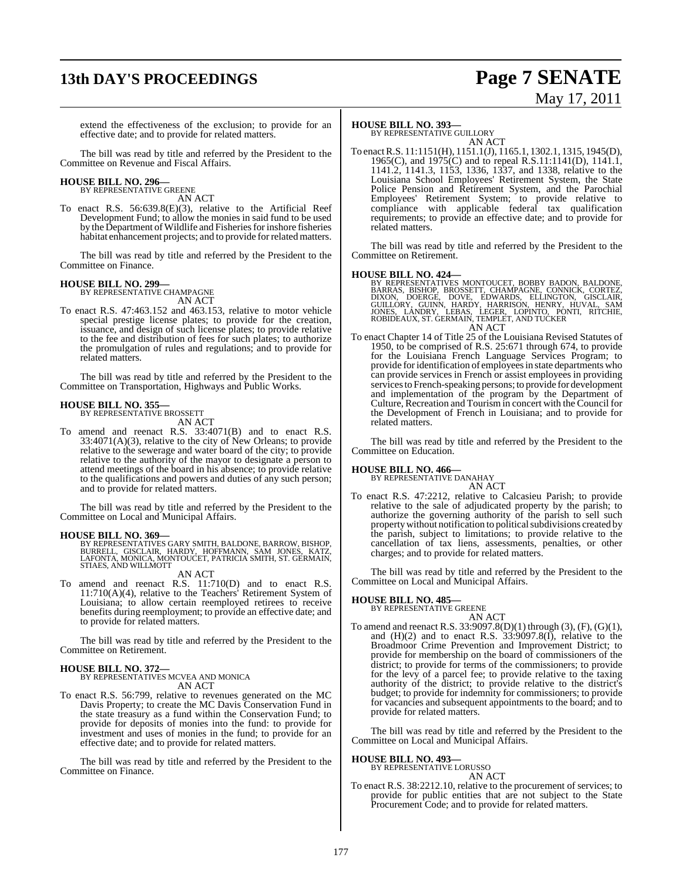## **13th DAY'S PROCEEDINGS Page 7 SENATE**

# May 17, 2011

extend the effectiveness of the exclusion; to provide for an effective date; and to provide for related matters.

The bill was read by title and referred by the President to the Committee on Revenue and Fiscal Affairs.

## **HOUSE BILL NO. 296—** BY REPRESENTATIVE GREENE

AN ACT

To enact R.S. 56:639.8(E)(3), relative to the Artificial Reef Development Fund; to allow the monies in said fund to be used by the Department of Wildlife and Fisheries for inshore fisheries habitat enhancement projects; and to provide forrelated matters.

The bill was read by title and referred by the President to the Committee on Finance.

#### **HOUSE BILL NO. 299—**

BY REPRESENTATIVE CHAMPAGNE AN ACT

To enact R.S. 47:463.152 and 463.153, relative to motor vehicle special prestige license plates; to provide for the creation, issuance, and design of such license plates; to provide relative to the fee and distribution of fees for such plates; to authorize the promulgation of rules and regulations; and to provide for related matters.

The bill was read by title and referred by the President to the Committee on Transportation, Highways and Public Works.

## **HOUSE BILL NO. 355—** BY REPRESENTATIVE BROSSETT

AN ACT

To amend and reenact R.S. 33:4071(B) and to enact R.S. 33:4071(A)(3), relative to the city of New Orleans; to provide relative to the sewerage and water board of the city; to provide relative to the authority of the mayor to designate a person to attend meetings of the board in his absence; to provide relative to the qualifications and powers and duties of any such person; and to provide for related matters.

The bill was read by title and referred by the President to the Committee on Local and Municipal Affairs.

**HOUSE BILL NO. 369—**<br>BY REPRESENTATIVES GARY SMITH, BALDONE, BARROW, BISHOP,<br>BURRELL, GISCLAIR, HARDY, HOFFMANN, SAM JONES, KATZ,<br>LAFONTA, MONICA, MONTOUCET, PATRICIA SMITH, ST. GERMAIN,<br>STIAES, AND WILLMOTT

AN ACT

To amend and reenact R.S. 11:710(D) and to enact R.S. 11:710(A)(4), relative to the Teachers' Retirement System of Louisiana; to allow certain reemployed retirees to receive benefits during reemployment; to provide an effective date; and to provide for related matters.

The bill was read by title and referred by the President to the Committee on Retirement.

#### **HOUSE BILL NO. 372—**

BY REPRESENTATIVES MCVEA AND MONICA AN ACT

To enact R.S. 56:799, relative to revenues generated on the MC Davis Property; to create the MC Davis Conservation Fund in the state treasury as a fund within the Conservation Fund; to provide for deposits of monies into the fund: to provide for investment and uses of monies in the fund; to provide for an effective date; and to provide for related matters.

The bill was read by title and referred by the President to the Committee on Finance.

#### **HOUSE BILL NO. 393—**

BY REPRESENTATIVE GUILLORY AN ACT

To enactR.S. 11:1151(H), 1151.1(J), 1165.1, 1302.1, 1315, 1945(D), 1965(C), and  $1975(C)$  and to repeal R.S.11:1141(D), 1141.1, 1141.2, 1141.3, 1153, 1336, 1337, and 1338, relative to the Louisiana School Employees' Retirement System, the State Police Pension and Retirement System, and the Parochial Employees' Retirement System; to provide relative to compliance with applicable federal tax qualification requirements; to provide an effective date; and to provide for related matters.

The bill was read by title and referred by the President to the Committee on Retirement.

- **HOUSE BILL NO. 424—** BY REPRESENTATIVES MONTOUCET, BOBBY BADON, BALDONE, BARRAS, BISHOP, BROSSETT, CHAMPAGNE, CONNICK, CORTEZ,<br>DIXON, DOERGE, DOVE, EDWARDS, ELLINGTON, GISCLAIR,<br>GUILLORY, GUINN, HARDY, HARRISON, HENRY, HUVAL, SAM<br>JONES, LANDRY, LEBAS, LEGER, LOPINTO, PONTI, RITCHIE,<br>ROBIDEAUX,S AN ACT
- To enact Chapter 14 of Title 25 of the Louisiana Revised Statutes of 1950, to be comprised of R.S. 25:671 through 674, to provide for the Louisiana French Language Services Program; to provide for identification of employees in state departments who can provide services in French or assist employees in providing services to French-speaking persons; to provide for development and implementation of the program by the Department of Culture, Recreation and Tourism in concert with the Council for the Development of French in Louisiana; and to provide for related matters.

The bill was read by title and referred by the President to the Committee on Education.

#### **HOUSE BILL NO. 466—**

BY REPRESENTATIVE DANAHAY AN ACT

To enact R.S. 47:2212, relative to Calcasieu Parish; to provide relative to the sale of adjudicated property by the parish; to authorize the governing authority of the parish to sell such property without notification to political subdivisions created by the parish, subject to limitations; to provide relative to the cancellation of tax liens, assessments, penalties, or other charges; and to provide for related matters.

The bill was read by title and referred by the President to the Committee on Local and Municipal Affairs.

## **HOUSE BILL NO. 485—** BY REPRESENTATIVE GREENE

AN ACT

To amend and reenact R.S. 33:9097.8(D)(1) through (3), (F), (G)(1), and  $(H)(2)$  and to enact R.S.  $33:9097.8(I)$ , relative to the Broadmoor Crime Prevention and Improvement District; to provide for membership on the board of commissioners of the district; to provide for terms of the commissioners; to provide for the levy of a parcel fee; to provide relative to the taxing authority of the district; to provide relative to the district's budget; to provide for indemnity for commissioners; to provide for vacancies and subsequent appointments to the board; and to provide for related matters.

The bill was read by title and referred by the President to the Committee on Local and Municipal Affairs.

## **HOUSE BILL NO. 493—** BY REPRESENTATIVE LORUSSO

AN ACT

To enact R.S. 38:2212.10, relative to the procurement of services; to provide for public entities that are not subject to the State Procurement Code; and to provide for related matters.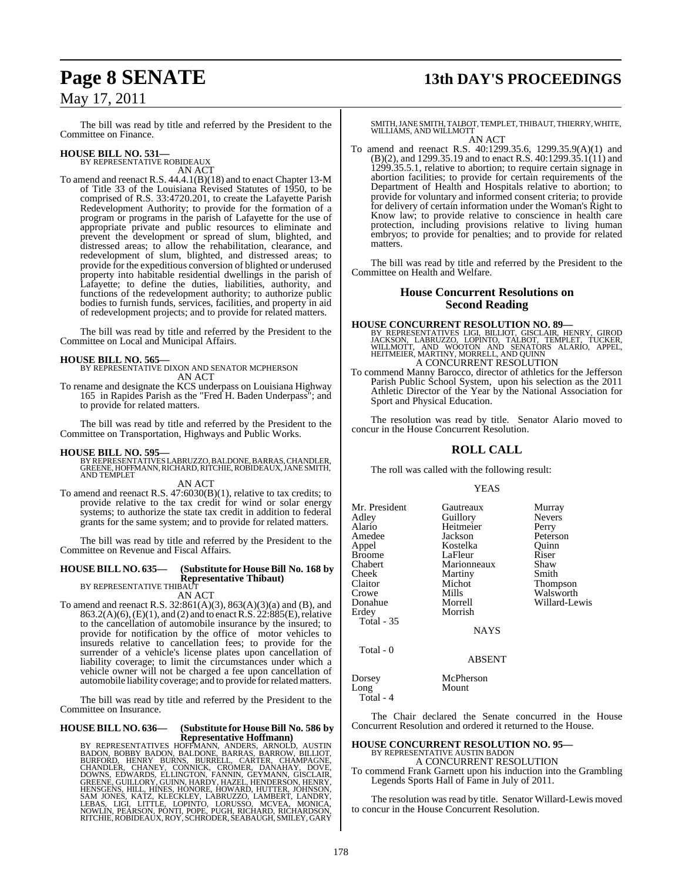## **Page 8 SENATE 13th DAY'S PROCEEDINGS**

The bill was read by title and referred by the President to the Committee on Finance.

### **HOUSE BILL NO. 531—**

BY REPRESENTATIVE ROBIDEAUX AN ACT

To amend and reenact R.S. 44.4.1(B)(18) and to enact Chapter 13-M of Title 33 of the Louisiana Revised Statutes of 1950, to be comprised of R.S. 33:4720.201, to create the Lafayette Parish Redevelopment Authority; to provide for the formation of a program or programs in the parish of Lafayette for the use of appropriate private and public resources to eliminate and prevent the development or spread of slum, blighted, and distressed areas; to allow the rehabilitation, clearance, and redevelopment of slum, blighted, and distressed areas; to provide for the expeditious conversion of blighted or underused property into habitable residential dwellings in the parish of Lafayette; to define the duties, liabilities, authority, and functions of the redevelopment authority; to authorize public bodies to furnish funds, services, facilities, and property in aid of redevelopment projects; and to provide for related matters.

The bill was read by title and referred by the President to the Committee on Local and Municipal Affairs.

**HOUSE BILL NO. 565—** BY REPRESENTATIVE DIXON AND SENATOR MCPHERSON AN ACT

To rename and designate the KCS underpass on Louisiana Highway 165 in Rapides Parish as the "Fred H. Baden Underpass"; and to provide for related matters.

The bill was read by title and referred by the President to the Committee on Transportation, Highways and Public Works.

**HOUSE BILL NO. 595—** BY REPRESENTATIVES LABRUZZO, BALDONE, BARRAS, CHANDLER, GREENE, HOFFMANN, RICHARD, RITCHIE, ROBIDEAUX, JANE SMITH, AND TEMPLET

AN ACT

To amend and reenact R.S. 47:6030(B)(1), relative to tax credits; to provide relative to the tax credit for wind or solar energy systems; to authorize the state tax credit in addition to federal grants for the same system; and to provide for related matters.

The bill was read by title and referred by the President to the Committee on Revenue and Fiscal Affairs.

#### **HOUSE BILL NO. 635— (Substitute for HouseBill No. 168 by Representative Thibaut)** BY REPRESENTATIVE THIBAUT

AN ACT

To amend and reenact R.S. 32:861(A)(3), 863(A)(3)(a) and (B), and 863.2(A)(6), (E)(1), and (2) and to enact R.S.  $22:885(E)$ , relative to the cancellation of automobile insurance by the insured; to provide for notification by the office of motor vehicles to insureds relative to cancellation fees; to provide for the surrender of a vehicle's license plates upon cancellation of liability coverage; to limit the circumstances under which a vehicle owner will not be charged a fee upon cancellation of automobile liability coverage; and to provide forrelated matters.

The bill was read by title and referred by the President to the Committee on Insurance.

#### **HOUSE BILL NO. 636— (Substitute for HouseBill No. 586 by Representative Hoffmann)**

BY REPRESENTATIVES HOFFMANN, ANDERS, ARNOLD, AUSTIN<br>BADON, BOBBY BADON, BALDONE, BARRAS, BARROW, BILLIOT,<br>BURFORD, HENRY BURNS, BURRELL, CARTER, CHAMPAGNE,<br>CHANDLER, CHANEY, CONNICK, CROMER, DANAHAY, DOVE,<br>DOWNS, EDWARDS,

SMITH, JANE SMITH, TALBOT, TEMPLET, THIBAUT, THIERRY, WHITE, WILLIAMS, AND WILLMOTT AN ACT

To amend and reenact R.S. 40:1299.35.6, 1299.35.9(A)(1) and  $(B)(2)$ , and 1299.35.19 and to enact R.S. 40:1299.35.1(11) and 1299.35.5.1, relative to abortion; to require certain signage in abortion facilities; to provide for certain requirements of the Department of Health and Hospitals relative to abortion; to provide for voluntary and informed consent criteria; to provide for delivery of certain information under the Woman's Right to Know law; to provide relative to conscience in health care protection, including provisions relative to living human embryos; to provide for penalties; and to provide for related matters.

The bill was read by title and referred by the President to the Committee on Health and Welfare.

#### **House Concurrent Resolutions on Second Reading**

#### **HOUSE CONCURRENT RESOLUTION NO. 89—**

BY REPRESENTATIVES LIGI, BILLIOT, GISCLAIR, HENRY, GIROD<br>JACKSON, LABRUZZO, LOPINTO, TALBOT, TEMPLET, TUCKER,<br>WILLMOTT, AND WOOTON AND SENATORS ALARIO, APPEL,<br>HEITMEIER, MARTINY, MORRELL, AND QUINN<br>A CONCURRENT RESOLUTION

To commend Manny Barocco, director of athletics for the Jefferson Parish Public School System, upon his selection as the 2011 Athletic Director of the Year by the National Association for Sport and Physical Education.

The resolution was read by title. Senator Alario moved to concur in the House Concurrent Resolution.

#### **ROLL CALL**

The roll was called with the following result:

#### YEAS

| Mr. President     | Gautreaux   | Murray        |
|-------------------|-------------|---------------|
| Adley             | Guillory    | <b>Nevers</b> |
| Alario            | Heitmeier   | Perry         |
| Amedee            | Jackson     | Peterson      |
| Appel             | Kostelka    | Ouinn         |
| <b>Broome</b>     | LaFleur     | Riser         |
| Chabert           | Marionneaux | Shaw          |
| Cheek             | Martiny     | Smith         |
| Claitor           | Michot      | Thompson      |
| Crowe             | Mills       | Walsworth     |
| Donahue           | Morrell     | Willard-Lewis |
| Erdev             | Morrish     |               |
| <b>Total - 35</b> |             |               |
|                   | <b>NAYS</b> |               |
| $Total - 0$       |             |               |

Dorsey McPherson Mount Total - 4

The Chair declared the Senate concurred in the House Concurrent Resolution and ordered it returned to the House.

ABSENT

#### **HOUSE CONCURRENT RESOLUTION NO. 95—** BY REPRESENTATIVE AUSTIN BADON

A CONCURRENT RESOLUTION

To commend Frank Garnett upon his induction into the Grambling Legends Sports Hall of Fame in July of 2011.

The resolution was read by title. Senator Willard-Lewis moved to concur in the House Concurrent Resolution.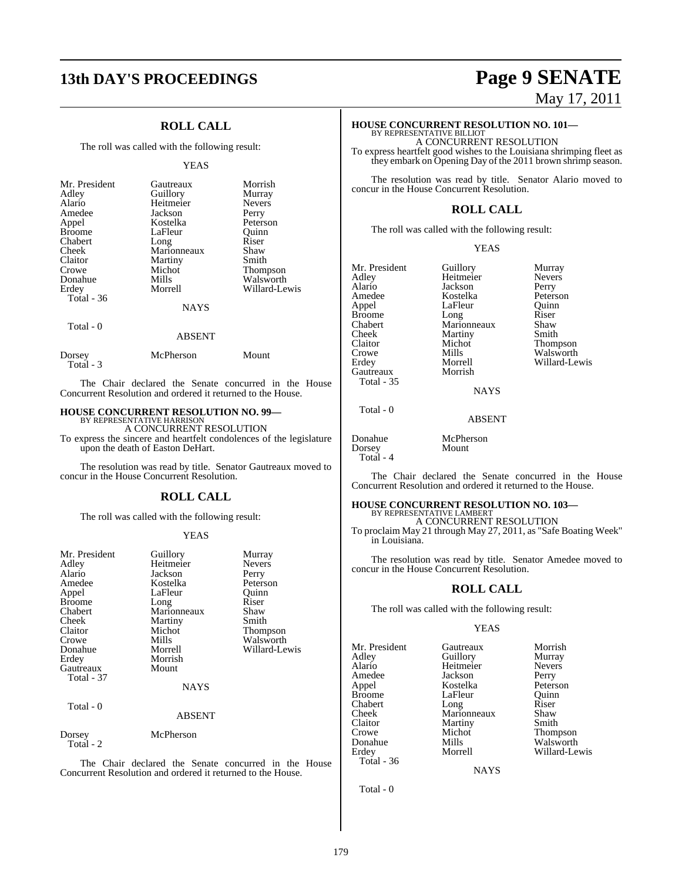## **13th DAY'S PROCEEDINGS Page 9 SENATE**

### **ROLL CALL**

The roll was called with the following result:

#### YEAS

| Mr. President<br>Adley<br>Alario<br>Amedee<br>Appel<br><b>Broome</b><br>Chabert<br>Cheek<br>Claitor<br>Crowe<br>Donahue<br>Erdey<br>Total $-36$ | Gautreaux<br>Guillory<br>Heitmeier<br>Jackson<br>Kostelka<br>LaFleur<br>Long<br>Marionneaux<br>Martiny<br>Michot<br>Mills<br>Morrell<br><b>NAYS</b> | Morrish<br>Murray<br><b>Nevers</b><br>Perry<br>Peterson<br>Ouinn<br>Riser<br>Shaw<br>Smith<br><b>Thompson</b><br>Walsworth<br>Willard-Lewis |
|-------------------------------------------------------------------------------------------------------------------------------------------------|-----------------------------------------------------------------------------------------------------------------------------------------------------|---------------------------------------------------------------------------------------------------------------------------------------------|
| Total - 0                                                                                                                                       | <b>ABSENT</b>                                                                                                                                       |                                                                                                                                             |

|                     | McPherson | Mount |
|---------------------|-----------|-------|
| Dorsey<br>Total - 3 |           |       |

The Chair declared the Senate concurred in the House Concurrent Resolution and ordered it returned to the House.

## **HOUSE CONCURRENT RESOLUTION NO. 99—** BY REPRESENTATIVE HARRISON

A CONCURRENT RESOLUTION To express the sincere and heartfelt condolences of the legislature upon the death of Easton DeHart.

The resolution was read by title. Senator Gautreaux moved to concur in the House Concurrent Resolution.

#### **ROLL CALL**

The roll was called with the following result:

#### YEAS

| Mr. President<br>Adley<br>Alario<br>Amedee<br>Appel<br><b>Broome</b><br>Chabert<br>Cheek<br>Claitor<br>Crowe<br>Donahue<br>Erdey<br>Gautreaux<br>Total - 37 | Guillory<br>Heitmeier<br>Jackson<br>Kostelka<br>LaFleur<br>Long<br>Marionneaux<br>Martiny<br>Michot<br>Mills<br>Morrell<br>Morrish<br>Mount<br><b>NAYS</b> | Murray<br><b>Nevers</b><br>Perry<br>Peterson<br>Ouinn<br>Riser<br>Shaw<br>Smith<br>Thompson<br>Walsworth<br>Willard-Lewis |
|-------------------------------------------------------------------------------------------------------------------------------------------------------------|------------------------------------------------------------------------------------------------------------------------------------------------------------|---------------------------------------------------------------------------------------------------------------------------|
| Total - 0                                                                                                                                                   | <b>ABSENT</b>                                                                                                                                              |                                                                                                                           |
| Dorsey<br>Total - 2                                                                                                                                         | McPherson                                                                                                                                                  |                                                                                                                           |

The Chair declared the Senate concurred in the House Concurrent Resolution and ordered it returned to the House.

# May 17, 2011

## **HOUSE CONCURRENT RESOLUTION NO. 101—** BY REPRESENTATIVE BILLIOT

A CONCURRENT RESOLUTION To express heartfelt good wishes to the Louisiana shrimping fleet as they embark on Opening Day of the 2011 brown shrimp season.

The resolution was read by title. Senator Alario moved to concur in the House Concurrent Resolution.

### **ROLL CALL**

The roll was called with the following result:

#### YEAS

| Mr. President | Guillory    | Murray          |
|---------------|-------------|-----------------|
| Adley         | Heitmeier   | <b>Nevers</b>   |
| Alario        | Jackson     | Perry           |
| Amedee        | Kostelka    | Peterson        |
| Appel         | LaFleur     | Ouinn           |
| <b>Broome</b> | Long        | Riser           |
| Chabert       | Marionneaux | Shaw            |
| Cheek         | Martiny     | Smith           |
| Claitor       | Michot      | <b>Thompson</b> |
| Crowe         | Mills       | Walsworth       |
| Erdey         | Morrell     | Willard-Lewis   |
| Gautreaux     | Morrish     |                 |
| Total - 35    |             |                 |

**NAYS** 

ABSENT

Total - 0

Donahue McPherson<br>Dorsey Mount Dorsey

Total - 4

The Chair declared the Senate concurred in the House Concurrent Resolution and ordered it returned to the House.

#### **HOUSE CONCURRENT RESOLUTION NO. 103—**

BY REPRESENTATIVE LAMBERT A CONCURRENT RESOLUTION

To proclaim May 21 through May 27, 2011, as "Safe Boating Week" in Louisiana.

The resolution was read by title. Senator Amedee moved to concur in the House Concurrent Resolution.

### **ROLL CALL**

The roll was called with the following result:

#### YEAS

Mr. President Gautreaux Morrish<br>Adley Guillory Murray Adley Guillory Murray Alario Heitmeier Never<br>Amedee Jackson Perry Amedee Jackson<br>Appel Kostelka Broome LaFleur Quinn<br>
Chabert Long Riser Chabert Long Riser<br>Cheek Marionneaux Shaw Cheek Marionneaux Shaw<br>Claitor Martiny Smith Claitor Martiny<br>Crowe Michot Donahue Mills Walsworth<br>1991 - Morrell Willard-Le Total - 36

Peterson Crowe Michot Thompson<br>
Donahue Mills Walsworth Willard-Lewis

**NAYS** 

Total - 0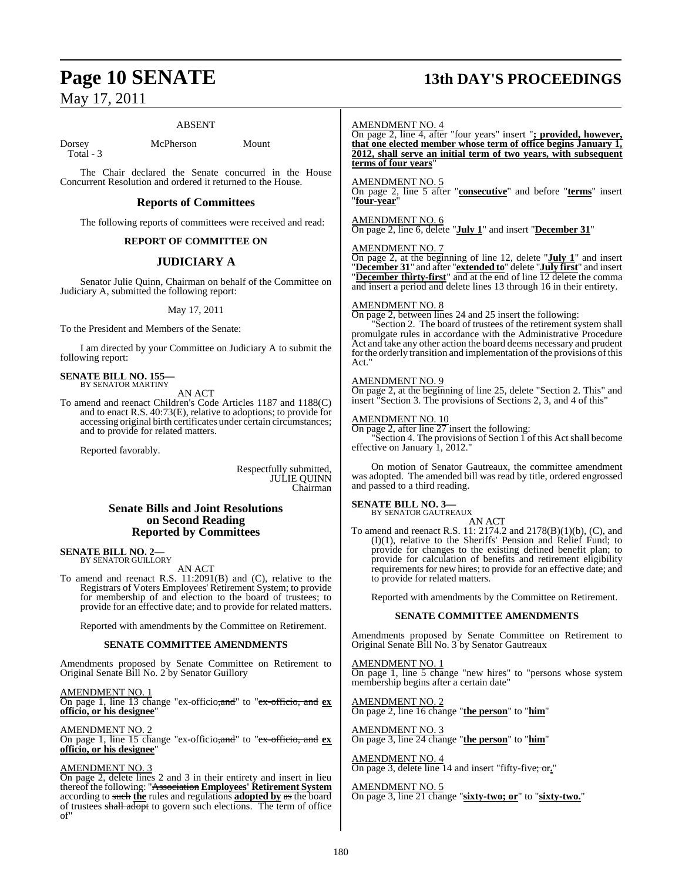#### ABSENT

Dorsey McPherson Mount Total - 3

The Chair declared the Senate concurred in the House Concurrent Resolution and ordered it returned to the House.

#### **Reports of Committees**

The following reports of committees were received and read:

#### **REPORT OF COMMITTEE ON**

#### **JUDICIARY A**

Senator Julie Quinn, Chairman on behalf of the Committee on Judiciary A, submitted the following report:

#### May 17, 2011

To the President and Members of the Senate:

I am directed by your Committee on Judiciary A to submit the following report:

## **SENATE BILL NO. 155—** BY SENATOR MARTINY

AN ACT

To amend and reenact Children's Code Articles 1187 and 1188(C) and to enact R.S. 40:73(E), relative to adoptions; to provide for accessing original birth certificates under certain circumstances; and to provide for related matters.

Reported favorably.

Respectfully submitted, JULIE QUINN Chairman

#### **Senate Bills and Joint Resolutions on Second Reading Reported by Committees**

#### **SENATE BILL NO. 2—** BY SENATOR GUILLORY

AN ACT

To amend and reenact R.S. 11:2091(B) and (C), relative to the Registrars of Voters Employees' Retirement System; to provide for membership of and election to the board of trustees; to provide for an effective date; and to provide for related matters.

Reported with amendments by the Committee on Retirement.

#### **SENATE COMMITTEE AMENDMENTS**

Amendments proposed by Senate Committee on Retirement to Original Senate Bill No. 2 by Senator Guillory

AMENDMENT NO. 1

On page 1, line 13 change "ex-officio,and" to "ex-officio, and **ex officio, or his designee**"

AMENDMENT NO. 2

On page 1, line 15 change "ex-officio,and" to "ex-officio, and **ex officio, or his designee**"

#### AMENDMENT NO. 3

On page 2, delete lines 2 and 3 in their entirety and insert in lieu thereof the following: "Association **Employees' Retirement System** according to such **the** rules and regulations **adopted by** as the board of trustees shall adopt to govern such elections. The term of office of"

## **Page 10 SENATE 13th DAY'S PROCEEDINGS**

AMENDMENT NO. 4

On page 2, line 4, after "four years" insert "**; provided, however, that one elected member whose term of office begins January 1, 2012, shall serve an initial term of two years, with subsequent terms of four years**"

AMENDMENT NO. 5

On page 2, line 5 after "**consecutive**" and before "**terms**" insert "**four-year**"

#### AMENDMENT NO. 6 On page 2, line 6, delete "**July 1**" and insert "**December 31**"

AMENDMENT NO. 7

On page 2, at the beginning of line 12, delete "**July 1**" and insert "**December 31**" and after "**extended to**" delete "**July first**" and insert "**December thirty-first**" and at the end of line 12 delete the comma and insert a period and delete lines 13 through 16 in their entirety.

#### AMENDMENT NO. 8

On page 2, between lines 24 and 25 insert the following:

"Section 2. The board of trustees of the retirement system shall promulgate rules in accordance with the Administrative Procedure Act and take any other action the board deems necessary and prudent for the orderly transition and implementation of the provisions of this Act."

#### AMENDMENT NO. 9

On page 2, at the beginning of line 25, delete "Section 2. This" and insert "Section 3. The provisions of Sections 2, 3, and 4 of this"

#### AMENDMENT NO. 10

On page 2, after line  $27$  insert the following:

"Section 4. The provisions of Section  $\tilde{1}$  of this Act shall become effective on January 1, 2012.

On motion of Senator Gautreaux, the committee amendment was adopted. The amended bill was read by title, ordered engrossed and passed to a third reading.

#### **SENATE BILL NO. 3—** BY SENATOR GAUTREAUX

AN ACT

To amend and reenact R.S. 11: 2174.2 and 2178(B)(1)(b), (C), and (I)(1), relative to the Sheriffs' Pension and Relief Fund; to provide for changes to the existing defined benefit plan; to provide for calculation of benefits and retirement eligibility requirements for new hires; to provide for an effective date; and to provide for related matters.

Reported with amendments by the Committee on Retirement.

#### **SENATE COMMITTEE AMENDMENTS**

Amendments proposed by Senate Committee on Retirement to Original Senate Bill No. 3 by Senator Gautreaux

AMENDMENT NO. 1 On page 1, line 5 change "new hires" to "persons whose system membership begins after a certain date"

AMENDMENT NO. 2 On page 2, line 16 change "**the person**" to "**him**"

AMENDMENT NO. 3 On page 3, line 24 change "**the person**" to "**him**"

AMENDMENT NO. 4 On page 3, delete line 14 and insert "fifty-five; or**.**"

AMENDMENT NO. 5 On page 3, line 21 change "**sixty-two; or**" to "**sixty-two.**"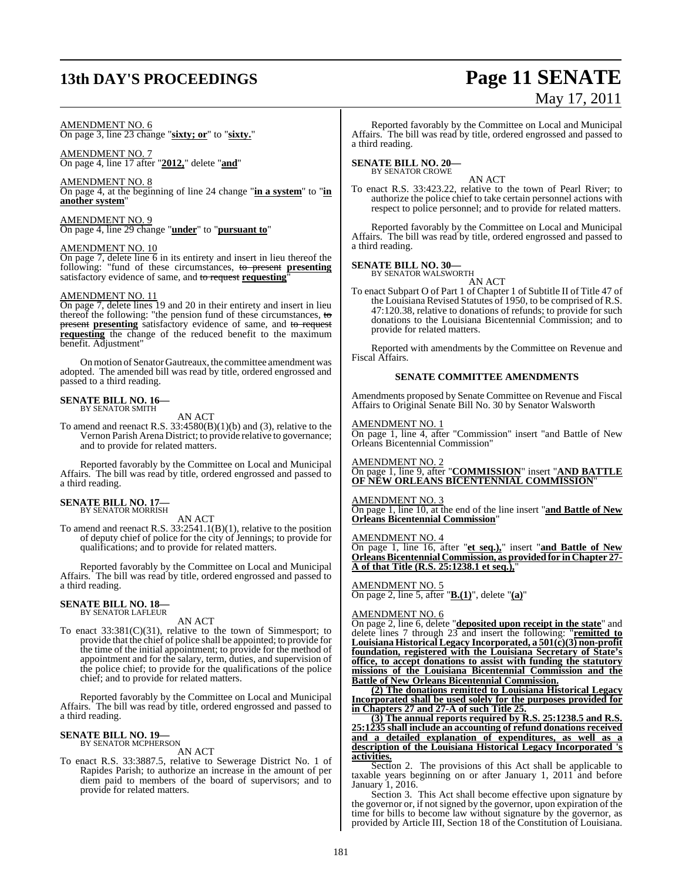## **13th DAY'S PROCEEDINGS Page 11 SENATE**

# May 17, 2011

#### AMENDMENT NO. 6

On page 3, line 23 change "**sixty; or**" to "**sixty.**"

AMENDMENT NO. 7 On page 4, line 17 after "**2012,**" delete "**and**"

#### AMENDMENT NO. 8

On page 4, at the beginning of line 24 change "**in a system**" to "**in another system**"

AMENDMENT NO. 9

On page 4, line 29 change "**under**" to "**pursuant to**"

#### AMENDMENT NO. 10

On page 7, delete line  $\overline{6}$  in its entirety and insert in lieu thereof the following: "fund of these circumstances, to present **presenting** satisfactory evidence of same, and to request requesting

#### AMENDMENT NO. 11

On page 7, delete lines 19 and 20 in their entirety and insert in lieu thereof the following: "the pension fund of these circumstances, to present presenting satisfactory evidence of same, and to request **requesting** the change of the reduced benefit to the maximum benefit. Adjustment"

On motion of Senator Gautreaux, the committee amendment was adopted. The amended bill was read by title, ordered engrossed and passed to a third reading.

## **SENATE BILL NO. 16—** BY SENATOR SMITH

AN ACT

To amend and reenact R.S.  $33:4580(B)(1)(b)$  and (3), relative to the Vernon Parish Arena District; to provide relative to governance; and to provide for related matters.

Reported favorably by the Committee on Local and Municipal Affairs. The bill was read by title, ordered engrossed and passed to a third reading.

## **SENATE BILL NO. 17—** BY SENATOR MORRISH

AN ACT

To amend and reenact R.S. 33:2541.1(B)(1), relative to the position of deputy chief of police for the city of Jennings; to provide for qualifications; and to provide for related matters.

Reported favorably by the Committee on Local and Municipal Affairs. The bill was read by title, ordered engrossed and passed to a third reading.

## **SENATE BILL NO. 18—** BY SENATOR LAFLEUR

AN ACT

To enact 33:381(C)(31), relative to the town of Simmesport; to provide that the chief of police shall be appointed; to provide for the time of the initial appointment; to provide for the method of appointment and for the salary, term, duties, and supervision of the police chief; to provide for the qualifications of the police chief; and to provide for related matters.

Reported favorably by the Committee on Local and Municipal Affairs. The bill was read by title, ordered engrossed and passed to a third reading.

## **SENATE BILL NO. 19—**<br>BY SENATOR MCPHERSON

AN ACT

To enact R.S. 33:3887.5, relative to Sewerage District No. 1 of Rapides Parish; to authorize an increase in the amount of per diem paid to members of the board of supervisors; and to provide for related matters.

Reported favorably by the Committee on Local and Municipal Affairs. The bill was read by title, ordered engrossed and passed to a third reading.

## **SENATE BILL NO. 20—** BY SENATOR CROWE

AN ACT

To enact R.S. 33:423.22, relative to the town of Pearl River; to authorize the police chief to take certain personnel actions with respect to police personnel; and to provide for related matters.

Reported favorably by the Committee on Local and Municipal Affairs. The bill was read by title, ordered engrossed and passed to a third reading.

#### **SENATE BILL NO. 30—**

BY SENATOR WALSWORTH AN ACT

To enact Subpart O of Part 1 of Chapter 1 of Subtitle II of Title 47 of the Louisiana Revised Statutes of 1950, to be comprised of R.S. 47:120.38, relative to donations of refunds; to provide for such donations to the Louisiana Bicentennial Commission; and to provide for related matters.

Reported with amendments by the Committee on Revenue and Fiscal Affairs.

#### **SENATE COMMITTEE AMENDMENTS**

Amendments proposed by Senate Committee on Revenue and Fiscal Affairs to Original Senate Bill No. 30 by Senator Walsworth

#### AMENDMENT NO. 1

On page 1, line 4, after "Commission" insert "and Battle of New Orleans Bicentennial Commission"

AMENDMENT NO. 2

On page 1, line 9, after "**COMMISSION**" insert "**AND BATTLE OF NEW ORLEANS BICENTENNIAL COMMISSION**"

#### <u>AMENDMENT NO. 3</u>

On page 1, line 10, at the end of the line insert "**and Battle of New Orleans Bicentennial Commission**"

#### AMENDMENT NO. 4

On page 1, line 16, after "**et seq.),**" insert "**and Battle of New OrleansBicentennial Commission, as providedfor in Chapter 27- A of that Title (R.S. 25:1238.1 et seq.),**"

#### AMENDMENT NO. 5 On page 2, line 5, after "**B.(1)**", delete "**(a)**"

#### AMENDMENT NO. 6

On page 2, line 6, delete "**deposited upon receipt in the state**" and delete lines 7 through 23 and insert the following: "**remitted to Louisiana Historical Legacy Incorporated, a 501(c)(3) non-profit foundation, registered with the Louisiana Secretary of State's office, to accept donations to assist with funding the statutory missions of the Louisiana Bicentennial Commission and the Battle of New Orleans Bicentennial Commission.**

**(2) The donations remitted to Louisiana Historical Legacy Incorporated shall be used solely for the purposes provided for in Chapters 27 and 27-A of such Title 25.**

**(3) The annual reports required by R.S. 25:1238.5 and R.S. 25:1235 shall include an accounting of refund donations received and a detailed explanation of expenditures, as well as a description of the Louisiana Historical Legacy Incorporated 's activities.**

Section 2. The provisions of this Act shall be applicable to taxable years beginning on or after January 1, 2011 and before January 1, 2016.

Section 3. This Act shall become effective upon signature by the governor or, if not signed by the governor, upon expiration of the time for bills to become law without signature by the governor, as provided by Article III, Section 18 of the Constitution of Louisiana.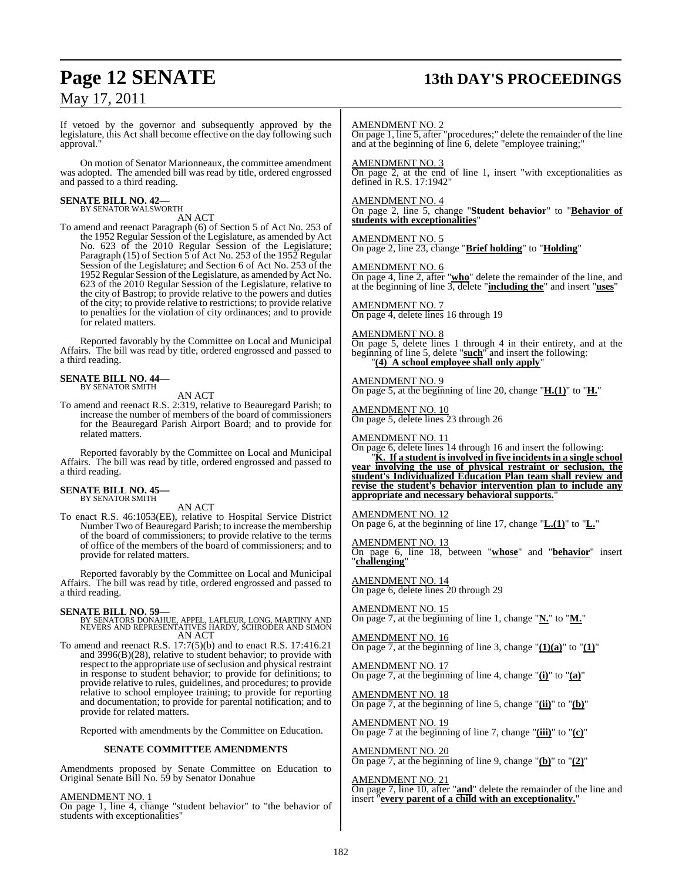## **Page 12 SENATE 13th DAY'S PROCEEDINGS**

## May 17, 2011

If vetoed by the governor and subsequently approved by the legislature, this Act shall become effective on the day following such approval."

On motion of Senator Marionneaux, the committee amendment was adopted. The amended bill was read by title, ordered engrossed and passed to a third reading.

## **SENATE BILL NO. 42—** BY SENATOR WALSWORTH

AN ACT

To amend and reenact Paragraph (6) of Section 5 of Act No. 253 of the 1952 Regular Session of the Legislature, as amended by Act No. 623 of the 2010 Regular Session of the Legislature; Paragraph (15) of Section 5 of Act No. 253 of the 1952 Regular Session of the Legislature; and Section 6 of Act No. 253 of the 1952 Regular Session of the Legislature, as amended by Act No. 623 of the 2010 Regular Session of the Legislature, relative to the city of Bastrop; to provide relative to the powers and duties of the city; to provide relative to restrictions; to provide relative to penalties for the violation of city ordinances; and to provide for related matters.

Reported favorably by the Committee on Local and Municipal Affairs. The bill was read by title, ordered engrossed and passed to a third reading.

#### **SENATE BILL NO. 44—** BY SENATOR SMITH

AN ACT

To amend and reenact R.S. 2:319, relative to Beauregard Parish; to increase the number of members of the board of commissioners for the Beauregard Parish Airport Board; and to provide for related matters.

Reported favorably by the Committee on Local and Municipal Affairs. The bill was read by title, ordered engrossed and passed to a third reading.

#### **SENATE BILL NO. 45—** BY SENATOR SMITH

AN ACT

To enact R.S. 46:1053(EE), relative to Hospital Service District Number Two of Beauregard Parish; to increase the membership of the board of commissioners; to provide relative to the terms of office of the members of the board of commissioners; and to provide for related matters.

Reported favorably by the Committee on Local and Municipal Affairs. The bill was read by title, ordered engrossed and passed to a third reading.

**SENATE BILL NO. 59—** BY SENATORS DONAHUE, APPEL, LAFLEUR, LONG, MARTINY AND NEVERS AND REPRESENTATIVES HARDY, SCHRODER AND SIMON AN ACT

To amend and reenact R.S. 17:7(5)(b) and to enact R.S. 17:416.21 and 3996(B)(28), relative to student behavior; to provide with respect to the appropriate use of seclusion and physical restraint in response to student behavior; to provide for definitions; to provide relative to rules, guidelines, and procedures; to provide relative to school employee training; to provide for reporting and documentation; to provide for parental notification; and to provide for related matters.

Reported with amendments by the Committee on Education.

#### **SENATE COMMITTEE AMENDMENTS**

Amendments proposed by Senate Committee on Education to Original Senate Bill No. 59 by Senator Donahue

#### AMENDMENT NO. 1

On page 1, line 4, change "student behavior" to "the behavior of students with exceptionalities"

#### AMENDMENT NO. 2

On page 1, line 5, after "procedures;" delete the remainder of the line and at the beginning of line 6, delete "employee training;"

AMENDMENT NO. 3

On page 2, at the end of line 1, insert "with exceptionalities as defined in R.S. 17:1942"

AMENDMENT NO. 4

On page 2, line 5, change "**Student behavior**" to "**Behavior of students with exceptionalities**"

AMENDMENT NO. 5 On page 2, line 23, change "**Brief holding**" to "**Holding**"

AMENDMENT NO. 6

On page 4, line 2, after "**who**" delete the remainder of the line, and at the beginning of line 3, delete "**including the**" and insert "**uses**"

AMENDMENT NO. 7 On page 4, delete lines 16 through 19

#### AMENDMENT NO. 8

On page 5, delete lines 1 through 4 in their entirety, and at the beginning of line 5, delete "**such**" and insert the following: "**(4) A school employee shall only apply**"

#### AMENDMENT NO. 9

On page 5, at the beginning of line 20, change "**H.(1)**" to "**H.**"

AMENDMENT NO. 10 On page 5, delete lines 23 through 26

AMENDMENT NO. 11

On page 6, delete lines 14 through 16 and insert the following:

"**K. If a student is involved in five incidents in a single school year involving the use of physical restraint or seclusion, the student's Individualized Education Plan team shall review and revise the student's behavior intervention plan to include any appropriate and necessary behavioral supports.**"

AMENDMENT NO. 12

On page 6, at the beginning of line 17, change "**L.(1)**" to "**L.**"

#### AMENDMENT NO. 13

On page 6, line 18, between "**whose**" and "**behavior**" insert "**challenging**"

AMENDMENT NO. 14 On page 6, delete lines 20 through 29

AMENDMENT NO. 15 On page 7, at the beginning of line 1, change "**N.**" to "**M.**"

AMENDMENT NO. 16 On page 7, at the beginning of line 3, change  $"(\mathbf{1})(\mathbf{a})"$  to  $"\mathbf{(1)}"$ 

AMENDMENT NO. 17 On page 7, at the beginning of line 4, change "**(i)**" to "**(a)**"

AMENDMENT NO. 18 On page 7, at the beginning of line 5, change "**(ii)**" to "**(b)**"

AMENDMENT NO. 19 On page 7 at the beginning of line 7, change "**(iii)**" to "**(c)**"

AMENDMENT NO. 20 On page 7, at the beginning of line 9, change "**(b)**" to "**(2)**"

AMENDMENT NO. 21 On page 7, line 10, after "**and**" delete the remainder of the line and insert "**every parent of a child with an exceptionality.**"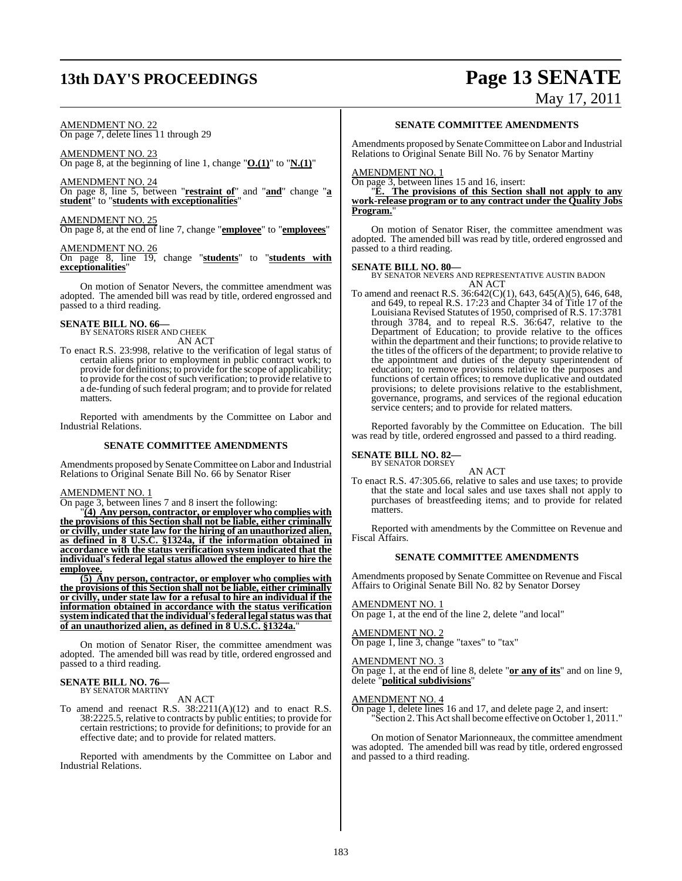## **13th DAY'S PROCEEDINGS Page 13 SENATE**

## AMENDMENT NO. 22

On page 7, delete lines 11 through 29

AMENDMENT NO. 23 On page 8, at the beginning of line 1, change "**O.(1)**" to "**N.(1)**"

AMENDMENT NO. 24 On page 8, line 5, between "**restraint of**" and "**and**" change "**a student**" to "**students with exceptionalities**"

### AMENDMENT NO. 25

On page 8, at the end of line 7, change "**employee**" to "**employees**"

### AMENDMENT NO. 26

On page 8, line 19, change "**students**" to "**students with exceptionalities**"

On motion of Senator Nevers, the committee amendment was adopted. The amended bill was read by title, ordered engrossed and passed to a third reading.

## **SENATE BILL NO. 66—** BY SENATORS RISER AND CHEEK

AN ACT

To enact R.S. 23:998, relative to the verification of legal status of certain aliens prior to employment in public contract work; to provide for definitions; to provide for the scope of applicability; to provide for the cost of such verification; to provide relative to a de-funding of such federal program; and to provide for related matters.

Reported with amendments by the Committee on Labor and Industrial Relations.

#### **SENATE COMMITTEE AMENDMENTS**

Amendments proposed by Senate Committee on Labor and Industrial Relations to Original Senate Bill No. 66 by Senator Riser

#### AMENDMENT NO. 1

On page 3, between lines 7 and 8 insert the following:

"**(4) Any person, contractor, or employer who complies with the provisions of this Section shall not be liable, either criminally or civilly, under state law for the hiring of an unauthorized alien, as defined in 8 U.S.C. §1324a, if the information obtained in accordance with the status verification system indicated that the individual's federal legal status allowed the employer to hire the employee.**

**(5) Any person, contractor, or employer who complies with the provisions of this Section shall not be liable, either criminally or civilly, under state law for a refusal to hire an individual if the information obtained in accordance with the status verification system indicated that the individual'sfederal legalstatus wasthat of an unauthorized alien, as defined in 8 U.S.C. §1324a.**"

On motion of Senator Riser, the committee amendment was adopted. The amended bill was read by title, ordered engrossed and passed to a third reading.

#### **SENATE BILL NO. 76—** BY SENATOR MARTINY

AN ACT

To amend and reenact R.S. 38:2211(A)(12) and to enact R.S. 38:2225.5, relative to contracts by public entities; to provide for certain restrictions; to provide for definitions; to provide for an effective date; and to provide for related matters.

Reported with amendments by the Committee on Labor and Industrial Relations.

#### **SENATE COMMITTEE AMENDMENTS**

Amendments proposed by Senate Committee on Labor and Industrial Relations to Original Senate Bill No. 76 by Senator Martiny

#### AMENDMENT NO. 1

On page 3, between lines 15 and 16, insert:

"**E. The provisions of this Section shall not apply to any work-release program or to any contract under the Quality Jobs Program.**"

On motion of Senator Riser, the committee amendment was adopted. The amended bill was read by title, ordered engrossed and passed to a third reading.

**SENATE BILL NO. 80—** BY SENATOR NEVERS AND REPRESENTATIVE AUSTIN BADON AN ACT

To amend and reenact R.S. 36:642(C)(1), 643, 645(A)(5), 646, 648, and 649, to repeal R.S. 17:23 and Chapter 34 of Title 17 of the Louisiana Revised Statutes of 1950, comprised of R.S. 17:3781 through 3784, and to repeal R.S. 36:647, relative to the Department of Education; to provide relative to the offices within the department and their functions; to provide relative to the titles of the officers of the department; to provide relative to the appointment and duties of the deputy superintendent of education; to remove provisions relative to the purposes and functions of certain offices; to remove duplicative and outdated provisions; to delete provisions relative to the establishment, governance, programs, and services of the regional education service centers; and to provide for related matters.

Reported favorably by the Committee on Education. The bill was read by title, ordered engrossed and passed to a third reading.

#### **SENATE BILL NO. 82—** BY SENATOR DORSEY

AN ACT

To enact R.S. 47:305.66, relative to sales and use taxes; to provide that the state and local sales and use taxes shall not apply to purchases of breastfeeding items; and to provide for related matters.

Reported with amendments by the Committee on Revenue and Fiscal Affairs.

#### **SENATE COMMITTEE AMENDMENTS**

Amendments proposed by Senate Committee on Revenue and Fiscal Affairs to Original Senate Bill No. 82 by Senator Dorsey

AMENDMENT NO. 1

On page 1, at the end of the line 2, delete "and local"

#### AMENDMENT NO. 2

On page 1, line 3, change "taxes" to "tax"

#### AMENDMENT NO. 3

On page 1, at the end of line 8, delete "**or any of its**" and on line 9, delete "**political subdivisions**"

#### AMENDMENT NO. 4

On page 1, delete lines 16 and 17, and delete page 2, and insert: "Section 2. This Actshall become effective on October 1, 2011."

On motion of Senator Marionneaux, the committee amendment was adopted. The amended bill was read by title, ordered engrossed and passed to a third reading.

# May 17, 2011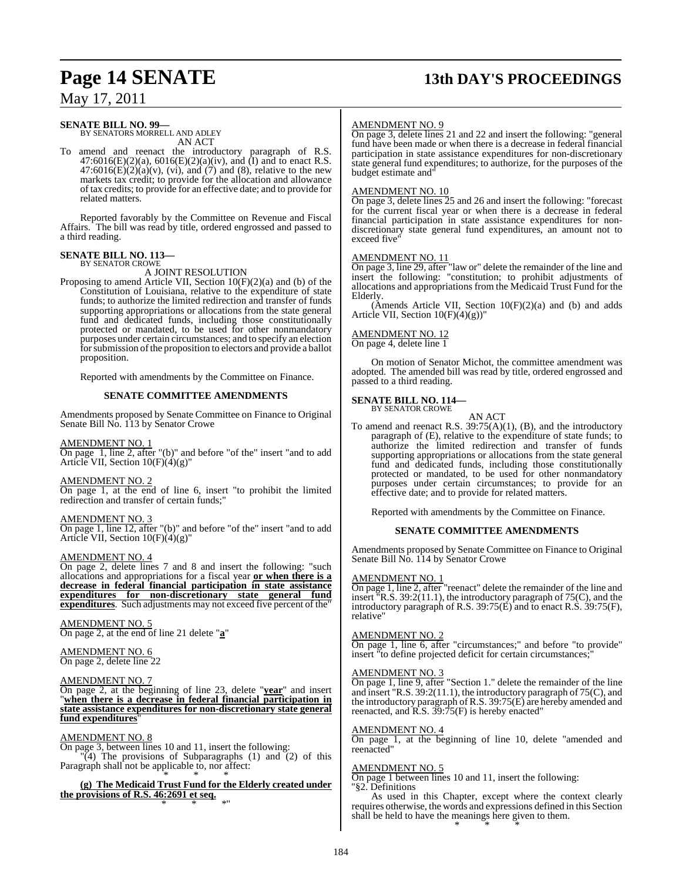## **Page 14 SENATE 13th DAY'S PROCEEDINGS**

May 17, 2011

#### **SENATE BILL NO. 99—**

BY SENATORS MORRELL AND ADLEY AN ACT

To amend and reenact the introductory paragraph of R.S.  $47:6016(E)(2)(a)$ ,  $6016(E)(2)(a)(iv)$ , and  $(I)$  and to enact R.S.  $47:6016(E)(2)(a)(v)$ , (vi), and (7) and (8), relative to the new markets tax credit; to provide for the allocation and allowance of tax credits; to provide for an effective date; and to provide for related matters.

Reported favorably by the Committee on Revenue and Fiscal Affairs. The bill was read by title, ordered engrossed and passed to a third reading.

#### **SENATE BILL NO. 113—** BY SENATOR CROWE

A JOINT RESOLUTION

Proposing to amend Article VII, Section 10(F)(2)(a) and (b) of the Constitution of Louisiana, relative to the expenditure of state funds; to authorize the limited redirection and transfer of funds supporting appropriations or allocations from the state general fund and dedicated funds, including those constitutionally protected or mandated, to be used for other nonmandatory purposes under certain circumstances; and to specify an election for submission of the proposition to electors and provide a ballot proposition.

Reported with amendments by the Committee on Finance.

#### **SENATE COMMITTEE AMENDMENTS**

Amendments proposed by Senate Committee on Finance to Original Senate Bill No. 113 by Senator Crowe

#### AMENDMENT NO. 1

On page 1, line 2, after "(b)" and before "of the" insert "and to add Article VII, Section 10(F)(4)(g)"

#### AMENDMENT NO. 2

On page 1, at the end of line 6, insert "to prohibit the limited redirection and transfer of certain funds;"

#### AMENDMENT NO. 3

On page 1, line 12, after "(b)" and before "of the" insert "and to add Article VII, Section 10(F)(4)(g)"

#### AMENDMENT NO. 4

On page 2, delete lines 7 and 8 and insert the following: "such allocations and appropriations for a fiscal year **or when there is a decrease in federal financial participation in state assistance expenditures for non-discretionary state general fund expenditures**. Such adjustments may not exceed five percent of the"

AMENDMENT NO. 5 On page 2, at the end of line 21 delete "**a**"

#### AMENDMENT NO. 6 On page 2, delete line 22

#### AMENDMENT NO. 7

On page 2, at the beginning of line 23, delete "**year**" and insert "**when there is a decrease in federal financial participation in state assistance expenditures for non-discretionary state general fund expenditures**"

#### AMENDMENT NO. 8

On page 3, between lines 10 and 11, insert the following:  $\mathbb{T}(4)$  The provisions of Subparagraphs (1) and (2) of this Paragraph shall not be applicable to, nor affect:

\* \* \* **(g) The Medicaid Trust Fund for the Elderly created under the provisions of R.S. 46:2691 et seq.** \* \* \*"

#### AMENDMENT NO. 9

On page 3, delete lines 21 and 22 and insert the following: "general fund have been made or when there is a decrease in federal financial participation in state assistance expenditures for non-discretionary state general fund expenditures; to authorize, for the purposes of the budget estimate and"

#### AMENDMENT NO. 10

On page 3, delete lines 25 and 26 and insert the following: "forecast for the current fiscal year or when there is a decrease in federal financial participation in state assistance expenditures for nondiscretionary state general fund expenditures, an amount not to exceed five

#### AMENDMENT NO. 11

On page 3, line 29, after "law or" delete the remainder of the line and insert the following: "constitution; to prohibit adjustments of allocations and appropriations from the Medicaid Trust Fund for the Elderly.

 $(A$ mends Article VII, Section  $10(F)(2)(a)$  and (b) and adds Article VII, Section 10(F)(4)(g))"

#### AMENDMENT NO. 12

On page 4, delete line 1

On motion of Senator Michot, the committee amendment was adopted. The amended bill was read by title, ordered engrossed and passed to a third reading.

## **SENATE BILL NO. 114—** BY SENATOR CROWE

AN ACT

To amend and reenact R.S. 39:75(A)(1), (B), and the introductory paragraph of (E), relative to the expenditure of state funds; to authorize the limited redirection and transfer of funds supporting appropriations or allocations from the state general fund and dedicated funds, including those constitutionally protected or mandated, to be used for other nonmandatory purposes under certain circumstances; to provide for an effective date; and to provide for related matters.

Reported with amendments by the Committee on Finance.

#### **SENATE COMMITTEE AMENDMENTS**

Amendments proposed by Senate Committee on Finance to Original Senate Bill No. 114 by Senator Crowe

#### AMENDMENT NO. 1

On page 1, line 2, after "reenact" delete the remainder of the line and insert "R.S. 39:2(11.1), the introductory paragraph of 75(C), and the introductory paragraph of R.S. 39:75(E) and to enact R.S. 39:75(F), relative"

#### AMENDMENT NO. 2

On page 1, line 6, after "circumstances;" and before "to provide" insert "to define projected deficit for certain circumstances;

#### AMENDMENT NO. 3

On page 1, line 9, after "Section 1." delete the remainder of the line and insert "R.S. 39:2(11.1), the introductory paragraph of 75(C), and the introductory paragraph of R.S. 39:75(E) are hereby amended and reenacted, and R.S. 39:75(F) is hereby enacted"

#### AMENDMENT NO. 4

On page 1, at the beginning of line 10, delete "amended and reenacted"

#### AMENDMENT NO. 5

On page 1 between lines 10 and 11, insert the following: "§2. Definitions

As used in this Chapter, except where the context clearly requires otherwise, the words and expressions defined in this Section shall be held to have the meanings here given to them. \* \* \*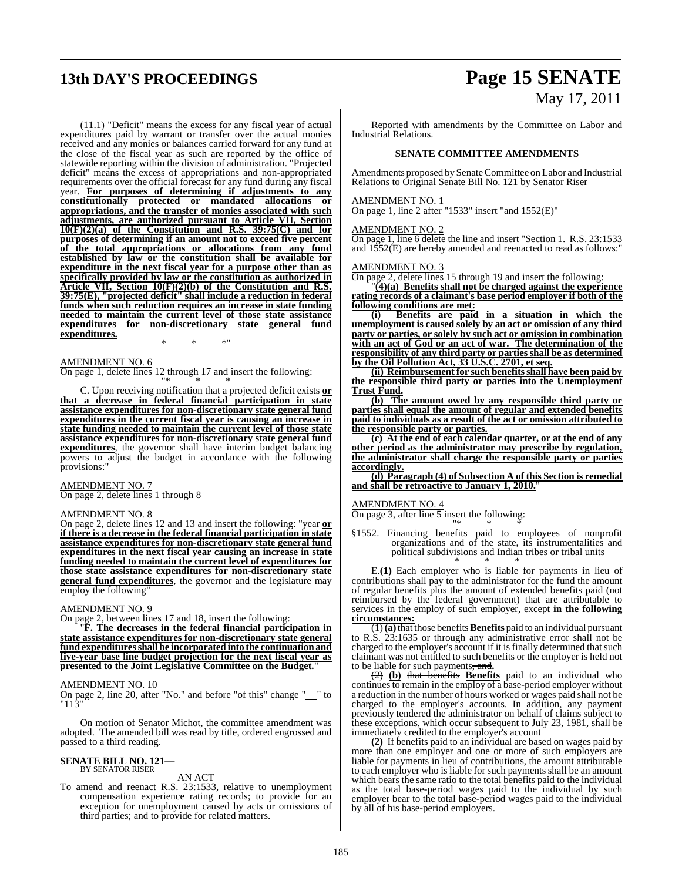## **13th DAY'S PROCEEDINGS Page 15 SENATE**

(11.1) "Deficit" means the excess for any fiscal year of actual expenditures paid by warrant or transfer over the actual monies received and any monies or balances carried forward for any fund at the close of the fiscal year as such are reported by the office of statewide reporting within the division of administration. "Projected deficit" means the excess of appropriations and non-appropriated requirements over the official forecast for any fund during any fiscal year. **For purposes of determining if adjustments to any constitutionally protected or mandated allocations or appropriations, and the transfer of monies associated with such adjustments, are authorized pursuant to Article VII, Section 10(F)(2)(a) of the Constitution and R.S. 39:75(C) and for purposes of determining if an amount not to exceed five percent of the total appropriations or allocations from any fund established by law or the constitution shall be available for expenditure in the next fiscal year for a purpose other than as specifically provided by law or the constitution as authorized in Article VII, Section 10(F)(2)(b) of the Constitution and R.S. 39:75(E), "projected deficit" shall include a reduction in federal funds when such reduction requires an increase in state funding needed to maintain the current level of those state assistance expenditures for non-discretionary state general fund expenditures.**

\* \* \*"

#### AMENDMENT NO. 6

On page 1, delete lines 12 through 17 and insert the following:

"\* \* \* C. Upon receiving notification that a projected deficit exists **or that a decrease in federal financial participation in state assistance expenditures for non-discretionary state general fund expenditures in the current fiscal year is causing an increase in state funding needed to maintain the current level of those state assistance expenditures for non-discretionary state general fund expenditures**, the governor shall have interim budget balancing powers to adjust the budget in accordance with the following provisions:"

#### AMENDMENT NO. 7

On page 2, delete lines 1 through 8

#### AMENDMENT NO. 8

On page 2, delete lines 12 and 13 and insert the following: "year **or if there is a decrease in the federal financial participation in state assistance expenditures for non-discretionary state general fund expenditures in the next fiscal year causing an increase in state funding needed to maintain the current level of expenditures for those state assistance expenditures for non-discretionary state general fund expenditures**, the governor and the legislature may employ the following'

#### AMENDMENT NO. 9

On page 2, between lines 17 and 18, insert the following:

"**F. The decreases in the federal financial participation in state assistance expenditures for non-discretionary state general fund expendituresshall be incorporated into the continuation and five-year base line budget projection for the next fiscal year as presented to the Joint Legislative Committee on the Budget.**"

#### AMENDMENT NO. 10

On page 2, line 20, after "No." and before "of this" change "\_" to "113"

On motion of Senator Michot, the committee amendment was adopted. The amended bill was read by title, ordered engrossed and passed to a third reading.

#### **SENATE BILL NO. 121—** BY SENATOR RISER

#### AN ACT

To amend and reenact R.S. 23:1533, relative to unemployment compensation experience rating records; to provide for an exception for unemployment caused by acts or omissions of third parties; and to provide for related matters.

# May 17, 2011

Reported with amendments by the Committee on Labor and Industrial Relations.

#### **SENATE COMMITTEE AMENDMENTS**

Amendments proposed by Senate Committee on Labor and Industrial Relations to Original Senate Bill No. 121 by Senator Riser

#### AMENDMENT NO. 1

On page 1, line 2 after "1533" insert "and 1552(E)"

#### AMENDMENT NO. 2

On page 1, line 6 delete the line and insert "Section 1. R.S. 23:1533 and 1552(E) are hereby amended and reenacted to read as follows:"

#### AMENDMENT NO. 3

On page 2, delete lines 15 through 19 and insert the following:

"**(4)(a) Benefits shall not be charged against the experience rating records of a claimant's base period employer if both of the following conditions are met:**

**(i) Benefits are paid in a situation in which the unemployment is caused solely by an act or omission of any third party or parties, or solely by such act or omission in combination with an act of God or an act of war. The determination of the responsibility of any third party or partiesshall be as determined by the Oil Pollution Act, 33 U.S.C. 2701, et seq.**

**(ii) Reimbursement for such benefits shall have been paid by the responsible third party or parties into the Unemployment Trust Fund.**

**(b) The amount owed by any responsible third party or parties shall equal the amount of regular and extended benefits paid to individuals as a result of the act or omission attributed to the responsible party or parties.**

**(c) At the end of each calendar quarter, or at the end of any other period as the administrator may prescribe by regulation, the administrator shall charge the responsible party or parties accordingly.**

**(d) Paragraph (4) of Subsection A of this Section is remedial and shall be retroactive to January 1, 2010.**"

#### AMENDMENT NO. 4

On page 3, after line 5 insert the following: "\* \* \*

§1552. Financing benefits paid to employees of nonprofit organizations and of the state, its instrumentalities and political subdivisions and Indian tribes or tribal units \* \* \*

E.**(1)** Each employer who is liable for payments in lieu of contributions shall pay to the administrator for the fund the amount of regular benefits plus the amount of extended benefits paid (not reimbursed by the federal government) that are attributable to services in the employ of such employer, except **in the following circumstances:**

(1)**(a)**that those benefits**Benefits** paid to an individual pursuant to R.S.  $23:1635$  or through any administrative error shall not be charged to the employer's account if it is finally determined that such claimant was not entitled to such benefits or the employer is held not to be liable for such payments, and**.**

(2) **(b)** that benefits **Benefits** paid to an individual who continues to remain in the employ of a base-period employer without a reduction in the number of hours worked or wages paid shall not be charged to the employer's accounts. In addition, any payment previously tendered the administrator on behalf of claims subject to these exceptions, which occur subsequent to July 23, 1981, shall be immediately credited to the employer's account

**(2)** If benefits paid to an individual are based on wages paid by more than one employer and one or more of such employers are liable for payments in lieu of contributions, the amount attributable to each employer who is liable for such payments shall be an amount which bears the same ratio to the total benefits paid to the individual as the total base-period wages paid to the individual by such employer bear to the total base-period wages paid to the individual by all of his base-period employers.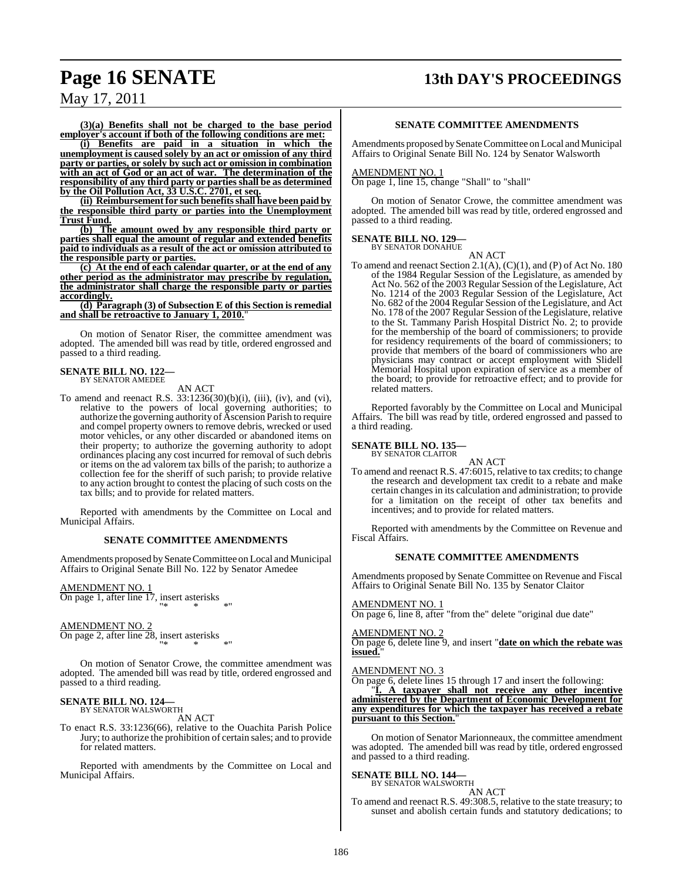## **Page 16 SENATE 13th DAY'S PROCEEDINGS**

**(3)(a) Benefits shall not be charged to the base period employer's account if both of the following conditions are met:**

**(i) Benefits are paid in a situation in which the unemployment is caused solely by an act or omission of any third party or parties, or solely by such act or omission in combination with an act of God or an act of war. The determination of the responsibility of any third party or parties shall be as determined by the Oil Pollution Act, 33 U.S.C. 2701, et seq.**

**(ii) Reimbursement for such benefits shall have been paid by the responsible third party or parties into the Unemployment Trust Fund.**

**(b) The amount owed by any responsible third party or parties shall equal the amount of regular and extended benefits paid to individuals as a result of the act or omission attributed to the responsible party or parties.**

**(c) At the end of each calendar quarter, or at the end of any other period as the administrator may prescribe by regulation, the administrator shall charge the responsible party or parties accordingly.**

**(d) Paragraph (3) of Subsection E of this Section is remedial and shall be retroactive to January 1, 2010.**"

On motion of Senator Riser, the committee amendment was adopted. The amended bill was read by title, ordered engrossed and passed to a third reading.

## **SENATE BILL NO. 122—** BY SENATOR AMEDEE

AN ACT

To amend and reenact R.S.  $33:1236(30)(b)(i)$ , (iii), (iv), and (vi), relative to the powers of local governing authorities; to authorize the governing authority of Ascension Parish to require and compel property owners to remove debris, wrecked or used motor vehicles, or any other discarded or abandoned items on their property; to authorize the governing authority to adopt ordinances placing any cost incurred for removal of such debris or items on the ad valorem tax bills of the parish; to authorize a collection fee for the sheriff of such parish; to provide relative to any action brought to contest the placing of such costs on the tax bills; and to provide for related matters.

Reported with amendments by the Committee on Local and Municipal Affairs.

#### **SENATE COMMITTEE AMENDMENTS**

Amendments proposed by Senate Committee on Local and Municipal Affairs to Original Senate Bill No. 122 by Senator Amedee

AMENDMENT NO. 1

On page 1, after line 17, insert asterisks "\* \* \*"

#### AMENDMENT NO. 2

On page 2, after line 28, insert asterisks "\* \* \*"

On motion of Senator Crowe, the committee amendment was adopted. The amended bill was read by title, ordered engrossed and passed to a third reading.

#### **SENATE BILL NO. 124—** BY SENATOR WALSWORTH

AN ACT

To enact R.S. 33:1236(66), relative to the Ouachita Parish Police Jury; to authorize the prohibition of certain sales; and to provide for related matters.

Reported with amendments by the Committee on Local and Municipal Affairs.

#### **SENATE COMMITTEE AMENDMENTS**

Amendments proposed by Senate Committee on Local and Municipal Affairs to Original Senate Bill No. 124 by Senator Walsworth

#### AMENDMENT NO. 1

On page 1, line 15, change "Shall" to "shall"

On motion of Senator Crowe, the committee amendment was adopted. The amended bill was read by title, ordered engrossed and passed to a third reading.

## **SENATE BILL NO. 129—** BY SENATOR DONAHUE

AN ACT

To amend and reenact Section 2.1(A), (C)(1), and (P) of Act No. 180 of the 1984 Regular Session of the Legislature, as amended by Act No. 562 of the 2003 Regular Session of the Legislature, Act No. 1214 of the 2003 Regular Session of the Legislature, Act No. 682 of the 2004 Regular Session of the Legislature, and Act No. 178 of the 2007 Regular Session of the Legislature, relative to the St. Tammany Parish Hospital District No. 2; to provide for the membership of the board of commissioners; to provide for residency requirements of the board of commissioners; to provide that members of the board of commissioners who are physicians may contract or accept employment with Slidell Memorial Hospital upon expiration of service as a member of the board; to provide for retroactive effect; and to provide for related matters.

Reported favorably by the Committee on Local and Municipal Affairs. The bill was read by title, ordered engrossed and passed to a third reading.

#### **SENATE BILL NO. 135—**

BY SENATOR CLAITOR

AN ACT

To amend and reenact R.S. 47:6015, relative to tax credits; to change the research and development tax credit to a rebate and make certain changes in its calculation and administration; to provide for a limitation on the receipt of other tax benefits and incentives; and to provide for related matters.

Reported with amendments by the Committee on Revenue and Fiscal Affairs.

#### **SENATE COMMITTEE AMENDMENTS**

Amendments proposed by Senate Committee on Revenue and Fiscal Affairs to Original Senate Bill No. 135 by Senator Claitor

AMENDMENT NO. 1

On page 6, line 8, after "from the" delete "original due date"

#### AMENDMENT NO. 2

On page 6, delete line 9, and insert "**date on which the rebate was issued.**"

### AMENDMENT NO. 3

On page 6, delete lines 15 through 17 and insert the following:

"**I. A taxpayer shall not receive any other incentive administered by the Department of Economic Development for any expenditures for which the taxpayer has received a rebate pursuant to this Section.**"

On motion of Senator Marionneaux, the committee amendment was adopted. The amended bill was read by title, ordered engrossed and passed to a third reading.

#### **SENATE BILL NO. 144—**

BY SENATOR WALSWORTH AN ACT

To amend and reenact R.S. 49:308.5, relative to the state treasury; to sunset and abolish certain funds and statutory dedications; to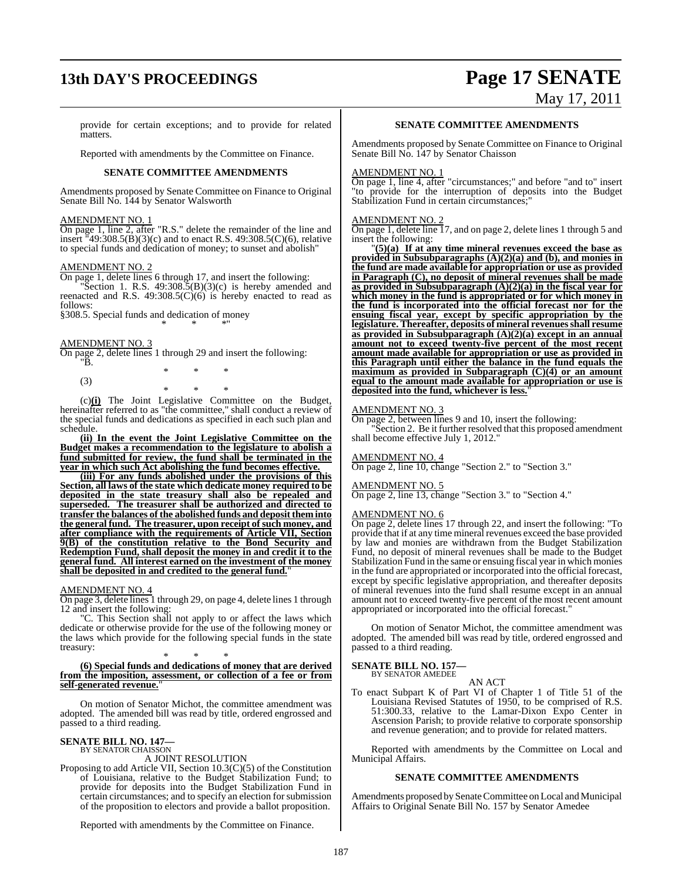## **13th DAY'S PROCEEDINGS Page 17 SENATE**

# May 17, 2011

provide for certain exceptions; and to provide for related matters.

Reported with amendments by the Committee on Finance.

#### **SENATE COMMITTEE AMENDMENTS**

Amendments proposed by Senate Committee on Finance to Original Senate Bill No. 144 by Senator Walsworth

#### AMENDMENT NO. 1

On page 1, line 2, after "R.S." delete the remainder of the line and insert  $\frac{1}{4}9:308.5(B)(3)(c)$  and to enact R.S. 49:308.5(C)(6), relative to special funds and dedication of money; to sunset and abolish"

#### AMENDMENT NO. 2

On page 1, delete lines 6 through 17, and insert the following:

"Section 1. R.S.  $49:308.5(B)(3)(c)$  is hereby amended and reenacted and R.S. 49:308.5(C)(6) is hereby enacted to read as follows:

\* \* \*"

§308.5. Special funds and dedication of money

#### AMENDMENT NO. 3

On page 2, delete lines 1 through 29 and insert the following: "B.

\* \* \* (3) \* \* \*

(c)**(i)** The Joint Legislative Committee on the Budget, hereinafter referred to as "the committee," shall conduct a review of the special funds and dedications as specified in each such plan and schedule.

**(ii) In the event the Joint Legislative Committee on the Budget makes a recommendation to the legislature to abolish a fund submitted for review, the fund shall be terminated in the year in which such Act abolishing the fund becomes effective.**

**(iii) For any funds abolished under the provisions of this Section, all laws of the state which dedicate money required to be deposited in the state treasury shall also be repealed and superseded. The treasurer shall be authorized and directed to transfer the balances of the abolished funds and deposit them into the general fund. The treasurer, upon receipt of such money, and after compliance with the requirements of Article VII, Section 9(B) of the constitution relative to the Bond Security and Redemption Fund, shall deposit the money in and credit it to the general fund. All interest earned on the investment of the money shall be deposited in and credited to the general fund.**"

#### AMENDMENT NO. 4

On page 3, delete lines 1 through 29, on page 4, delete lines 1 through 12 and insert the following:

"C. This Section shall not apply to or affect the laws which dedicate or otherwise provide for the use of the following money or the laws which provide for the following special funds in the state treasury:

#### \* \* \* **(6) Special funds and dedications of money that are derived from the imposition, assessment, or collection of a fee or from** self-generated revenue.

On motion of Senator Michot, the committee amendment was adopted. The amended bill was read by title, ordered engrossed and passed to a third reading.

#### **SENATE BILL NO. 147—** BY SENATOR CHAISSON

A JOINT RESOLUTION

Proposing to add Article VII, Section 10.3(C)(5) of the Constitution of Louisiana, relative to the Budget Stabilization Fund; to provide for deposits into the Budget Stabilization Fund in certain circumstances; and to specify an election for submission of the proposition to electors and provide a ballot proposition.

Reported with amendments by the Committee on Finance.

#### **SENATE COMMITTEE AMENDMENTS**

Amendments proposed by Senate Committee on Finance to Original Senate Bill No. 147 by Senator Chaisson

#### AMENDMENT NO. 1

On page 1, line 4, after "circumstances;" and before "and to" insert "to provide for the interruption of deposits into the Budget Stabilization Fund in certain circumstances;"

#### AMENDMENT NO. 2

On page 1, delete line 17, and on page 2, delete lines 1 through 5 and insert the following:

"**(5)(a) If at any time mineral revenues exceed the base as provided in Subsubparagraphs (A)(2)(a) and (b), and monies in the fund are made available for appropriation or use as provided in Paragraph (C), no deposit of mineral revenues shall be made as provided in Subsubparagraph (A)(2)(a) in the fiscal year for which money in the fund is appropriated or for which money in the fund is incorporated into the official forecast nor for the ensuing fiscal year, except by specific appropriation by the legislature. Thereafter, deposits of mineral revenuesshall resume as provided in Subsubparagraph (A)(2)(a) except in an annual amount not to exceed twenty-five percent of the most recent amount made available for appropriation or use as provided in this Paragraph until either the balance in the fund equals the maximum as provided in Subparagraph (C)(4) or an amount equal to the amount made available for appropriation or use is deposited into the fund, whichever is less.**"

#### AMENDMENT NO. 3

On page 2, between lines 9 and 10, insert the following:

"Section 2. Be it further resolved that this proposed amendment shall become effective July 1, 2012."

#### AMENDMENT NO. 4

On page 2, line 10, change "Section 2." to "Section 3."

#### AMENDMENT NO. 5

On page 2, line 13, change "Section 3." to "Section 4."

#### AMENDMENT NO. 6

On page 2, delete lines 17 through 22, and insert the following: "To provide that if at any time mineral revenues exceed the base provided by law and monies are withdrawn from the Budget Stabilization Fund, no deposit of mineral revenues shall be made to the Budget Stabilization Fund in the same or ensuing fiscal year in which monies in the fund are appropriated or incorporated into the official forecast, except by specific legislative appropriation, and thereafter deposits of mineral revenues into the fund shall resume except in an annual amount not to exceed twenty-five percent of the most recent amount appropriated or incorporated into the official forecast."

On motion of Senator Michot, the committee amendment was adopted. The amended bill was read by title, ordered engrossed and passed to a third reading.

#### **SENATE BILL NO. 157—**

BY SENATOR AMEDEE AN ACT

To enact Subpart K of Part VI of Chapter 1 of Title 51 of the Louisiana Revised Statutes of 1950, to be comprised of R.S. 51:300.33, relative to the Lamar-Dixon Expo Center in Ascension Parish; to provide relative to corporate sponsorship and revenue generation; and to provide for related matters.

Reported with amendments by the Committee on Local and Municipal Affairs.

#### **SENATE COMMITTEE AMENDMENTS**

Amendments proposed by Senate Committee on Local and Municipal Affairs to Original Senate Bill No. 157 by Senator Amedee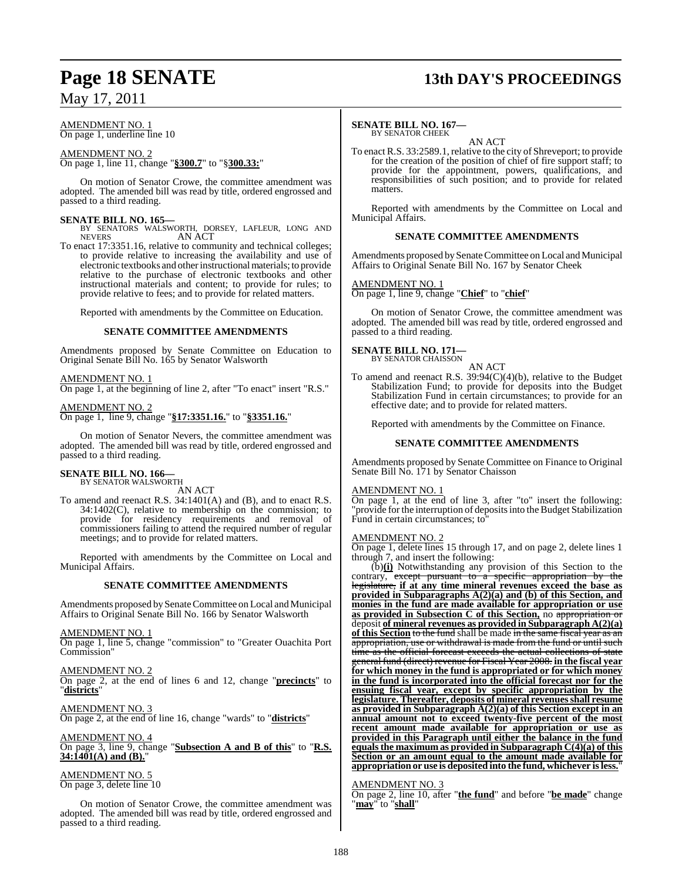#### AMENDMENT NO. 1 On page 1, underline line 10

AMENDMENT NO. 2 On page 1, line 11, change "**§300.7**" to "§**300.33:**"

On motion of Senator Crowe, the committee amendment was adopted. The amended bill was read by title, ordered engrossed and passed to a third reading.

#### **SENATE BILL NO. 165—**

BY SENATORS WALSWORTH, DORSEY, LAFLEUR, LONG AND NEVERS AN ACT AN ACT

To enact 17:3351.16, relative to community and technical colleges; to provide relative to increasing the availability and use of electronic textbooks and otherinstructional materials; to provide relative to the purchase of electronic textbooks and other instructional materials and content; to provide for rules; to provide relative to fees; and to provide for related matters.

Reported with amendments by the Committee on Education.

#### **SENATE COMMITTEE AMENDMENTS**

Amendments proposed by Senate Committee on Education to Original Senate Bill No. 165 by Senator Walsworth

AMENDMENT NO. 1

On page 1, at the beginning of line 2, after "To enact" insert "R.S."

AMENDMENT NO. 2 On page 1, line 9, change "**§17:3351.16.**" to "**§3351.16.**"

On motion of Senator Nevers, the committee amendment was adopted. The amended bill was read by title, ordered engrossed and passed to a third reading.

#### **SENATE BILL NO. 166—** BY SENATOR WALSWORTH

AN ACT

To amend and reenact R.S. 34:1401(A) and (B), and to enact R.S. 34:1402(C), relative to membership on the commission; to provide for residency requirements and removal of commissioners failing to attend the required number of regular meetings; and to provide for related matters.

Reported with amendments by the Committee on Local and Municipal Affairs.

#### **SENATE COMMITTEE AMENDMENTS**

Amendments proposed by Senate Committee on Local and Municipal Affairs to Original Senate Bill No. 166 by Senator Walsworth

AMENDMENT NO. 1

On page 1, line 5, change "commission" to "Greater Ouachita Port Commission"

AMENDMENT NO. 2 On page 2, at the end of lines 6 and 12, change "**precincts**" to "**districts**"

AMENDMENT NO. 3 On page 2, at the end of line 16, change "wards" to "**districts**"

AMENDMENT NO. 4 On page 3, line 9, change "**Subsection A and B of this**" to "**R.S.**  $34:1401(A)$  and  $(B)$ .

AMENDMENT NO. 5 On page 3, delete line 10

On motion of Senator Crowe, the committee amendment was adopted. The amended bill was read by title, ordered engrossed and passed to a third reading.

## **Page 18 SENATE 13th DAY'S PROCEEDINGS**

#### **SENATE BILL NO. 167—** BY SENATOR CHEEK

AN ACT

To enact R.S. 33:2589.1, relative to the city of Shreveport; to provide for the creation of the position of chief of fire support staff; to provide for the appointment, powers, qualifications, and responsibilities of such position; and to provide for related matters.

Reported with amendments by the Committee on Local and Municipal Affairs.

#### **SENATE COMMITTEE AMENDMENTS**

Amendments proposed by Senate Committee on Local and Municipal Affairs to Original Senate Bill No. 167 by Senator Cheek

#### AMENDMENT NO. 1

On page 1, line 9, change "**Chief**" to "**chief**"

On motion of Senator Crowe, the committee amendment was adopted. The amended bill was read by title, ordered engrossed and passed to a third reading.

## **SENATE BILL NO. 171—**<br>BY SENATOR CHAISSON

AN ACT

To amend and reenact R.S.  $39.94(C)(4)(b)$ , relative to the Budget Stabilization Fund; to provide for deposits into the Budget Stabilization Fund in certain circumstances; to provide for an effective date; and to provide for related matters.

Reported with amendments by the Committee on Finance.

#### **SENATE COMMITTEE AMENDMENTS**

Amendments proposed by Senate Committee on Finance to Original Senate Bill No. 171 by Senator Chaisson

#### AMENDMENT NO. 1

On page 1, at the end of line 3, after "to" insert the following: "provide for the interruption of depositsinto the Budget Stabilization Fund in certain circumstances; to"

#### AMENDMENT NO. 2

On page 1, delete lines 15 through 17, and on page 2, delete lines 1 through 7, and insert the following:

(b)**(i)** Notwithstanding any provision of this Section to the contrary, except pursuant to a specific appropriation by the legislature, **if at any time mineral revenues exceed the base as provided in Subparagraphs A(2)(a) and (b) of this Section, and monies in the fund are made available for appropriation or use as provided in Subsection C of this Section,** no appropriation or deposit **of mineral revenues as provided in Subparagraph A(2)(a) of this Section** to the fund shall be made in the same fiscal year as an appropriation, use or withdrawal is made from the fund or until such time as the official forecast exceeds the actual collections of state general fund (direct) revenue for Fiscal Year 2008. **in the fiscal year for which money in the fund is appropriated or for which money in the fund is incorporated into the official forecast nor for the ensuing fiscal year, except by specific appropriation by the legislature. Thereafter, deposits of mineral revenuesshall resume as provided in Subparagraph A(2)(a) of this Section except in an annual amount not to exceed twenty-five percent of the most recent amount made available for appropriation or use as provided in this Paragraph until either the balance in the fund equals the maximum as provided in Subparagraph**  $C(4)(a)$  of this **Section or an amount equal to the amount made available for appropriation or use is deposited into the fund, whichever isless.**"

#### AMENDMENT NO. 3

On page 2, line 10, after "**the fund**" and before "**be made**" change "**may**" to "**shall**"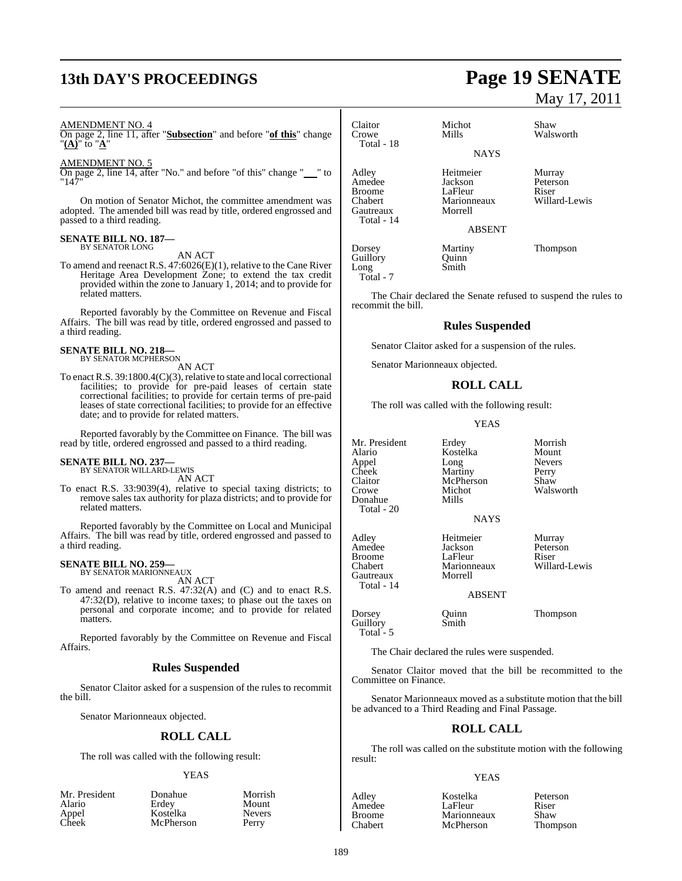# **13th DAY'S PROCEEDINGS Page 19 SENATE**

#### AMENDMENT NO. 4

On page 2, line 11, after "**Subsection**" and before "**of this**" change "**(A)**" to "**A**"

#### AMENDMENT NO. 5

On page 2, line 14, after "No." and before "of this" change "\_\_" to "147"

On motion of Senator Michot, the committee amendment was adopted. The amended bill was read by title, ordered engrossed and passed to a third reading.

## **SENATE BILL NO. 187—** BY SENATOR LONG

AN ACT

To amend and reenact R.S. 47:6026(E)(1), relative to the Cane River Heritage Area Development Zone; to extend the tax credit provided within the zone to January 1, 2014; and to provide for related matters.

Reported favorably by the Committee on Revenue and Fiscal Affairs. The bill was read by title, ordered engrossed and passed to a third reading.

## **SENATE BILL NO. 218—** BY SENATOR MCPHERSON

AN ACT

To enact R.S. 39:1800.4(C)(3), relative to state and local correctional facilities; to provide for pre-paid leases of certain state correctional facilities; to provide for certain terms of pre-paid leases of state correctional facilities; to provide for an effective date; and to provide for related matters.

Reported favorably by the Committee on Finance. The bill was read by title, ordered engrossed and passed to a third reading.

#### **SENATE BILL NO. 237—**

BY SENATOR WILLARD-LEWIS AN ACT

To enact R.S. 33:9039(4), relative to special taxing districts; to remove sales tax authority for plaza districts; and to provide for related matters.

Reported favorably by the Committee on Local and Municipal Affairs. The bill was read by title, ordered engrossed and passed to a third reading.

## **SENATE BILL NO. 259—** BY SENATOR MARIONNEAUX

AN ACT

To amend and reenact R.S. 47:32(A) and (C) and to enact R.S. 47:32(D), relative to income taxes; to phase out the taxes on personal and corporate income; and to provide for related matters.

Reported favorably by the Committee on Revenue and Fiscal Affairs.

#### **Rules Suspended**

Senator Claitor asked for a suspension of the rules to recommit the bill.

Senator Marionneaux objected.

#### **ROLL CALL**

The roll was called with the following result:

#### YEAS

| Mr. Presiden |  |  |
|--------------|--|--|
| Alario       |  |  |
| Appel        |  |  |
| Cheek        |  |  |

nt Donahue Morrish Erdey Mount<br>Kostelka Nevers Kostelka Never<br>
McPherson Perry McPherson

Walsworth

May 17, 2011

Claitor Michot Shaw<br>Crowe Mills Walsv Total - 18 Adley Heitmeier Murray Amedee Jackson Peterson<br>Broome LaFleur Riser Broome LaFleur Riser<br>
Riser Marionneaux Willard-Lewis Marionneaux<br>Morrell Gautreaux Total - 14 Dorsey Martiny Thompson<br>
Guillory Quinn Guillory<br>Long

Total - 7

Smith

The Chair declared the Senate refused to suspend the rules to recommit the bill.

**NAYS** 

ABSENT

### **Rules Suspended**

Senator Claitor asked for a suspension of the rules.

Senator Marionneaux objected.

#### **ROLL CALL**

The roll was called with the following result:

YEAS

Kostelka Mount<br>Long Nevers

Mr. President Erdey Morrish<br>Alario Kostelka Mount Appel Long Never<br>Cheek Martiny Perry Cheek Martiny<br>Claitor McPher Claitor McPherson Shaw<br>Crowe Michot Wals Donahue Total - 20

Gautreaux Total - 14

Guillory

Michot Walsworth<br>Mills

Adley Heitmeier Murray Amedee Jackson Peters<br>Broome LaFleur Riser Broome LaFleur<br>Chabert Marionneaux

Marionneaux Willard-Lewis<br>Morrell

#### ABSENT

**NAYS** 

Dorsey Quinn Thompson<br>
Guillory Smith Total - 5

The Chair declared the rules were suspended.

Senator Claitor moved that the bill be recommitted to the Committee on Finance.

Senator Marionneaux moved as a substitute motion that the bill be advanced to a Third Reading and Final Passage.

#### **ROLL CALL**

The roll was called on the substitute motion with the following result:

#### YEAS

Adley Kostelka Peterson Amedee LaFleur Riser<br>Broome Marionneaux Shaw Broome Marionneaux Shaw<br>
Chabert McPherson Thompson **McPherson**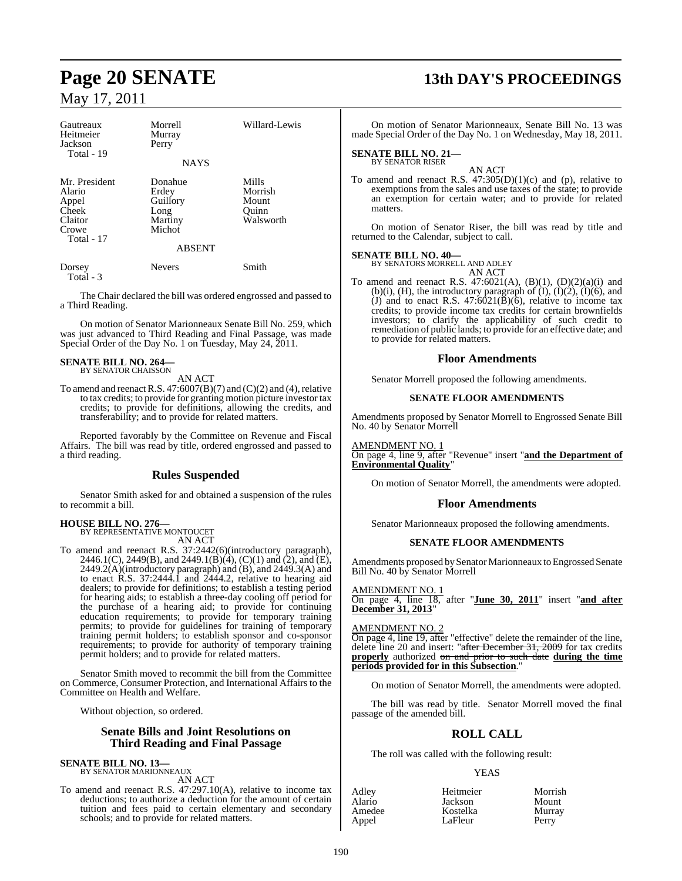| Gautreaux<br>Heitmeier<br>Jackson<br>Total - 19                             | Morrell<br>Murray<br>Perry<br><b>NAYS</b>                                  | Willard-Lewis                                   |
|-----------------------------------------------------------------------------|----------------------------------------------------------------------------|-------------------------------------------------|
| Mr. President<br>Alario<br>Appel<br>Cheek<br>Claitor<br>Crowe<br>Total - 17 | Donahue<br>Erdey<br>Guillory<br>Long<br>Martiny<br>Michot<br><b>ABSENT</b> | Mills<br>Morrish<br>Mount<br>Ouinn<br>Walsworth |
| Dorsey                                                                      | <b>Nevers</b>                                                              | Smith                                           |

Total - 3

The Chair declared the bill was ordered engrossed and passed to a Third Reading.

On motion of Senator Marionneaux Senate Bill No. 259, which was just advanced to Third Reading and Final Passage, was made Special Order of the Day No. 1 on Tuesday, May 24, 2011.

## **SENATE BILL NO. 264—** BY SENATOR CHAISSON

AN ACT

To amend and reenact R.S.  $47:6007(B)(7)$  and (C)(2) and (4), relative to tax credits; to provide for granting motion picture investor tax credits; to provide for definitions, allowing the credits, and transferability; and to provide for related matters.

Reported favorably by the Committee on Revenue and Fiscal Affairs. The bill was read by title, ordered engrossed and passed to a third reading.

#### **Rules Suspended**

Senator Smith asked for and obtained a suspension of the rules to recommit a bill.

**HOUSE BILL NO. 276—** BY REPRESENTATIVE MONTOUCET

AN ACT

To amend and reenact R.S. 37:2442(6)(introductory paragraph), 2446.1(C), 2449(B), and 2449.1(B)(4), (C)(1) and (2), and (E),  $2449.2(A)$ (introductory paragraph) and (B), and  $2449.3(A)$  and to enact R.S. 37:2444.1 and 2444.2, relative to hearing aid dealers; to provide for definitions; to establish a testing period for hearing aids; to establish a three-day cooling off period for the purchase of a hearing aid; to provide for continuing education requirements; to provide for temporary training permits; to provide for guidelines for training of temporary training permit holders; to establish sponsor and co-sponsor requirements; to provide for authority of temporary training permit holders; and to provide for related matters.

Senator Smith moved to recommit the bill from the Committee on Commerce, Consumer Protection, and International Affairs to the Committee on Health and Welfare.

Without objection, so ordered.

#### **Senate Bills and Joint Resolutions on Third Reading and Final Passage**

**SENATE BILL NO. 13—** BY SENATOR MARIONNEAUX

AN ACT

To amend and reenact R.S. 47:297.10(A), relative to income tax deductions; to authorize a deduction for the amount of certain tuition and fees paid to certain elementary and secondary schools; and to provide for related matters.

## **Page 20 SENATE 13th DAY'S PROCEEDINGS**

On motion of Senator Marionneaux, Senate Bill No. 13 was made Special Order of the Day No. 1 on Wednesday, May 18, 2011.

## **SENATE BILL NO. 21—** BY SENATOR RISER

AN ACT To amend and reenact R.S.  $47:305(D)(1)(c)$  and (p), relative to exemptions from the sales and use taxes of the state; to provide an exemption for certain water; and to provide for related matters.

On motion of Senator Riser, the bill was read by title and returned to the Calendar, subject to call.

#### **SENATE BILL NO. 40—**

BY SENATORS MORRELL AND ADLEY AN ACT

To amend and reenact R.S.  $47:6021(A)$ ,  $(B)(1)$ ,  $(D)(2)(a)(i)$  and  $(b)(i)$ ,  $(H)$ , the introductory paragraph of  $(I)$ ,  $(I)(2)$ ,  $(I)(6)$ , and (J) and to enact R.S.  $47:6021(\overline{B})(6)$ , relative to income tax credits; to provide income tax credits for certain brownfields investors; to clarify the applicability of such credit to remediation of public lands; to provide for an effective date; and to provide for related matters.

### **Floor Amendments**

Senator Morrell proposed the following amendments.

#### **SENATE FLOOR AMENDMENTS**

Amendments proposed by Senator Morrell to Engrossed Senate Bill No. 40 by Senator Morrell

AMENDMENT NO. 1 On page 4, line 9, after "Revenue" insert "**and the Department of Environmental Quality**"

On motion of Senator Morrell, the amendments were adopted.

### **Floor Amendments**

Senator Marionneaux proposed the following amendments.

#### **SENATE FLOOR AMENDMENTS**

Amendments proposed by Senator Marionneaux to Engrossed Senate Bill No. 40 by Senator Morrell

AMENDMENT NO. 1 On page 4, line 18, after "**June 30, 2011**" insert "**and after December 31, 2013**"

#### AMENDMENT NO. 2

On page 4, line 19, after "effective" delete the remainder of the line, delete line 20 and insert: "after December 31, 2009 for tax credits **properly** authorized on and prior to such date **during the time periods provided for in this Subsection**."

On motion of Senator Morrell, the amendments were adopted.

The bill was read by title. Senator Morrell moved the final passage of the amended bill.

## **ROLL CALL**

The roll was called with the following result:

#### YEAS

| Adley  | Heitmeie |
|--------|----------|
| Alario | Jackson  |
| Amedee | Kostelka |
| Appel  | LaFleur  |
|        |          |

Adley Heitmeier Morrish Alario Jackson Mount LaFleur Perry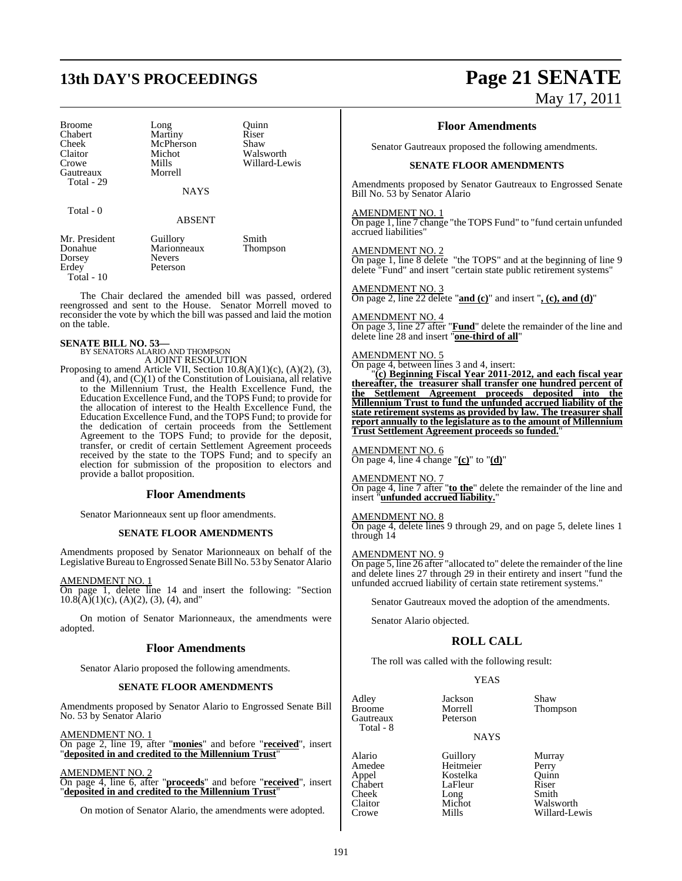## **13th DAY'S PROCEEDINGS Page 21 SENATE**

Broome Long Quinn<br>
Chabert Martiny Riser Chabert Martiny Riser<br>Cheek McPherson Shaw Cheek McPherson<br>Claitor Michot Claitor Michot Walsworth<br>
Crowe Mills Willard-Le Gautreaux Total - 29

Total - 0

Mills Willard-Lewis<br>Morrell

**NAYS** 

#### ABSENT

| Mr. President | Guillory      | Smith    |
|---------------|---------------|----------|
| Donahue       | Marionneaux   | Thompson |
| Dorsey        | <b>Nevers</b> |          |
| Erdey         | Peterson      |          |
| Total - $10$  |               |          |

The Chair declared the amended bill was passed, ordered reengrossed and sent to the House. Senator Morrell moved to reconsider the vote by which the bill was passed and laid the motion on the table.

## **SENATE BILL NO. 53—** BY SENATORS ALARIO AND THOMPSON

A JOINT RESOLUTION

Proposing to amend Article VII, Section  $10.8(A)(1)(c)$ ,  $(A)(2)$ ,  $(3)$ , and  $\overline{(4)}$ , and  $\overline{(C)}(1)$  of the Constitution of Louisiana, all relative to the Millennium Trust, the Health Excellence Fund, the Education Excellence Fund, and the TOPS Fund; to provide for the allocation of interest to the Health Excellence Fund, the Education Excellence Fund, and the TOPS Fund; to provide for the dedication of certain proceeds from the Settlement Agreement to the TOPS Fund; to provide for the deposit, transfer, or credit of certain Settlement Agreement proceeds received by the state to the TOPS Fund; and to specify an election for submission of the proposition to electors and provide a ballot proposition.

#### **Floor Amendments**

Senator Marionneaux sent up floor amendments.

#### **SENATE FLOOR AMENDMENTS**

Amendments proposed by Senator Marionneaux on behalf of the Legislative Bureau to Engrossed Senate Bill No. 53 by Senator Alario

#### AMENDMENT NO. 1

On page 1, delete line 14 and insert the following: "Section  $10.8(A)(1)(c)$ , (A)(2), (3), (4), and"

On motion of Senator Marionneaux, the amendments were adopted.

#### **Floor Amendments**

Senator Alario proposed the following amendments.

#### **SENATE FLOOR AMENDMENTS**

Amendments proposed by Senator Alario to Engrossed Senate Bill No. 53 by Senator Alario

AMENDMENT NO. 1

On page 2, line 19, after "**monies**" and before "**received**", insert "**deposited in and credited to the Millennium Trust**"

#### AMENDMENT NO. 2

On page 4, line 6, after "**proceeds**" and before "**received**", insert "**deposited in and credited to the Millennium Trust**"

On motion of Senator Alario, the amendments were adopted.

# May 17, 2011

#### **Floor Amendments**

Senator Gautreaux proposed the following amendments.

#### **SENATE FLOOR AMENDMENTS**

Amendments proposed by Senator Gautreaux to Engrossed Senate Bill No. 53 by Senator Alario

#### AMENDMENT NO. 1

On page 1, line 7 change "the TOPS Fund" to "fund certain unfunded accrued liabilities"

AMENDMENT NO. 2

On page 1, line 8 delete "the TOPS" and at the beginning of line 9 delete "Fund" and insert "certain state public retirement systems"

#### AMENDMENT NO. 3

On page 2, line 22 delete "**and (c)**" and insert "**, (c), and (d)**"

#### AMENDMENT NO. 4

On page 3, line 27 after "**Fund**" delete the remainder of the line and delete line 28 and insert "**one-third of all**"

#### AMENDMENT NO. 5

On page 4, between lines 3 and 4, insert:

"**(c) Beginning Fiscal Year 2011-2012, and each fiscal year thereafter, the treasurer shall transfer one hundred percent of the Settlement Agreement proceeds deposited into the Millennium Trust to fund the unfunded accrued liability of the state retirement systems as provided by law. The treasurer shall report annually to the legislature as to the amount of Millennium Trust Settlement Agreement proceeds so funded.**"

#### AMENDMENT NO. 6

On page 4, line 4 change "**(c)**" to "**(d)**"

#### AMENDMENT NO. 7

On page 4, line 7 after "**to the**" delete the remainder of the line and insert "**unfunded accrued liability.**"

#### AMENDMENT NO. 8

On page 4, delete lines 9 through 29, and on page 5, delete lines 1 through 14

#### AMENDMENT NO. 9

On page 5, line 26 after "allocated to" delete the remainder of the line and delete lines 27 through 29 in their entirety and insert "fund the unfunded accrued liability of certain state retirement systems."

Senator Gautreaux moved the adoption of the amendments.

Senator Alario objected.

#### **ROLL CALL**

The roll was called with the following result:

**YEAS** 

Adley Jackson Shaw Gautreaux Total - 8

Morrell Thompson<br>Peterson

#### NAYS

Alario Guillory Murray<br>Amedee Heitmeier Perry Amedee Heitmeier Perry Appel Kostelka Quinn Chabert LaFleur Riser<br>Cheek Long Smith Cheek Long<br>Claitor Michot

Claitor Michot Walsworth<br>Crowe Mills Willard-Le Willard-Lewis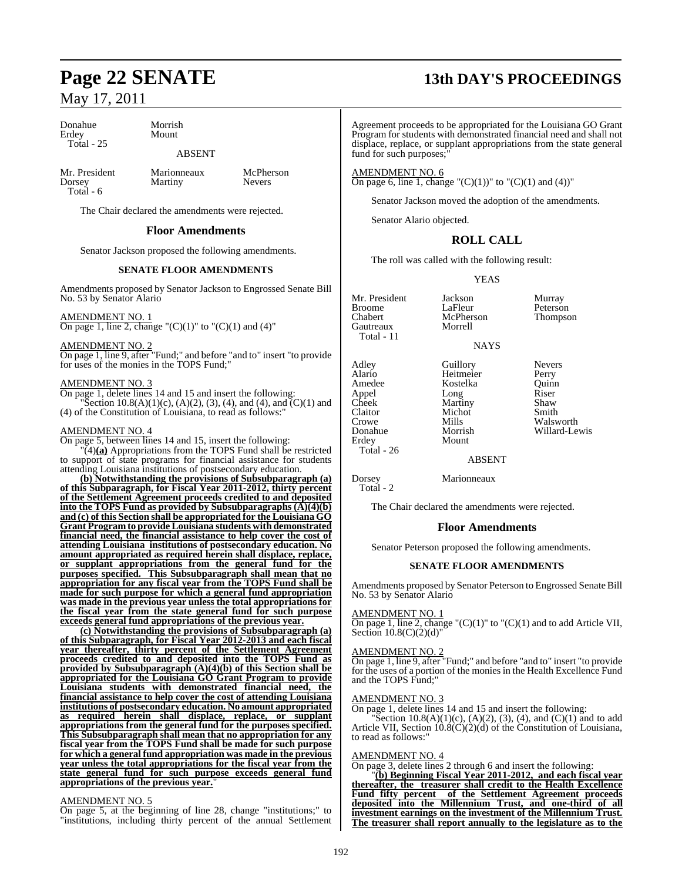Donahue Morrish Total - 25

## Mount

### ABSENT

Mr. President Marionneaux McPherson<br>
Dorsey Martiny Nevers  $Total - 6$ 

**Martiny** 

The Chair declared the amendments were rejected.

#### **Floor Amendments**

Senator Jackson proposed the following amendments.

#### **SENATE FLOOR AMENDMENTS**

Amendments proposed by Senator Jackson to Engrossed Senate Bill No. 53 by Senator Alario

#### AMENDMENT NO. 1

On page 1, line 2, change " $(C)(1)$ " to " $(C)(1)$  and  $(4)$ "

#### AMENDMENT NO. 2

On page 1, line 9, after "Fund;" and before "and to" insert "to provide for uses of the monies in the TOPS Fund;"

#### AMENDMENT NO. 3

On page 1, delete lines 14 and 15 and insert the following: Section 10.8(A)(1)(c), (A)(2), (3), (4), and (4), and  $\overline{C}(1)$  and (4) of the Constitution of Louisiana, to read as follows:"

#### AMENDMENT NO. 4

On page 5, between lines 14 and 15, insert the following: "(4)**(a)** Appropriations from the TOPS Fund shall be restricted to support of state programs for financial assistance for students attending Louisiana institutions of postsecondary education.

**(b) Notwithstanding the provisions of Subsubparagraph (a) of this Subparagraph, for Fiscal Year 2011-2012, thirty percent of the Settlement Agreement proceeds credited to and deposited into** the **TOPS** Fund as provided by Subsubparagraphs  $(\overrightarrow{A})(4)(\overrightarrow{b})$ **and (c) of this Section shall be appropriated for the Louisiana GO Grant Program to provide Louisiana students with demonstrated financial need, the financial assistance to help cover the cost of attending Louisiana institutions of postsecondary education. No amount appropriated as required herein shall displace, replace, or supplant appropriations from the general fund for the purposes specified. This Subsubparagraph shall mean that no appropriation for any fiscal year from the TOPS Fund shall be made for such purpose for which a general fund appropriation was made in the previous year unless the total appropriations for the fiscal year from the state general fund for such purpose exceeds general fund appropriations of the previous year.**

**(c) Notwithstanding the provisions of Subsubparagraph (a) of this Subparagraph, for Fiscal Year 2012-2013 and each fiscal year thereafter, thirty percent of the Settlement Agreement proceeds credited to and deposited into the TOPS Fund as provided by Subsubparagraph (A)(4)(b) of this Section shall be appropriated for the Louisiana GO Grant Program to provide Louisiana students with demonstrated financial need, the financial assistance to help cover the cost of attending Louisiana institutions of postsecondary education. No amount appropriated as required herein shall displace, replace, or supplant appropriations from the general fund for the purposes specified. This Subsubparagraph shall mean that no appropriation for any fiscal year from the TOPS Fund shall be made for such purpose for which a general fund appropriation was made in the previous year unless the total appropriations for the fiscal year from the state general fund for such purpose exceeds general fund appropriations of the previous year.**"

#### AMENDMENT NO. 5

On page 5, at the beginning of line 28, change "institutions;" to "institutions, including thirty percent of the annual Settlement

## **Page 22 SENATE 13th DAY'S PROCEEDINGS**

Agreement proceeds to be appropriated for the Louisiana GO Grant Program for students with demonstrated financial need and shall not displace, replace, or supplant appropriations from the state general fund for such purposes;

AMENDMENT NO. 6 On page 6, line 1, change " $(C)(1)$ " to " $(C)(1)$  and  $(4)$ "

Senator Jackson moved the adoption of the amendments.

Senator Alario objected.

### **ROLL CALL**

The roll was called with the following result:

#### YEAS

Mr. President Jackson Murray<br>Broome LaFleur Peterson Broome LaFleur Peterson<br>Chabert McPherson Thompson Gautreaux Total - 11

McPherson<br>Morrell **NAYS** 

Alario Heitmeier Perry<br>Amedee Kostelka Quinn Appel Long Riser<br>Cheek Martiny Shaw Cheek Martiny Shaw<br>Claitor Michot Smith Claitor Michot<br>Crowe Mills Crowe Mills Walsworth<br>
Donahue Morrish Willard-Lev Donahue Morrish Willard-Lewis Total - 26

Adley Guillory Nevers<br>Alario Heitmeier Perry Kostelka Quinn<br>Long Riser Mount

**ABSENT** 

Dorsey Marionneaux Total - 2

The Chair declared the amendments were rejected.

#### **Floor Amendments**

Senator Peterson proposed the following amendments.

#### **SENATE FLOOR AMENDMENTS**

Amendments proposed by Senator Peterson to Engrossed Senate Bill No. 53 by Senator Alario

#### AMENDMENT NO. 1

On page 1, line 2, change " $(C)(1)$ " to " $(C)(1)$  and to add Article VII, Section  $10.8(C)(2)(d)$ "

#### AMENDMENT NO. 2

On page 1, line 9, after "Fund;" and before "and to" insert "to provide for the uses of a portion of the monies in the Health Excellence Fund and the TOPS Fund;"

#### AMENDMENT NO. 3

On page 1, delete lines 14 and 15 and insert the following:

Section 10.8(A)(1)(c), (A)(2), (3), (4), and (C)(1) and to add Article VII, Section  $10.8(C)(2)(d)$  of the Constitution of Louisiana, to read as follows:"

#### AMENDMENT NO. 4

On page 3, delete lines 2 through 6 and insert the following:

"**(b) Beginning Fiscal Year 2011-2012, and each fiscal year thereafter, the treasurer shall credit to the Health Excellence Fund fifty percent of the Settlement Agreement proceeds deposited into the Millennium Trust, and one-third of all investment earnings on the investment of the Millennium Trust. The treasurer shall report annually to the legislature as to the**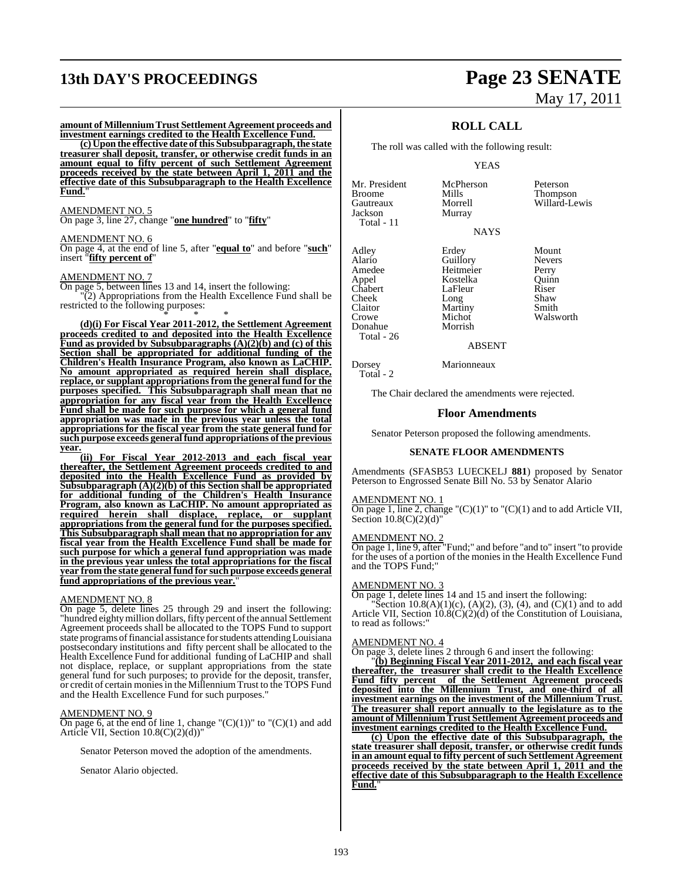# **13th DAY'S PROCEEDINGS Page 23 SENATE**

#### **amount of Millennium Trust Settlement Agreement proceeds and investment earnings credited to the Health Excellence Fund.**

**(c) Upon the effective date ofthis Subsubparagraph,the state treasurer shall deposit, transfer, or otherwise credit funds in an amount equal to fifty percent of such Settlement Agreement proceeds received by the state between April 1, 2011 and the effective date of this Subsubparagraph to the Health Excellence Fund.**"

#### AMENDMENT NO. 5

On page 3, line 27, change "**one hundred**" to "**fifty**"

#### AMENDMENT NO. 6

On page 4, at the end of line 5, after "**equal to**" and before "**such**" insert "**fifty percent of**"

#### AMENDMENT NO. 7

On page 5, between lines 13 and 14, insert the following:

"(2) Appropriations from the Health Excellence Fund shall be restricted to the following purposes: \* \* \*

**(d)(i) For Fiscal Year 2011-2012, the Settlement Agreement proceeds credited to and deposited into the Health Excellence Fund as provided by Subsubparagraphs (A)(2)(b) and (c) of this Section shall be appropriated for additional funding of the Children's Health Insurance Program, also known as LaCHIP. No amount appropriated as required herein shall displace, replace, or supplant appropriationsfrom the general fund for the purposes specified. This Subsubparagraph shall mean that no appropriation for any fiscal year from the Health Excellence Fund shall be made for such purpose for which a general fund appropriation was made in the previous year unless the total appropriations for the fiscal year from the state general fund for such purpose exceeds general fund appropriations ofthe previous year.**

**(ii) For Fiscal Year 2012-2013 and each fiscal year thereafter, the Settlement Agreement proceeds credited to and deposited into the Health Excellence Fund as provided by Subsubparagraph (A)(2)(b) of this Section shall be appropriated for additional funding of the Children's Health Insurance Program, also known as LaCHIP. No amount appropriated as required herein shall displace, replace, or supplant appropriations from the general fund for the purposes specified. This Subsubparagraph shall mean that no appropriation for any fiscal year from the Health Excellence Fund shall be made for such purpose for which a general fund appropriation was made in the previous year unless the total appropriations for the fiscal year from the state general fund for such purpose exceeds general** fund appropriations of the previous year.

#### AMENDMENT NO. 8

On page 5, delete lines 25 through 29 and insert the following: "hundred eighty million dollars, fifty percent of the annual Settlement Agreement proceeds shall be allocated to the TOPS Fund to support state programs of financial assistance for students attending Louisiana postsecondary institutions and fifty percent shall be allocated to the Health Excellence Fund for additional funding of LaCHIP and shall not displace, replace, or supplant appropriations from the state general fund for such purposes; to provide for the deposit, transfer, or credit of certain moniesin the MillenniumTrust to the TOPS Fund and the Health Excellence Fund for such purposes."

#### AMENDMENT NO. 9

On page 6, at the end of line 1, change " $(C)(1)$ " to " $(C)(1)$  and add Article VII, Section 10.8(C)(2)(d))"

Senator Peterson moved the adoption of the amendments.

Senator Alario objected.

# May 17, 2011

### **ROLL CALL**

The roll was called with the following result:

Murray

#### YEAS

Mr. President McPherson Peterson<br>Broome Mills Thompson Broome Mills Thompson Gautreaux Morrell Willard-Lewis Total - 11

Adley Erdey Mount<br>Alario Guillory Nevers Alario Guillory Never<br>Amedee Heitmeier Perry Amedee Heitmeier Perry<br>
Appel Kostelka Quinn Chabert LaFleur Riser<br>Cheek Long Shaw Cheek Long Shaw<br>Claitor Martiny Smith Claitor Martiny<br>Crowe Michot  $Donahue$ Total - 26

Total - 2

Michot Walsworth<br>Morrish

NAYS Kostelka Quinn<br>LaFleur Riser

#### ABSENT

Dorsey Marionneaux

The Chair declared the amendments were rejected.

#### **Floor Amendments**

Senator Peterson proposed the following amendments.

#### **SENATE FLOOR AMENDMENTS**

Amendments (SFASB53 LUECKELJ **881**) proposed by Senator Peterson to Engrossed Senate Bill No. 53 by Senator Alario

#### AMENDMENT NO. 1

On page 1, line 2, change " $(C)(1)$ " to " $(C)(1)$  and to add Article VII, Section  $10.8(C)(2)(d)$ "

#### AMENDMENT NO. 2

On page 1, line 9, after "Fund;" and before "and to" insert "to provide for the uses of a portion of the monies in the Health Excellence Fund and the TOPS Fund;"

#### AMENDMENT NO. 3

On page 1, delete lines 14 and 15 and insert the following:

"Section 10.8(A)(1)(c), (A)(2), (3), (4), and (C)(1) and to add Article VII, Section 10.8(C)(2)(d) of the Constitution of Louisiana, to read as follows:"

#### AMENDMENT NO. 4

On page 3, delete lines 2 through 6 and insert the following:

"**(b) Beginning Fiscal Year 2011-2012, and each fiscal year thereafter, the treasurer shall credit to the Health Excellence Fund fifty percent of the Settlement Agreement proceeds deposited into the Millennium Trust, and one-third of all investment earnings on the investment of the Millennium Trust. The treasurer shall report annually to the legislature as to the amount of MillenniumTrust Settlement Agreement proceeds and investment earnings credited to the Health Excellence Fund.**

**(c) Upon the effective date of this Subsubparagraph, the state treasurer shall deposit, transfer, or otherwise credit funds in an amount equal to fifty percent ofsuch Settlement Agreement proceeds received by the state between April 1, 2011 and the effective date of this Subsubparagraph to the Health Excellence Fund.**"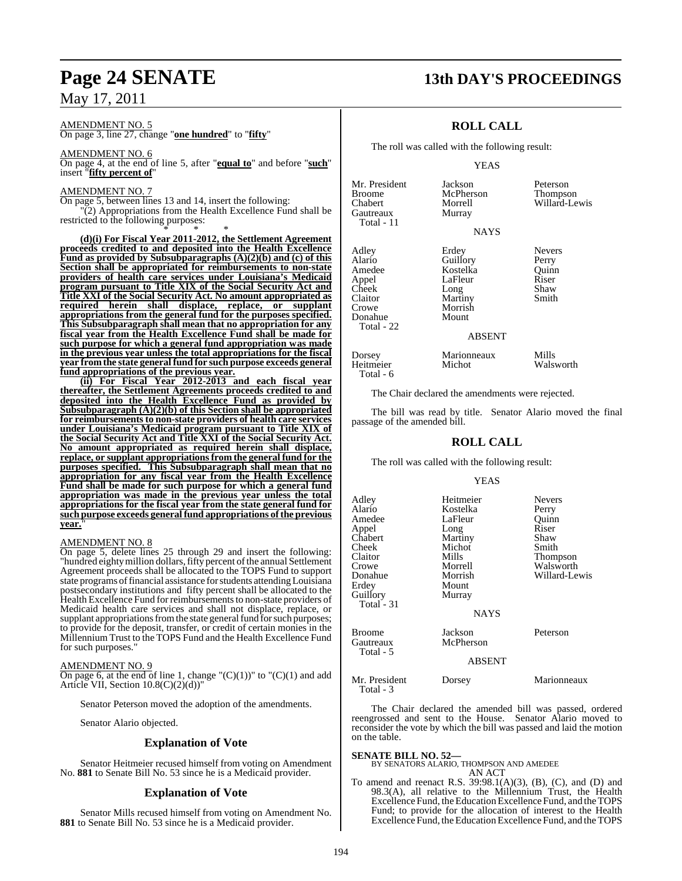#### AMENDMENT NO. 5

On page 3, line 27, change "**one hundred**" to "**fifty**"

AMENDMENT NO. 6 On page 4, at the end of line 5, after "**equal to**" and before "**such**" insert "**fifty percent of**"

#### AMENDMENT NO. 7

On page 5, between lines 13 and 14, insert the following: "(2) Appropriations from the Health Excellence Fund shall be restricted to the following purposes:

\* \* \* **(d)(i) For Fiscal Year 2011-2012, the Settlement Agreement proceeds credited to and deposited into the Health Excellence Fund as provided by Subsubparagraphs (A)(2)(b) and (c) of this Section shall be appropriated for reimbursements to non-state providers of health care services under Louisiana's Medicaid program pursuant to Title XIX of the Social Security Act and Title XXI of the Social Security Act. No amount appropriated as required herein shall displace, replace, or supplant appropriations from the general fund for the purposes specified. This Subsubparagraph shall mean that no appropriation for any fiscal year from the Health Excellence Fund shall be made for such purpose for which a general fund appropriation was made in the previous year unless the total appropriations for the fiscal year from the state general fund for such purpose exceeds general fund appropriations of the previous year.**

**(ii) For Fiscal Year 2012-2013 and each fiscal year thereafter, the Settlement Agreements proceeds credited to and deposited into the Health Excellence Fund as provided by Subsubparagraph (A)(2)(b) of this Section shall be appropriated for reimbursements to non-state providers of health care services under Louisiana's Medicaid program pursuant to Title XIX of the Social Security Act and Title XXI of the Social Security Act. No amount appropriated as required herein shall displace, replace, or supplant appropriationsfrom the general fund for the purposes specified. This Subsubparagraph shall mean that no appropriation for any fiscal year from the Health Excellence Fund shall be made for such purpose for which a general fund appropriation was made in the previous year unless the total appropriations for the fiscal year from the state general fund for such purpose exceeds general fund appropriations ofthe previous year.**"

#### AMENDMENT NO. 8

On page 5, delete lines 25 through 29 and insert the following: "hundred eighty million dollars, fifty percent of the annual Settlement Agreement proceeds shall be allocated to the TOPS Fund to support state programs of financial assistance for students attending Louisiana postsecondary institutions and fifty percent shall be allocated to the Health Excellence Fund for reimbursements to non-state providers of Medicaid health care services and shall not displace, replace, or supplant appropriations from the state general fund for such purposes; to provide for the deposit, transfer, or credit of certain monies in the Millennium Trust to the TOPS Fund and the Health Excellence Fund for such purposes."

#### AMENDMENT NO. 9

On page 6, at the end of line 1, change " $(C)(1)$ " to " $(C)(1)$  and add Article VII, Section  $10.8(C)(2)(d)$ 

Senator Peterson moved the adoption of the amendments.

Senator Alario objected.

#### **Explanation of Vote**

Senator Heitmeier recused himself from voting on Amendment No. **881** to Senate Bill No. 53 since he is a Medicaid provider.

#### **Explanation of Vote**

Senator Mills recused himself from voting on Amendment No. **881** to Senate Bill No. 53 since he is a Medicaid provider.

## **Page 24 SENATE 13th DAY'S PROCEEDINGS**

### **ROLL CALL**

The roll was called with the following result:

#### YEAS

| Mr. President<br><b>Broome</b><br>Chabert<br>Gautreaux<br>Total - 11 | Jackson<br>McPherson<br>Morrell<br>Murray | Peterson<br>Thompson<br>Willard-Lewis |
|----------------------------------------------------------------------|-------------------------------------------|---------------------------------------|
|                                                                      | <b>NAYS</b>                               |                                       |
| Adley<br>Alario                                                      | Erdey<br>Guillory                         | <b>Nevers</b><br>Perry                |
| Amedee                                                               | Kostelka                                  | Ouinn                                 |
| Appel                                                                | LaFleur                                   | Riser                                 |
| Cheek                                                                | Long                                      | Shaw                                  |

Donahue Total - 22

Cheek Long Shaw<br>Claitor Martiny Smith<br>Crowe Morrish Morrish<br>Mount

aFleur Riser<br>ong Shaw

#### ABSENT

| Dorsey    | Marionneaux | Mills     |
|-----------|-------------|-----------|
| Heitmeier | Michot      | Walsworth |
| Total - 6 |             |           |

The Chair declared the amendments were rejected.

The bill was read by title. Senator Alario moved the final passage of the amended bill.

### **ROLL CALL**

The roll was called with the following result:

#### YEAS

| Adlev<br>Alario<br>Amedee<br>Appel<br>Chabert<br>Cheek<br>Claitor<br>Crowe<br>Donahue<br>Erdey<br>Guillory<br>Total - 31 | Heitmeier<br>Kostelka<br>LaFleur<br>Long<br>Martiny<br>Michot<br>Mills<br>Morrell<br>Morrish<br>Mount<br>Murray<br><b>NAYS</b> | <b>Nevers</b><br>Perry<br>Quinn<br>Riser<br>Shaw<br>Smith<br><b>Thompson</b><br>Walsworth<br>Willard-Lewis |
|--------------------------------------------------------------------------------------------------------------------------|--------------------------------------------------------------------------------------------------------------------------------|------------------------------------------------------------------------------------------------------------|
| Broome<br>Gautreaux<br>Total - 5                                                                                         | Jackson<br>McPherson<br><b>ABSENT</b>                                                                                          | Peterson                                                                                                   |
| Mr. President<br>Total - 3                                                                                               | Dorsey                                                                                                                         | Marionneaux                                                                                                |

The Chair declared the amended bill was passed, ordered reengrossed and sent to the House. Senator Alario moved to reconsider the vote by which the bill was passed and laid the motion on the table.

### **SENATE BILL NO. 52—** BY SENATORS ALARIO, THOMPSON AND AMEDEE AN ACT

To amend and reenact R.S. 39:98.1(A)(3), (B), (C), and (D) and 98.3(A), all relative to the Millennium Trust, the Health Excellence Fund, the Education Excellence Fund, and the TOPS Fund; to provide for the allocation of interest to the Health Excellence Fund, the Education Excellence Fund, and the TOPS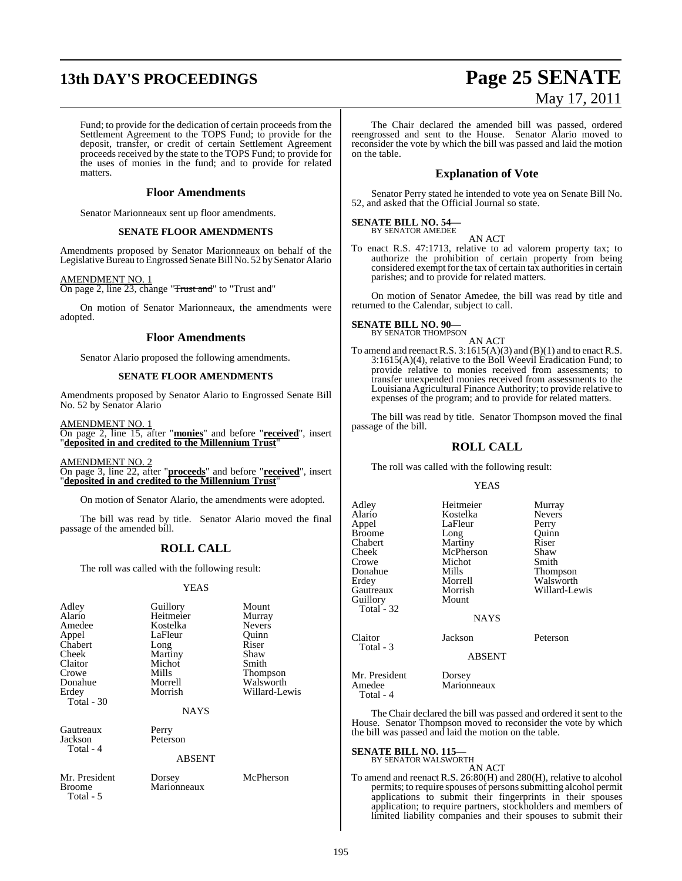# **13th DAY'S PROCEEDINGS Page 25 SENATE**

#### Fund; to provide for the dedication of certain proceeds from the Settlement Agreement to the TOPS Fund; to provide for the deposit, transfer, or credit of certain Settlement Agreement proceeds received by the state to the TOPS Fund; to provide for the uses of monies in the fund; and to provide for related matters.

#### **Floor Amendments**

Senator Marionneaux sent up floor amendments.

#### **SENATE FLOOR AMENDMENTS**

Amendments proposed by Senator Marionneaux on behalf of the Legislative Bureau to Engrossed Senate Bill No. 52 by Senator Alario

#### AMENDMENT NO. 1

On page 2, line 23, change "Trust and" to "Trust and"

On motion of Senator Marionneaux, the amendments were adopted.

#### **Floor Amendments**

Senator Alario proposed the following amendments.

#### **SENATE FLOOR AMENDMENTS**

Amendments proposed by Senator Alario to Engrossed Senate Bill No. 52 by Senator Alario

AMENDMENT NO. 1 On page 2, line 15, after "**monies**" and before "**received**", insert "**deposited in and credited to the Millennium Trust**"

AMENDMENT NO. 2

On page 3, line 22, after "**proceeds**" and before "**received**", insert "**deposited in and credited to the Millennium Trust**"

On motion of Senator Alario, the amendments were adopted.

The bill was read by title. Senator Alario moved the final passage of the amended bill.

### **ROLL CALL**

The roll was called with the following result:

#### YEAS

| Adley<br>Alario<br>Amedee<br>Appel | Guillory<br>Heitmeier<br>Kostelka<br>LaFleur | Mount<br>Murray<br><b>Nevers</b><br>Ouinn |
|------------------------------------|----------------------------------------------|-------------------------------------------|
| Chabert                            | Long                                         | Riser                                     |
| Cheek                              | Martiny                                      | Shaw                                      |
| Claitor                            | Michot                                       | Smith                                     |
| Crowe                              | Mills                                        | <b>Thompson</b>                           |
| Donahue                            | Morrell                                      | Walsworth                                 |
| Erdey                              | Morrish                                      | Willard-Lewis                             |
| Total $-30$                        |                                              |                                           |
|                                    | <b>NAYS</b>                                  |                                           |
| Gautreaux                          | Perry                                        |                                           |
| Jackson<br>Total - 4               | Peterson                                     |                                           |
|                                    |                                              |                                           |

#### ABSENT

Marionneaux

Mr. President Dorsey McPherson<br>Broome Marionneaux Total - 5

# May 17, 2011

The Chair declared the amended bill was passed, ordered reengrossed and sent to the House. Senator Alario moved to reconsider the vote by which the bill was passed and laid the motion on the table.

### **Explanation of Vote**

Senator Perry stated he intended to vote yea on Senate Bill No. 52, and asked that the Official Journal so state.

#### **SENATE BILL NO. 54—** BY SENATOR AMEDEE

AN ACT

To enact R.S. 47:1713, relative to ad valorem property tax; to authorize the prohibition of certain property from being considered exempt for the tax of certain tax authorities in certain parishes; and to provide for related matters.

On motion of Senator Amedee, the bill was read by title and returned to the Calendar, subject to call.

## **SENATE BILL NO. 90—**<br>BY SENATOR THOMPSON

AN ACT To amend and reenact R.S.  $3:1615(A)(3)$  and  $(B)(1)$  and to enact R.S.  $3:1615(A)(4)$ , relative to the Boll Weevil Eradication Fund; to provide relative to monies received from assessments; to transfer unexpended monies received from assessments to the Louisiana Agricultural Finance Authority; to provide relative to expenses of the program; and to provide for related matters.

The bill was read by title. Senator Thompson moved the final passage of the bill.

### **ROLL CALL**

The roll was called with the following result:

#### YEAS

| Adley<br>Alario<br>Appel<br><b>Broome</b><br>Chabert<br>Cheek<br>Crowe | Heitmeier<br>Kostelka<br>LaFleur<br>Long<br>Martiny<br>McPherson<br>Michot | Murray<br><b>Nevers</b><br>Perry<br>Ouinn<br>Riser<br>Shaw<br>Smith |
|------------------------------------------------------------------------|----------------------------------------------------------------------------|---------------------------------------------------------------------|
| Donahue<br>Erdey<br>Gautreaux<br>Guillory<br>Total - 32                | Mills<br>Morrell<br>Morrish<br>Mount<br><b>NAYS</b>                        | Thompson<br>Walsworth<br>Willard-Lewis                              |
| Claitor<br>Total - 3                                                   | Jackson<br><b>ABSENT</b>                                                   | Peterson                                                            |
| Mr. President<br>Amedee                                                | Dorsey<br>Marionneaux                                                      |                                                                     |

Total - 4

The Chair declared the bill was passed and ordered it sent to the House. Senator Thompson moved to reconsider the vote by which the bill was passed and laid the motion on the table.

#### **SENATE BILL NO. 115**

BY SENATOR WALSWORTH

AN ACT To amend and reenact R.S. 26:80(H) and 280(H), relative to alcohol permits; to require spouses of persons submitting alcohol permit applications to submit their fingerprints in their spouses application; to require partners, stockholders and members of limited liability companies and their spouses to submit their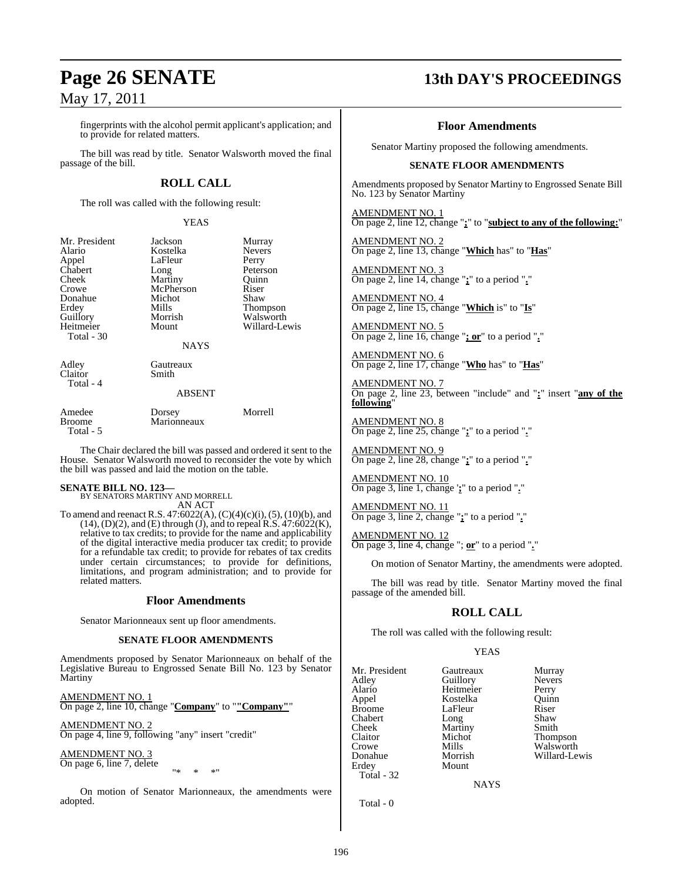fingerprints with the alcohol permit applicant's application; and to provide for related matters.

The bill was read by title. Senator Walsworth moved the final passage of the bill.

### **ROLL CALL**

The roll was called with the following result:

YEAS

| Mr. President<br>Alario<br>Appel<br>Chabert<br>Cheek<br>Crowe<br>Donahue<br>Erdev<br>Guillory<br>Heitmeier | Jackson<br>Kostelka<br>LaFleur<br>Long<br>Martiny<br>McPherson<br>Michot<br>Mills<br>Morrish<br>Mount | Murray<br><b>Nevers</b><br>Perry<br>Peterson<br>Ouinn<br>Riser<br>Shaw<br>Thompson<br>Walsworth<br>Willard-Lewis |
|------------------------------------------------------------------------------------------------------------|-------------------------------------------------------------------------------------------------------|------------------------------------------------------------------------------------------------------------------|
| Total - 30                                                                                                 | <b>NAYS</b>                                                                                           |                                                                                                                  |
| Adlev<br>Claitor<br>Total - 4                                                                              | Gautreaux<br>Smith<br><b>ABSENT</b>                                                                   |                                                                                                                  |
|                                                                                                            |                                                                                                       |                                                                                                                  |

| Amedee     | Dorsey      | Morrell |  |
|------------|-------------|---------|--|
| Broome     | Marionneaux |         |  |
| Total $-5$ |             |         |  |

The Chair declared the bill was passed and ordered it sent to the House. Senator Walsworth moved to reconsider the vote by which the bill was passed and laid the motion on the table.

#### **SENATE BILL NO. 123—**

BY SENATORS MARTINY AND MORRELL AN ACT

To amend and reenact R.S. 47:6022(A),  $(C)(4)(c)(i)$ ,  $(5)$ ,  $(10)(b)$ , and  $(14)$ ,  $(D)(2)$ , and  $(E)$  through  $(J)$ , and to repeal R.S.  $47:6022(K)$ , relative to tax credits; to provide for the name and applicability of the digital interactive media producer tax credit; to provide for a refundable tax credit; to provide for rebates of tax credits under certain circumstances; to provide for definitions, limitations, and program administration; and to provide for related matters.

#### **Floor Amendments**

Senator Marionneaux sent up floor amendments.

#### **SENATE FLOOR AMENDMENTS**

Amendments proposed by Senator Marionneaux on behalf of the Legislative Bureau to Engrossed Senate Bill No. 123 by Senator Martiny

AMENDMENT NO. 1 On page 2, line 10, change "**Company**" to "**"Company"**"

AMENDMENT NO. 2 On page 4, line 9, following "any" insert "credit"

AMENDMENT NO. 3 On page 6, line 7, delete

"\* \* \*"

On motion of Senator Marionneaux, the amendments were adopted.

## **Page 26 SENATE 13th DAY'S PROCEEDINGS**

#### **Floor Amendments**

Senator Martiny proposed the following amendments.

#### **SENATE FLOOR AMENDMENTS**

Amendments proposed by Senator Martiny to Engrossed Senate Bill No. 123 by Senator Martiny

AMENDMENT NO. 1 On page 2, line 12, change "**;**" to "**subject to any of the following:**"

AMENDMENT NO. 2 On page 2, line 13, change "**Which** has" to "**Has**"

AMENDMENT NO. 3 On page 2, line 14, change "**;**" to a period "**.**"

AMENDMENT NO. 4 On page 2, line 15, change "**Which** is" to "**Is**"

AMENDMENT NO. 5 On page 2, line 16, change "**; or**" to a period "**.**"

AMENDMENT NO. 6 On page 2, line 17, change "**Who** has" to "**Has**"

AMENDMENT NO. 7 On page 2, line 23, between "include" and "**:**" insert "**any of the following**"

AMENDMENT NO. 8 On page 2, line 25, change "**;**" to a period "**.**"

AMENDMENT NO. 9 On page 2, line 28, change "**;**" to a period "**.**"

AMENDMENT NO. 10 On page 3, line 1, change '**;**" to a period "**.**"

AMENDMENT NO. 11 On page 3, line 2, change "**;**" to a period "**.**"

AMENDMENT NO. 12 On page 3, line 4, change "; **or**" to a period "**.**"

On motion of Senator Martiny, the amendments were adopted.

The bill was read by title. Senator Martiny moved the final passage of the amended bill.

#### **ROLL CALL**

The roll was called with the following result:

Mount

#### YEAS

Mr. President Gautreaux Murray<br>Adley Guillory Nevers Adley Guillory<br>Alario Heitmeie Alario Heitmeier Perry Appel Kostelka Quinn Chabert Long Shaw<br>Cheek Martiny Smith Cheek Martiny<br>Claitor Michot Claitor Michot Thompson<br>Crowe Mills Walsworth Crowe Mills Walsworth Morrish Willard-Le Donahue Morrish Willard-Lewis Total - 32

LaFleur Riser<br>Long Shaw

**NAYS** 

Total - 0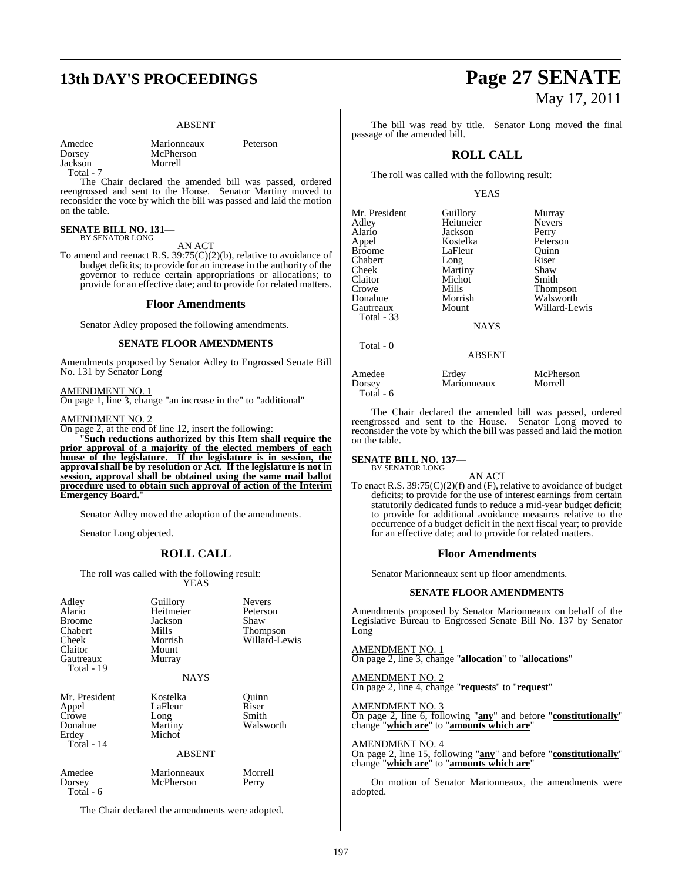## **13th DAY'S PROCEEDINGS Page 27 SENATE**

#### ABSENT

Amedee Marionneaux Peterson McPherson<br>Morrell

Jackson Total - 7

The Chair declared the amended bill was passed, ordered reengrossed and sent to the House. Senator Martiny moved to reconsider the vote by which the bill was passed and laid the motion on the table.

## **SENATE BILL NO. 131—** BY SENATOR LONG

AN ACT

To amend and reenact R.S. 39:75(C)(2)(b), relative to avoidance of budget deficits; to provide for an increase in the authority of the governor to reduce certain appropriations or allocations; to provide for an effective date; and to provide for related matters.

#### **Floor Amendments**

Senator Adley proposed the following amendments.

#### **SENATE FLOOR AMENDMENTS**

Amendments proposed by Senator Adley to Engrossed Senate Bill No. 131 by Senator Long

AMENDMENT NO. 1

On page 1, line 3, change "an increase in the" to "additional"

#### AMENDMENT NO. 2

On page 2, at the end of line 12, insert the following:

"**Such reductions authorized by this Item shall require the prior approval of a majority of the elected members of each house of the legislature. If the legislature is in session, the approval shall be by resolution or Act. If the legislature is not in session, approval shall be obtained using the same mail ballot procedure used to obtain such approval of action of the Interim Emergency Board.**"

Senator Adley moved the adoption of the amendments.

Senator Long objected.

#### **ROLL CALL**

The roll was called with the following result: YEAS

| Adley<br>Alario<br><b>Broome</b><br>Chabert<br>Cheek<br>Claitor<br>Gautreaux<br>Total - 19 | Guillory<br>Heitmeier<br>Jackson<br>Mills<br>Morrish<br>Mount<br>Murray<br><b>NAYS</b> | <b>Nevers</b><br>Peterson<br>Shaw<br>Thompson<br>Willard-Lewis |
|--------------------------------------------------------------------------------------------|----------------------------------------------------------------------------------------|----------------------------------------------------------------|
| Mr. President<br>Appel<br>Crowe<br>Donahue<br>Erdey<br>Total - 14                          | Kostelka<br>LaFleur<br>Long<br>Martiny<br>Michot<br><b>ABSENT</b>                      | Ouinn<br>Riser<br>Smith<br>Walsworth                           |
| Amedee<br>Dorsey<br>Total - 6                                                              | Marionneaux<br>McPherson                                                               | Morrell<br>Perry                                               |

The Chair declared the amendments were adopted.

# May 17, 2011

The bill was read by title. Senator Long moved the final passage of the amended bill.

#### **ROLL CALL**

The roll was called with the following result:

#### YEAS

| Mr. President | Guillory    | Murray          |
|---------------|-------------|-----------------|
| Adley         | Heitmeier   | <b>Nevers</b>   |
| Alario        | Jackson     | Perry           |
| Appel         | Kostelka    | Peterson        |
| <b>Broome</b> | LaFleur     | Ouinn           |
| Chabert       | Long        | Riser           |
| Cheek         | Martiny     | Shaw            |
| Claitor       | Michot      | Smith           |
| Crowe         | Mills       | <b>Thompson</b> |
| Donahue       | Morrish     | Walsworth       |
| Gautreaux     | Mount       | Willard-Le      |
| Total - 33    |             |                 |
|               | <b>NAYS</b> |                 |
|               |             |                 |

Total - 0

**Kostelka** Peterson<br>LaFleur Quinn LaFleur Quinn<br>Long Riser Martiny Shaw<br>Michot Smith Mills Thompson<br>Morrish Walsworth Willard-Lewis

#### ABSENT

Amedee Erdey McPherson<br>Dorsey Marionneaux Morrell Marionneaux Total - 6

The Chair declared the amended bill was passed, ordered reengrossed and sent to the House. Senator Long moved to reconsider the vote by which the bill was passed and laid the motion on the table.

## **SENATE BILL NO. 137—** BY SENATOR LONG

AN ACT

To enact R.S. 39:75(C)(2)(f) and (F), relative to avoidance of budget deficits; to provide for the use of interest earnings from certain statutorily dedicated funds to reduce a mid-year budget deficit; to provide for additional avoidance measures relative to the occurrence of a budget deficit in the next fiscal year; to provide for an effective date; and to provide for related matters.

#### **Floor Amendments**

Senator Marionneaux sent up floor amendments.

#### **SENATE FLOOR AMENDMENTS**

Amendments proposed by Senator Marionneaux on behalf of the Legislative Bureau to Engrossed Senate Bill No. 137 by Senator Long

AMENDMENT NO. 1 On page 2, line 3, change "**allocation**" to "**allocations**"

AMENDMENT NO. 2 On page 2, line 4, change "**requests**" to "**request**"

AMENDMENT NO. 3 On page 2, line 6, following "**any**" and before "**constitutionally**" change "**which are**" to "**amounts which are**"

AMENDMENT NO. 4 On page 2, line 15, following "**any**" and before "**constitutionally**" change "**which are**" to "**amounts which are**"

On motion of Senator Marionneaux, the amendments were adopted.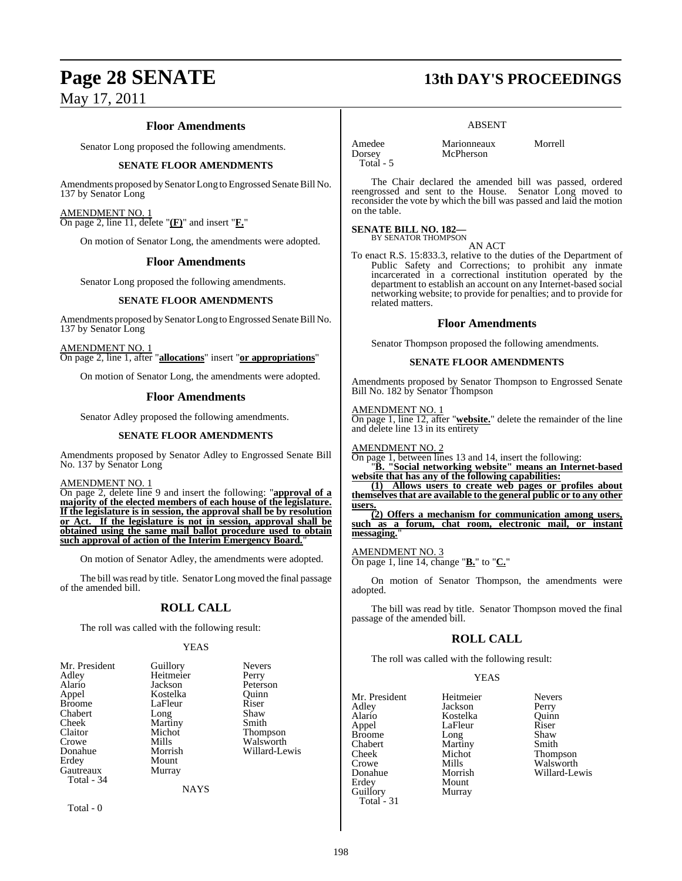#### **Floor Amendments**

Senator Long proposed the following amendments.

#### **SENATE FLOOR AMENDMENTS**

Amendments proposed by Senator Long to Engrossed Senate Bill No. 137 by Senator Long

AMENDMENT NO. 1 On page 2, line 11, delete "**(F)**" and insert "**F.**"

On motion of Senator Long, the amendments were adopted.

#### **Floor Amendments**

Senator Long proposed the following amendments.

#### **SENATE FLOOR AMENDMENTS**

Amendments proposed by Senator Long to Engrossed Senate Bill No. 137 by Senator Long

AMENDMENT NO. 1 On page 2, line 1, after "**allocations**" insert "**or appropriations**"

On motion of Senator Long, the amendments were adopted.

#### **Floor Amendments**

Senator Adley proposed the following amendments.

#### **SENATE FLOOR AMENDMENTS**

Amendments proposed by Senator Adley to Engrossed Senate Bill No. 137 by Senator Long

#### AMENDMENT NO. 1

On page 2, delete line 9 and insert the following: "**approval of a majority of the elected members of each house of the legislature. If the legislature is in session, the approval shall be by resolution or Act. If the legislature is not in session, approval shall be obtained using the same mail ballot procedure used to obtain** such approval of action of the Interim Emergency Board.

On motion of Senator Adley, the amendments were adopted.

The bill was read by title. Senator Long moved the final passage of the amended bill.

#### **ROLL CALL**

The roll was called with the following result:

#### YEAS

| Mr. President | Guillory    | <b>Nevers</b> |
|---------------|-------------|---------------|
| Adley         | Heitmeier   | Perry         |
| Alario        | Jackson     | Peterson      |
| Appel         | Kostelka    | Ouinn         |
| <b>Broome</b> | LaFleur     | Riser         |
| Chabert       | Long        | Shaw          |
| Cheek         | Martiny     | Smith         |
| Claitor       | Michot      | Thompson      |
| Crowe         | Mills       | Walsworth     |
| Donahue       | Morrish     | Willard-Lewis |
| Erdey         | Mount       |               |
| Gautreaux     | Murray      |               |
| Total - 34    |             |               |
|               | <b>NAYS</b> |               |
|               |             |               |

Total - 0

## **Page 28 SENATE 13th DAY'S PROCEEDINGS**

#### ABSENT

**McPherson** 

Amedee Marionneaux Morrell<br>
Dorsey McPherson Total - 5

The Chair declared the amended bill was passed, ordered reengrossed and sent to the House. Senator Long moved to reconsider the vote by which the bill was passed and laid the motion on the table.

## **SENATE BILL NO. 182—**<br>BY SENATOR THOMPSON

AN ACT

To enact R.S. 15:833.3, relative to the duties of the Department of Public Safety and Corrections; to prohibit any inmate incarcerated in a correctional institution operated by the department to establish an account on any Internet-based social networking website; to provide for penalties; and to provide for related matters.

#### **Floor Amendments**

Senator Thompson proposed the following amendments.

#### **SENATE FLOOR AMENDMENTS**

Amendments proposed by Senator Thompson to Engrossed Senate Bill No. 182 by Senator Thompson

AMENDMENT NO. 1

On page 1, line 12, after "**website.**" delete the remainder of the line and delete line 13 in its entirety

AMENDMENT NO. 2

On page 1, between lines 13 and 14, insert the following:

"**B. "Social networking website" means an Internet-based website that has any of the following capabilities:**

**(1) Allows users to create web pages or profiles about themselvesthat are available to the general public or to any other users.**

**(2) Offers a mechanism for communication among users, such as a forum, chat room, electronic mail, or instant messaging.**"

AMENDMENT NO. 3

On page 1, line 14, change "**B.**" to "**C.**"

On motion of Senator Thompson, the amendments were adopted.

The bill was read by title. Senator Thompson moved the final passage of the amended bill.

#### **ROLL CALL**

The roll was called with the following result:

#### YEAS

| Mr. President | Heitmeier | <b>Nevers</b> |
|---------------|-----------|---------------|
| Adley         | Jackson   | Perry         |
| Alario        | Kostelka  | Ouinn         |
| Appel         | LaFleur   | Riser         |
| <b>Broome</b> | Long      | Shaw          |
| Chabert       | Martiny   | Smith         |
| Cheek         | Michot    | Thompson      |
| Crowe         | Mills     | Walsworth     |
| Donahue       | Morrish   | Willard-Lewis |
| Erdey         | Mount     |               |
| Guillory      | Murray    |               |
| Total - 31    |           |               |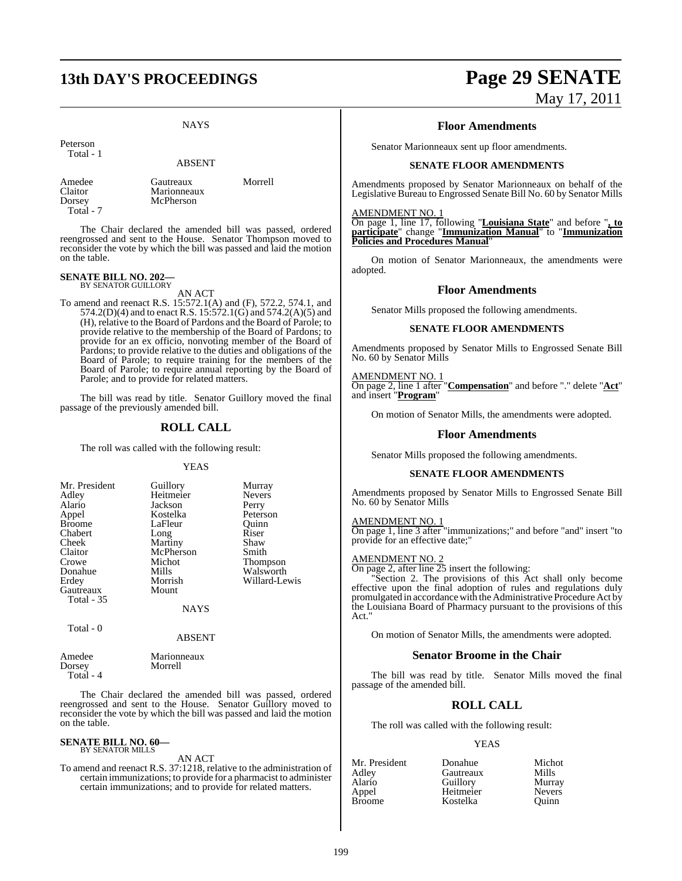## **13th DAY'S PROCEEDINGS Page 29 SENATE**

#### **NAYS**

Peterson

Total - 1

ABSENT

Dorsey McPherson Total - 7

Amedee Gautreaux Morrell<br>Claitor Marionneaux Morrell Marionneaux

The Chair declared the amended bill was passed, ordered reengrossed and sent to the House. Senator Thompson moved to reconsider the vote by which the bill was passed and laid the motion on the table.

## **SENATE BILL NO. 202—** BY SENATOR GUILLORY

AN ACT

To amend and reenact R.S. 15:572.1(A) and (F), 572.2, 574.1, and 574.2(D)(4) and to enact R.S. 15:572.1(G) and 574.2(A)(5) and (H), relative to the Board of Pardons and the Board of Parole; to provide relative to the membership of the Board of Pardons; to provide for an ex officio, nonvoting member of the Board of Pardons; to provide relative to the duties and obligations of the Board of Parole; to require training for the members of the Board of Parole; to require annual reporting by the Board of Parole; and to provide for related matters.

The bill was read by title. Senator Guillory moved the final passage of the previously amended bill.

#### **ROLL CALL**

The roll was called with the following result:

#### YEAS

| Mr. President | Guillory  | Murray          |
|---------------|-----------|-----------------|
| Adley         | Heitmeier | <b>Nevers</b>   |
| Alario        | Jackson   | Perry           |
| Appel         | Kostelka  | Peterson        |
| <b>Broome</b> | LaFleur   | Ouinn           |
| Chabert       | Long      | Riser           |
| Cheek         | Martiny   | Shaw            |
| Claitor       | McPherson | Smith           |
| Crowe         | Michot    | <b>Thompson</b> |
| Donahue       | Mills     | Walsworth       |
| Erdey         | Morrish   | Willard-Lewis   |
| Gautreaux     | Mount     |                 |
| Total - 35    |           |                 |
|               | NAYS      |                 |

Total - 0

ABSENT

| Amedee      | Marionneaux |
|-------------|-------------|
| Dorsey      | Morrell     |
| $Total - 4$ |             |

The Chair declared the amended bill was passed, ordered reengrossed and sent to the House. Senator Guillory moved to reconsider the vote by which the bill was passed and laid the motion on the table.

#### **SENATE BILL NO. 60—** BY SENATOR MILLS

AN ACT

To amend and reenact R.S. 37:1218, relative to the administration of certain immunizations; to provide for a pharmacist to administer certain immunizations; and to provide for related matters.

# May 17, 2011

#### **Floor Amendments**

Senator Marionneaux sent up floor amendments.

#### **SENATE FLOOR AMENDMENTS**

Amendments proposed by Senator Marionneaux on behalf of the Legislative Bureau to Engrossed Senate Bill No. 60 by Senator Mills

#### AMENDMENT NO. 1

On page 1, line 17, following "**Louisiana State**" and before "**, to participate**" change "**Immunization Manual**" to "**Immunization Policies and Procedures Manual**"

On motion of Senator Marionneaux, the amendments were adopted.

#### **Floor Amendments**

Senator Mills proposed the following amendments.

#### **SENATE FLOOR AMENDMENTS**

Amendments proposed by Senator Mills to Engrossed Senate Bill No. 60 by Senator Mills

#### AMENDMENT NO. 1

On page 2, line 1 after "**Compensation**" and before "." delete "**Act**" and insert "**Program**"

On motion of Senator Mills, the amendments were adopted.

#### **Floor Amendments**

Senator Mills proposed the following amendments.

#### **SENATE FLOOR AMENDMENTS**

Amendments proposed by Senator Mills to Engrossed Senate Bill No. 60 by Senator Mills

#### AMENDMENT NO. 1

On page 1, line 3 after "immunizations;" and before "and" insert "to provide for an effective date;"

#### AMENDMENT NO. 2

On page 2, after line 25 insert the following:

"Section 2. The provisions of this Act shall only become effective upon the final adoption of rules and regulations duly promulgated in accordance with the Administrative Procedure Act by the Louisiana Board of Pharmacy pursuant to the provisions of this Act."

On motion of Senator Mills, the amendments were adopted.

#### **Senator Broome in the Chair**

The bill was read by title. Senator Mills moved the final passage of the amended bill.

#### **ROLL CALL**

The roll was called with the following result:

#### YEAS

| Mr. President | Donahue   | Michot        |
|---------------|-----------|---------------|
| Adlev         | Gautreaux | Mills         |
| Alario        | Guillory  | Murray        |
| Appel         | Heitmeier | <b>Nevers</b> |
| Broome        | Kostelka  | Ouinn         |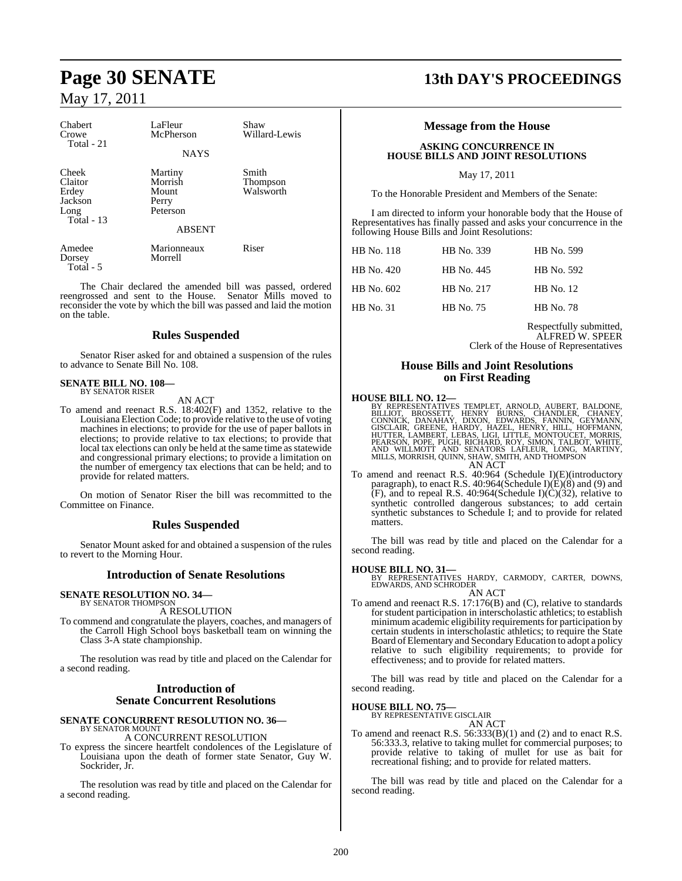| Chabert<br>Crowe<br>Total - 21                               | LaFleur<br>McPherson                             | Shaw<br>Willard-Lewis          |
|--------------------------------------------------------------|--------------------------------------------------|--------------------------------|
|                                                              | <b>NAYS</b>                                      |                                |
| Cheek<br>Claitor<br>Erdey<br>Jackson<br>Long<br>Total - $13$ | Martiny<br>Morrish<br>Mount<br>Perry<br>Peterson | Smith<br>Thompson<br>Walsworth |
|                                                              | <b>ABSENT</b>                                    |                                |
| Amedee<br>Dorsey<br>Total - 5                                | Marionneaux<br>Morrell                           | Riser                          |

The Chair declared the amended bill was passed, ordered reengrossed and sent to the House. Senator Mills moved to reconsider the vote by which the bill was passed and laid the motion on the table.

#### **Rules Suspended**

Senator Riser asked for and obtained a suspension of the rules to advance to Senate Bill No. 108.

#### **SENATE BILL NO. 108—** BY SENATOR RISER

AN ACT

To amend and reenact R.S. 18:402(F) and 1352, relative to the Louisiana Election Code; to provide relative to the use of voting machines in elections; to provide for the use of paper ballots in elections; to provide relative to tax elections; to provide that local tax elections can only be held at the same time as statewide and congressional primary elections; to provide a limitation on the number of emergency tax elections that can be held; and to provide for related matters.

On motion of Senator Riser the bill was recommitted to the Committee on Finance.

#### **Rules Suspended**

Senator Mount asked for and obtained a suspension of the rules to revert to the Morning Hour.

#### **Introduction of Senate Resolutions**

## **SENATE RESOLUTION NO. 34—**<br>BY SENATOR THOMPSON

A RESOLUTION

To commend and congratulate the players, coaches, and managers of the Carroll High School boys basketball team on winning the Class 3-A state championship.

The resolution was read by title and placed on the Calendar for a second reading.

#### **Introduction of Senate Concurrent Resolutions**

#### **SENATE CONCURRENT RESOLUTION NO. 36—** BY SENATOR MOUNT

A CONCURRENT RESOLUTION

To express the sincere heartfelt condolences of the Legislature of Louisiana upon the death of former state Senator, Guy W. Sockrider, Jr.

The resolution was read by title and placed on the Calendar for a second reading.

## **Page 30 SENATE 13th DAY'S PROCEEDINGS**

#### **Message from the House**

#### **ASKING CONCURRENCE IN HOUSE BILLS AND JOINT RESOLUTIONS**

May 17, 2011

To the Honorable President and Members of the Senate:

I am directed to inform your honorable body that the House of Representatives has finally passed and asks your concurrence in the following House Bills and Joint Resolutions:

| <b>HB</b> No. 118 | HB No. 339 | HB No. 599       |
|-------------------|------------|------------------|
| HB No. 420        | HB No. 445 | HB No. 592       |
| HB No. 602        | HB No. 217 | <b>HB</b> No. 12 |
| <b>HB</b> No. 31  | HB No. 75  | <b>HB</b> No. 78 |

Respectfully submitted, ALFRED W. SPEER Clerk of the House of Representatives

#### **House Bills and Joint Resolutions on First Reading**

#### **HOUSE BILL NO. 12—**

BY REPRESENTATIVES TEMPLET, ARNOLD, AUBERT, BALDONE, BILLIOT, BROSSETT, HENRY BURNS, CHANDLER, CHANEY,<br>ECONNICK, DANAHAY, DIXON, EDRNARDS, FANNIN, GEYMANY,<br>GISCLAIR, GREENE, HARDY, HAZEL, HENRY, HILL, HOFFMANN,<br>GISCLAIR, G AN ACT

To amend and reenact R.S. 40:964 (Schedule I)(E)(introductory paragraph), to enact R.S. 40:964(Schedule I)(E)(8) and (9) and  $(F)$ , and to repeal R.S. 40:964(Schedule I)(C)(32), relative to synthetic controlled dangerous substances; to add certain synthetic substances to Schedule I; and to provide for related matters.

The bill was read by title and placed on the Calendar for a second reading.

**HOUSE BILL NO. 31—** BY REPRESENTATIVES HARDY, CARMODY, CARTER, DOWNS, EDWARDS, AND SCHRODER

AN ACT To amend and reenact R.S. 17:176(B) and (C), relative to standards for student participation in interscholastic athletics; to establish minimum academic eligibility requirements for participation by certain students in interscholastic athletics; to require the State Board ofElementary and Secondary Education to adopt a policy relative to such eligibility requirements; to provide for effectiveness; and to provide for related matters.

The bill was read by title and placed on the Calendar for a second reading.

**HOUSE BILL NO. 75—**

BY REPRESENTATIVE GISCLAIR AN ACT

To amend and reenact R.S. 56:333(B)(1) and (2) and to enact R.S. 56:333.3, relative to taking mullet for commercial purposes; to provide relative to taking of mullet for use as bait for recreational fishing; and to provide for related matters.

The bill was read by title and placed on the Calendar for a second reading.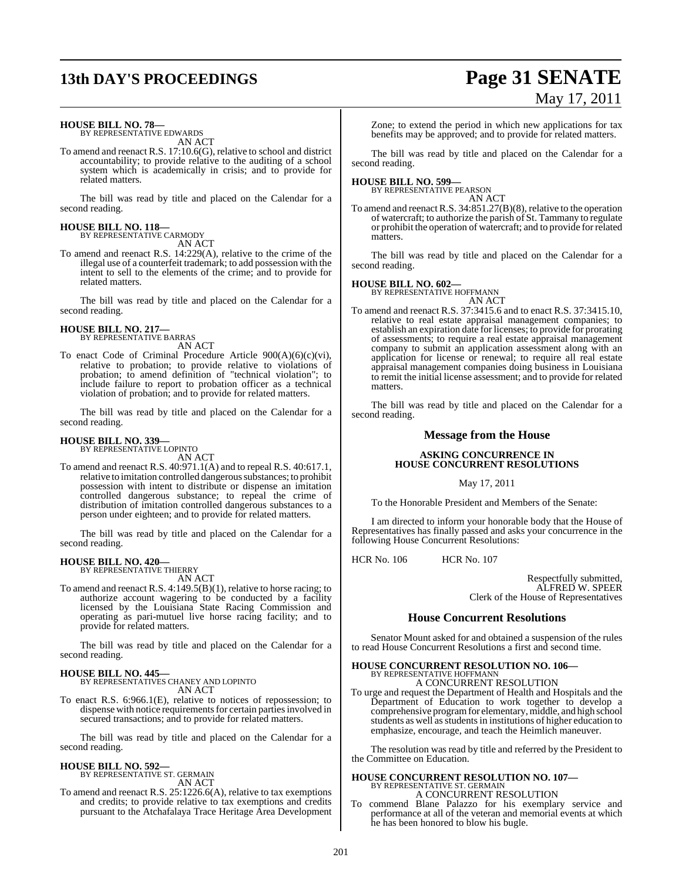## **13th DAY'S PROCEEDINGS Page 31 SENATE**

# May 17, 2011

#### **HOUSE BILL NO. 78—**

BY REPRESENTATIVE EDWARDS AN ACT

To amend and reenact R.S. 17:10.6(G), relative to school and district accountability; to provide relative to the auditing of a school system which is academically in crisis; and to provide for related matters.

The bill was read by title and placed on the Calendar for a second reading.

## **HOUSE BILL NO. 118—** BY REPRESENTATIVE CARMODY

AN ACT

To amend and reenact R.S. 14:229(A), relative to the crime of the illegal use of a counterfeit trademark; to add possession with the intent to sell to the elements of the crime; and to provide for related matters.

The bill was read by title and placed on the Calendar for a second reading.

#### **HOUSE BILL NO. 217—** BY REPRESENTATIVE BARRAS

AN ACT

To enact Code of Criminal Procedure Article 900(A)(6)(c)(vi), relative to probation; to provide relative to violations of probation; to amend definition of "technical violation"; to include failure to report to probation officer as a technical violation of probation; and to provide for related matters.

The bill was read by title and placed on the Calendar for a second reading.

## **HOUSE BILL NO. 339—**

BY REPRESENTATIVE LOPINTO AN ACT

To amend and reenact R.S. 40:971.1(A) and to repeal R.S. 40:617.1, relative to imitation controlled dangerous substances; to prohibit possession with intent to distribute or dispense an imitation controlled dangerous substance; to repeal the crime of distribution of imitation controlled dangerous substances to a person under eighteen; and to provide for related matters.

The bill was read by title and placed on the Calendar for a second reading.

#### **HOUSE BILL NO. 420—** BY REPRESENTATIVE THIERRY

AN ACT

To amend and reenact R.S. 4:149.5(B)(1), relative to horse racing; to authorize account wagering to be conducted by a facility licensed by the Louisiana State Racing Commission and operating as pari-mutuel live horse racing facility; and to provide for related matters.

The bill was read by title and placed on the Calendar for a second reading.

## **HOUSE BILL NO. 445—** BY REPRESENTATIVES CHANEY AND LOPINTO

AN ACT

To enact R.S. 6:966.1(E), relative to notices of repossession; to dispense with notice requirements for certain parties involved in secured transactions; and to provide for related matters.

The bill was read by title and placed on the Calendar for a second reading.

#### **HOUSE BILL NO. 592—** BY REPRESENTATIVE ST. GERMAIN

AN ACT

To amend and reenact R.S. 25:1226.6(A), relative to tax exemptions and credits; to provide relative to tax exemptions and credits pursuant to the Atchafalaya Trace Heritage Area Development Zone; to extend the period in which new applications for tax benefits may be approved; and to provide for related matters.

The bill was read by title and placed on the Calendar for a second reading.

#### **HOUSE BILL NO. 599—**

BY REPRESENTATIVE PEARSON

AN ACT To amend and reenact R.S. 34:851.27(B)(8), relative to the operation of watercraft; to authorize the parish of St. Tammany to regulate or prohibit the operation of watercraft; and to provide forrelated matters.

The bill was read by title and placed on the Calendar for a second reading.

#### **HOUSE BILL NO. 602—**

BY REPRESENTATIVE HOFFMANN AN ACT

To amend and reenact R.S. 37:3415.6 and to enact R.S. 37:3415.10, relative to real estate appraisal management companies; to establish an expiration date for licenses; to provide for prorating of assessments; to require a real estate appraisal management company to submit an application assessment along with an application for license or renewal; to require all real estate appraisal management companies doing business in Louisiana to remit the initial license assessment; and to provide for related matters.

The bill was read by title and placed on the Calendar for a second reading.

#### **Message from the House**

#### **ASKING CONCURRENCE IN HOUSE CONCURRENT RESOLUTIONS**

May 17, 2011

To the Honorable President and Members of the Senate:

I am directed to inform your honorable body that the House of Representatives has finally passed and asks your concurrence in the following House Concurrent Resolutions:

HCR No. 106 HCR No. 107

Respectfully submitted, ALFRED W. SPEER Clerk of the House of Representatives

#### **House Concurrent Resolutions**

Senator Mount asked for and obtained a suspension of the rules to read House Concurrent Resolutions a first and second time.

## **HOUSE CONCURRENT RESOLUTION NO. 106—**

BY REPRESENTATIVE HOFFMANN A CONCURRENT RESOLUTION

To urge and request the Department of Health and Hospitals and the Department of Education to work together to develop a comprehensive program for elementary, middle, and high school students as well as students in institutions of higher education to emphasize, encourage, and teach the Heimlich maneuver.

The resolution was read by title and referred by the President to the Committee on Education.

## **HOUSE CONCURRENT RESOLUTION NO. 107—** BY REPRESENTATIVE ST. GERMAIN A CONCURRENT RESOLUTION

To commend Blane Palazzo for his exemplary service and performance at all of the veteran and memorial events at which he has been honored to blow his bugle.